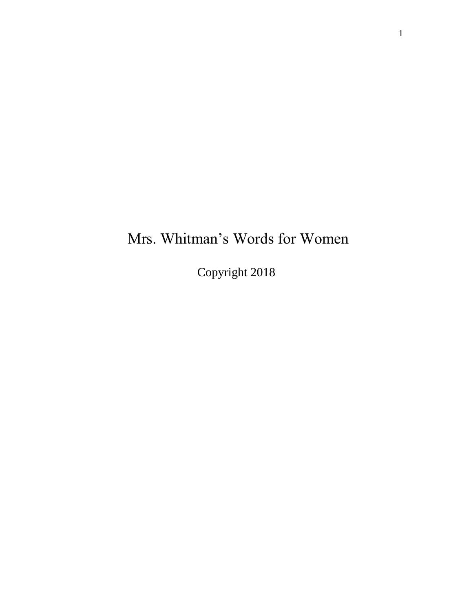# Mrs. Whitman's Words for Women

Copyright 2018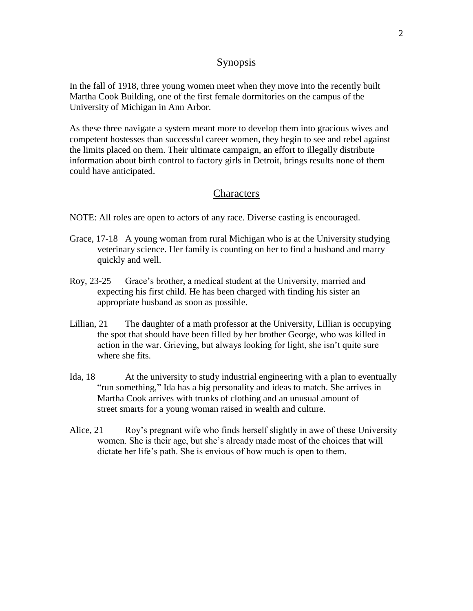## Synopsis

In the fall of 1918, three young women meet when they move into the recently built Martha Cook Building, one of the first female dormitories on the campus of the University of Michigan in Ann Arbor.

As these three navigate a system meant more to develop them into gracious wives and competent hostesses than successful career women, they begin to see and rebel against the limits placed on them. Their ultimate campaign, an effort to illegally distribute information about birth control to factory girls in Detroit, brings results none of them could have anticipated.

## **Characters**

NOTE: All roles are open to actors of any race. Diverse casting is encouraged.

- Grace, 17-18 A young woman from rural Michigan who is at the University studying veterinary science. Her family is counting on her to find a husband and marry quickly and well.
- Roy, 23-25 Grace's brother, a medical student at the University, married and expecting his first child. He has been charged with finding his sister an appropriate husband as soon as possible.
- Lillian, 21 The daughter of a math professor at the University, Lillian is occupying the spot that should have been filled by her brother George, who was killed in action in the war. Grieving, but always looking for light, she isn't quite sure where she fits.
- Ida, 18 At the university to study industrial engineering with a plan to eventually "run something," Ida has a big personality and ideas to match. She arrives in Martha Cook arrives with trunks of clothing and an unusual amount of street smarts for a young woman raised in wealth and culture.
- Alice, 21 Roy's pregnant wife who finds herself slightly in awe of these University women. She is their age, but she's already made most of the choices that will dictate her life's path. She is envious of how much is open to them.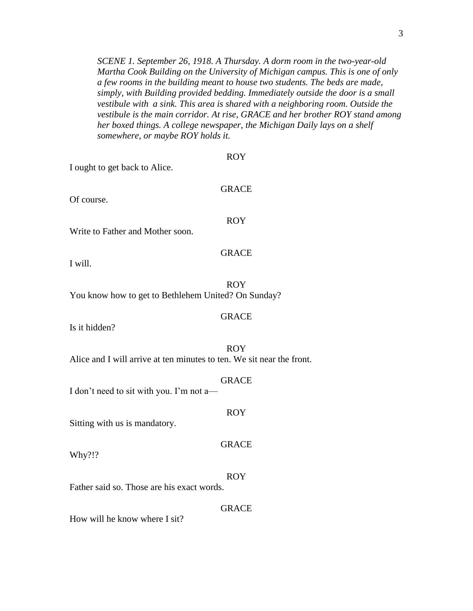*SCENE 1. September 26, 1918. A Thursday. A dorm room in the two-year-old Martha Cook Building on the University of Michigan campus. This is one of only a few rooms in the building meant to house two students. The beds are made, simply, with Building provided bedding. Immediately outside the door is a small vestibule with a sink. This area is shared with a neighboring room. Outside the vestibule is the main corridor. At rise, GRACE and her brother ROY stand among her boxed things. A college newspaper, the Michigan Daily lays on a shelf somewhere, or maybe ROY holds it.*

ROY

| get back to Alice.                               |              |  |
|--------------------------------------------------|--------------|--|
|                                                  | <b>GRACE</b> |  |
| ther and Mother soon.                            | <b>ROY</b>   |  |
|                                                  | <b>GRACE</b> |  |
| how to get to Bethlehem United? On Sunday?       | <b>ROY</b>   |  |
| $\overline{\mathcal{L}}$                         | <b>GRACE</b> |  |
| will arrive at ten minutes to ten. We sit near t | <b>ROY</b>   |  |
| d to sit with you. I'm not a—                    | <b>GRACE</b> |  |
| n us is mandatory.                               | <b>ROY</b>   |  |
|                                                  | <b>GRACE</b> |  |
|                                                  |              |  |

I ought to g

Of course.

Write to Fa

I will.

You know how to get to Bethlehem United? On Sunday?

Is it hidden?

Alice and I will arrive at ten minutes to ten. We sit near the front.

I don't need

Sitting with

Why?!?

Father said so. Those are his exact words.

## GRACE

ROY

How will he know where I sit?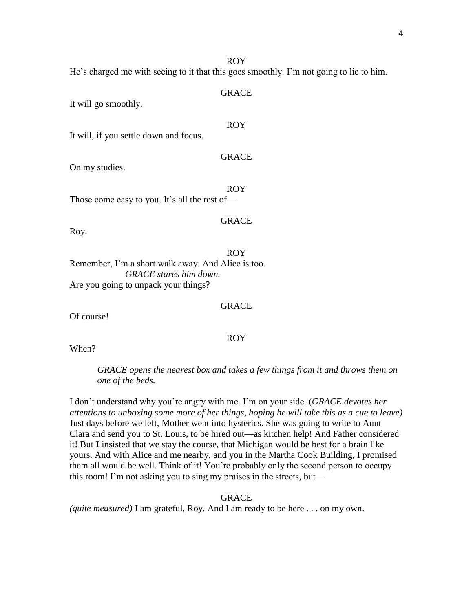#### ROY

He's charged me with seeing to it that this goes smoothly. I'm not going to lie to him.

#### GRACE

It will go smoothly.

## ROY

GRACE

It will, if you settle down and focus.

On my studies.

ROY Those come easy to you. It's all the rest of—

## GRACE

GRACE

ROY

Roy.

## ROY Remember, I'm a short walk away. And Alice is too. *GRACE stares him down.* Are you going to unpack your things?

Of course!

When?

*GRACE opens the nearest box and takes a few things from it and throws them on one of the beds.*

I don't understand why you're angry with me. I'm on your side. (*GRACE devotes her attentions to unboxing some more of her things, hoping he will take this as a cue to leave)*  Just days before we left, Mother went into hysterics. She was going to write to Aunt Clara and send you to St. Louis, to be hired out—as kitchen help! And Father considered it! But **I** insisted that we stay the course, that Michigan would be best for a brain like yours. And with Alice and me nearby, and you in the Martha Cook Building, I promised them all would be well. Think of it! You're probably only the second person to occupy this room! I'm not asking you to sing my praises in the streets, but—

## GRACE

*(quite measured)* I am grateful, Roy. And I am ready to be here . . . on my own.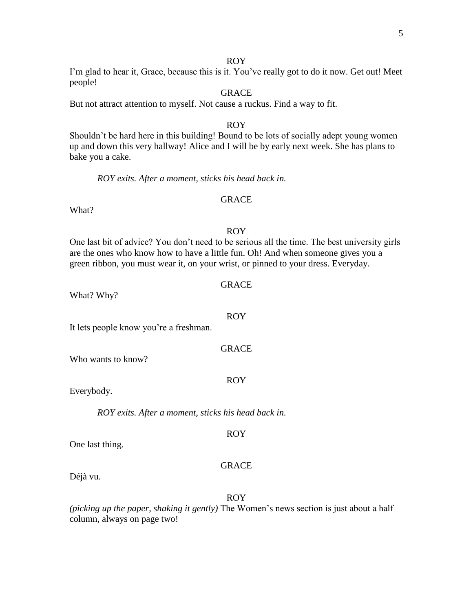#### ROY

I'm glad to hear it, Grace, because this is it. You've really got to do it now. Get out! Meet people!

## GRACE

But not attract attention to myself. Not cause a ruckus. Find a way to fit.

#### ROY

Shouldn't be hard here in this building! Bound to be lots of socially adept young women up and down this very hallway! Alice and I will be by early next week. She has plans to bake you a cake.

*ROY exits. After a moment, sticks his head back in.*

## GRACE

What?

## ROY

One last bit of advice? You don't need to be serious all the time. The best university girls are the ones who know how to have a little fun. Oh! And when someone gives you a green ribbon, you must wear it, on your wrist, or pinned to your dress. Everyday.

| What? Why? |  |  |
|------------|--|--|
|            |  |  |

It lets people know you're a freshman.

Who wants to know?

Everybody.

*ROY exits. After a moment, sticks his head back in.*

One last thing.

#### GRACE

ROY

Déjà vu.

## ROY

*(picking up the paper, shaking it gently)* The Women's news section is just about a half column, always on page two!

GRACE

ROY

GRACE

ROY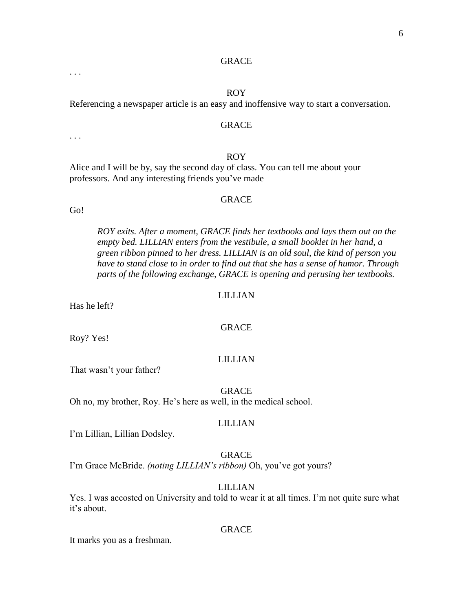#### ROY

Referencing a newspaper article is an easy and inoffensive way to start a conversation.

#### **GRACE**

#### ROY

Alice and I will be by, say the second day of class. You can tell me about your professors. And any interesting friends you've made—

## GRACE

Go!

. . .

. . .

*ROY exits. After a moment, GRACE finds her textbooks and lays them out on the empty bed. LILLIAN enters from the vestibule, a small booklet in her hand, a green ribbon pinned to her dress. LILLIAN is an old soul, the kind of person you have to stand close to in order to find out that she has a sense of humor. Through parts of the following exchange, GRACE is opening and perusing her textbooks.*

#### LILLIAN

GRACE

Has he left?

Roy? Yes!

#### LILLIAN

That wasn't your father?

### GRACE

Oh no, my brother, Roy. He's here as well, in the medical school.

#### LILLIAN

I'm Lillian, Lillian Dodsley.

#### GRACE

I'm Grace McBride. *(noting LILLIAN's ribbon)* Oh, you've got yours?

#### LILLIAN

Yes. I was accosted on University and told to wear it at all times. I'm not quite sure what it's about.

#### GRACE

It marks you as a freshman.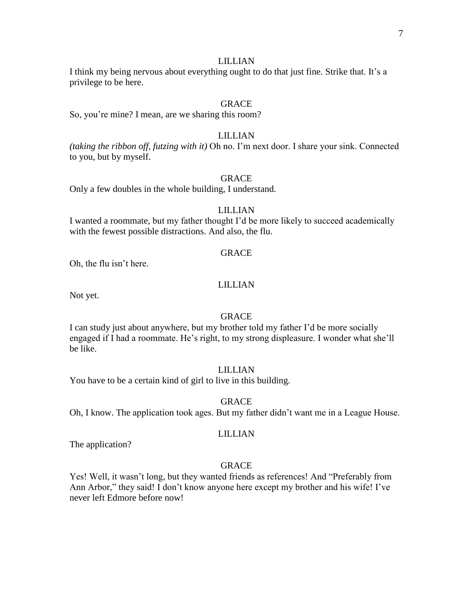I think my being nervous about everything ought to do that just fine. Strike that. It's a privilege to be here.

## GRACE

So, you're mine? I mean, are we sharing this room?

### LILLIAN

*(taking the ribbon off, futzing with it)* Oh no. I'm next door. I share your sink. Connected to you, but by myself.

#### GRACE

Only a few doubles in the whole building, I understand.

#### LILLIAN

I wanted a roommate, but my father thought I'd be more likely to succeed academically with the fewest possible distractions. And also, the flu.

#### **GRACE**

Oh, the flu isn't here.

## LILLIAN

Not yet.

#### GRACE

I can study just about anywhere, but my brother told my father I'd be more socially engaged if I had a roommate. He's right, to my strong displeasure. I wonder what she'll be like.

## LILLIAN

You have to be a certain kind of girl to live in this building.

#### GRACE

Oh, I know. The application took ages. But my father didn't want me in a League House.

#### LILLIAN

The application?

#### GRACE

Yes! Well, it wasn't long, but they wanted friends as references! And "Preferably from Ann Arbor," they said! I don't know anyone here except my brother and his wife! I've never left Edmore before now!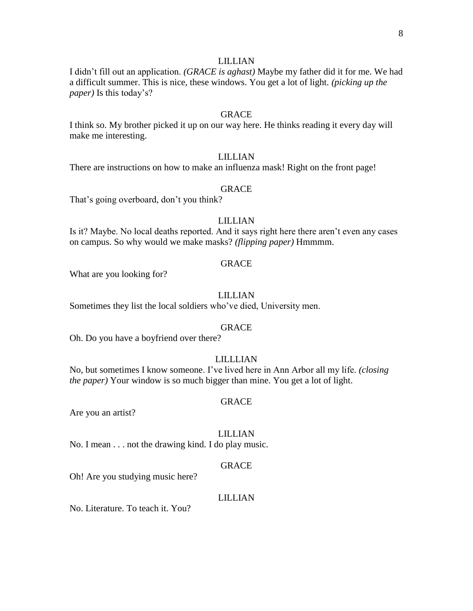I didn't fill out an application. *(GRACE is aghast)* Maybe my father did it for me. We had a difficult summer. This is nice, these windows. You get a lot of light. *(picking up the paper)* Is this today's?

## GRACE

I think so. My brother picked it up on our way here. He thinks reading it every day will make me interesting.

## LILLIAN

There are instructions on how to make an influenza mask! Right on the front page!

#### GRACE

That's going overboard, don't you think?

## LILLIAN

Is it? Maybe. No local deaths reported. And it says right here there aren't even any cases on campus. So why would we make masks? *(flipping paper)* Hmmmm.

#### GRACE

What are you looking for?

#### LILLIAN

Sometimes they list the local soldiers who've died, University men.

#### GRACE

Oh. Do you have a boyfriend over there?

## LILLLIAN

No, but sometimes I know someone. I've lived here in Ann Arbor all my life. *(closing the paper)* Your window is so much bigger than mine. You get a lot of light.

#### GRACE

Are you an artist?

#### LILLIAN

No. I mean . . . not the drawing kind. I do play music.

#### GRACE

Oh! Are you studying music here?

#### LILLIAN

No. Literature. To teach it. You?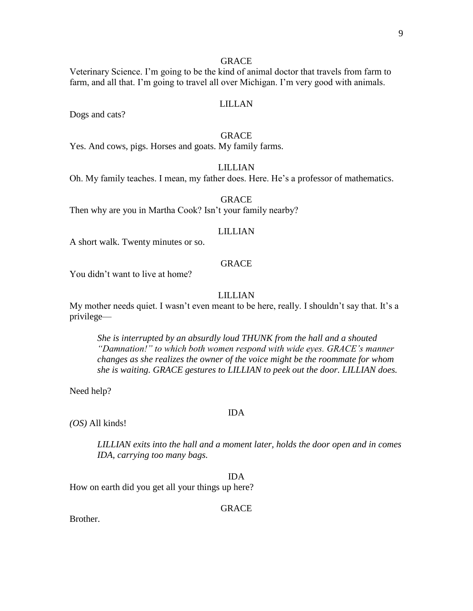Veterinary Science. I'm going to be the kind of animal doctor that travels from farm to farm, and all that. I'm going to travel all over Michigan. I'm very good with animals.

#### LILLAN

Dogs and cats?

## GRACE

Yes. And cows, pigs. Horses and goats. My family farms.

## LILLIAN

Oh. My family teaches. I mean, my father does. Here. He's a professor of mathematics.

## GRACE

Then why are you in Martha Cook? Isn't your family nearby?

#### LILLIAN

A short walk. Twenty minutes or so.

#### GRACE

You didn't want to live at home?

## LILLIAN

My mother needs quiet. I wasn't even meant to be here, really. I shouldn't say that. It's a privilege—

*She is interrupted by an absurdly loud THUNK from the hall and a shouted "Damnation!" to which both women respond with wide eyes. GRACE's manner changes as she realizes the owner of the voice might be the roommate for whom she is waiting. GRACE gestures to LILLIAN to peek out the door. LILLIAN does.*

Need help?

#### IDA

*(OS)* All kinds!

*LILLIAN exits into the hall and a moment later, holds the door open and in comes IDA, carrying too many bags.*

IDA

How on earth did you get all your things up here?

GRACE

Brother.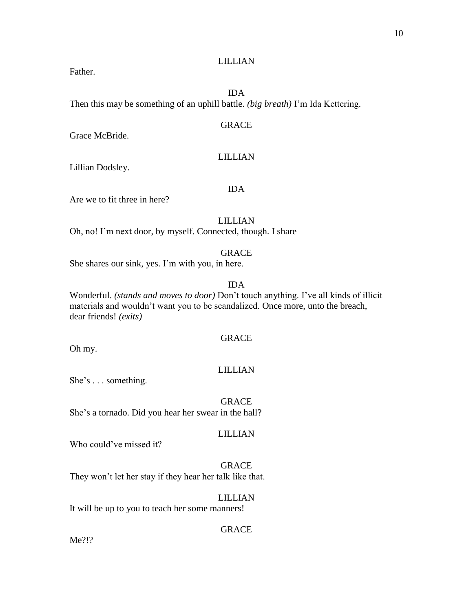Father.

## IDA

Then this may be something of an uphill battle. *(big breath)* I'm Ida Kettering.

## GRACE

Grace McBride.

## LILLIAN

IDA

Lillian Dodsley.

Are we to fit three in here?

LILLIAN

Oh, no! I'm next door, by myself. Connected, though. I share—

### GRACE

She shares our sink, yes. I'm with you, in here.

## IDA

Wonderful. *(stands and moves to door)* Don't touch anything. I've all kinds of illicit materials and wouldn't want you to be scandalized. Once more, unto the breach, dear friends! *(exits)*

## GRACE

Oh my.

## LILLIAN

She's . . . something.

#### GRACE

She's a tornado. Did you hear her swear in the hall?

## LILLIAN

Who could've missed it?

## GRACE

They won't let her stay if they hear her talk like that.

## LILLIAN

It will be up to you to teach her some manners!

## GRACE

Me?!?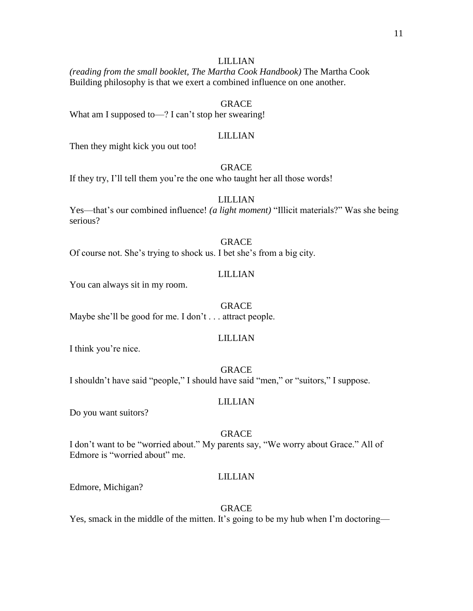*(reading from the small booklet, The Martha Cook Handbook)* The Martha Cook Building philosophy is that we exert a combined influence on one another.

## GRACE

What am I supposed to—? I can't stop her swearing!

### LILLIAN

Then they might kick you out too!

## GRACE

If they try, I'll tell them you're the one who taught her all those words!

## LILLIAN

Yes—that's our combined influence! *(a light moment)* "Illicit materials?" Was she being serious?

#### GRACE

Of course not. She's trying to shock us. I bet she's from a big city.

## LILLIAN

You can always sit in my room.

#### GRACE

Maybe she'll be good for me. I don't . . . attract people.

#### LILLIAN

I think you're nice.

GRACE I shouldn't have said "people," I should have said "men," or "suitors," I suppose.

#### LILLIAN

Do you want suitors?

#### GRACE

I don't want to be "worried about." My parents say, "We worry about Grace." All of Edmore is "worried about" me.

## LILLIAN

Edmore, Michigan?

#### GRACE

Yes, smack in the middle of the mitten. It's going to be my hub when I'm doctoring—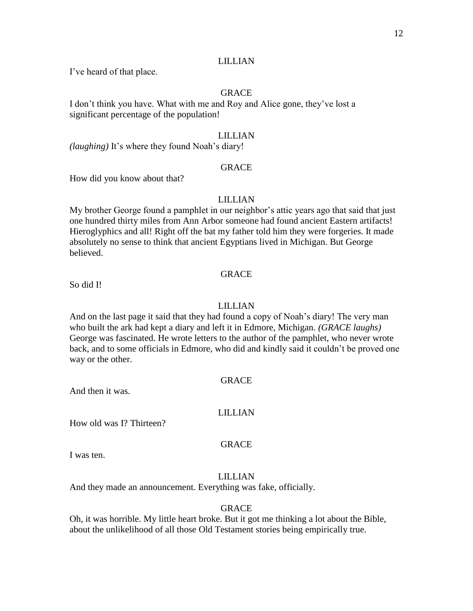I've heard of that place.

## GRACE

I don't think you have. What with me and Roy and Alice gone, they've lost a significant percentage of the population!

## LILLIAN

*(laughing)* It's where they found Noah's diary!

## **GRACE**

How did you know about that?

## LILLIAN

My brother George found a pamphlet in our neighbor's attic years ago that said that just one hundred thirty miles from Ann Arbor someone had found ancient Eastern artifacts! Hieroglyphics and all! Right off the bat my father told him they were forgeries. It made absolutely no sense to think that ancient Egyptians lived in Michigan. But George believed.

#### GRACE

So did I!

## LILLIAN

And on the last page it said that they had found a copy of Noah's diary! The very man who built the ark had kept a diary and left it in Edmore, Michigan. *(GRACE laughs)* George was fascinated. He wrote letters to the author of the pamphlet, who never wrote back, and to some officials in Edmore, who did and kindly said it couldn't be proved one way or the other.

#### GRACE

And then it was.

## LILLIAN

How old was I? Thirteen?

#### GRACE

I was ten.

## LILLIAN

And they made an announcement. Everything was fake, officially.

#### GRACE

Oh, it was horrible. My little heart broke. But it got me thinking a lot about the Bible, about the unlikelihood of all those Old Testament stories being empirically true.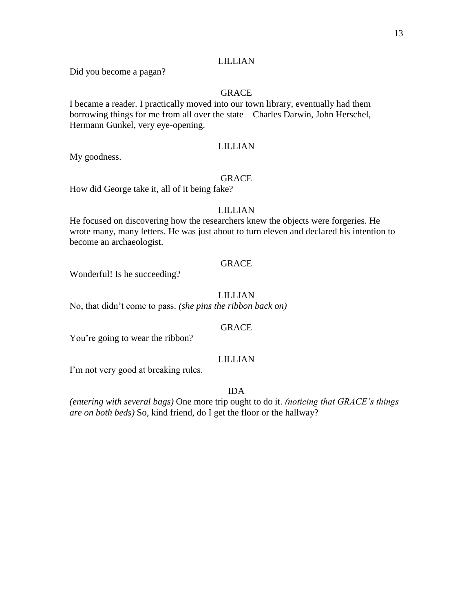Did you become a pagan?

## GRACE

I became a reader. I practically moved into our town library, eventually had them borrowing things for me from all over the state—Charles Darwin, John Herschel, Hermann Gunkel, very eye-opening.

## LILLIAN

My goodness.

## GRACE

How did George take it, all of it being fake?

#### LILLIAN

He focused on discovering how the researchers knew the objects were forgeries. He wrote many, many letters. He was just about to turn eleven and declared his intention to become an archaeologist.

## GRACE

Wonderful! Is he succeeding?

## LILLIAN

No, that didn't come to pass. *(she pins the ribbon back on)*

## **GRACE**

You're going to wear the ribbon?

#### LILLIAN

I'm not very good at breaking rules.

IDA

*(entering with several bags)* One more trip ought to do it. *(noticing that GRACE's things are on both beds)* So, kind friend, do I get the floor or the hallway?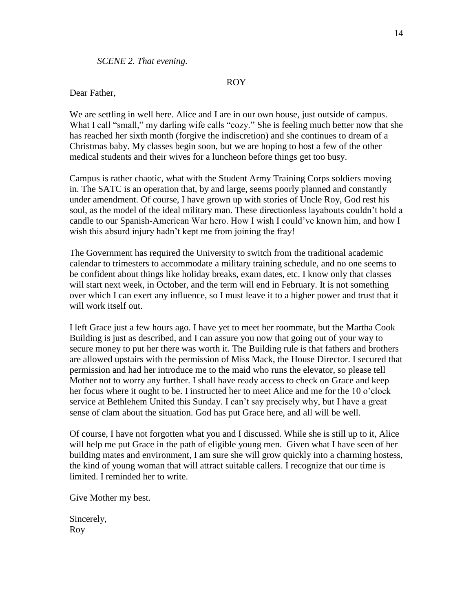### *SCENE 2. That evening.*

#### ROY

## Dear Father,

We are settling in well here. Alice and I are in our own house, just outside of campus. What I call "small," my darling wife calls "cozy." She is feeling much better now that she has reached her sixth month (forgive the indiscretion) and she continues to dream of a Christmas baby. My classes begin soon, but we are hoping to host a few of the other medical students and their wives for a luncheon before things get too busy.

Campus is rather chaotic, what with the Student Army Training Corps soldiers moving in. The SATC is an operation that, by and large, seems poorly planned and constantly under amendment. Of course, I have grown up with stories of Uncle Roy, God rest his soul, as the model of the ideal military man. These directionless layabouts couldn't hold a candle to our Spanish-American War hero. How I wish I could've known him, and how I wish this absurd injury hadn't kept me from joining the fray!

The Government has required the University to switch from the traditional academic calendar to trimesters to accommodate a military training schedule, and no one seems to be confident about things like holiday breaks, exam dates, etc. I know only that classes will start next week, in October, and the term will end in February. It is not something over which I can exert any influence, so I must leave it to a higher power and trust that it will work itself out.

I left Grace just a few hours ago. I have yet to meet her roommate, but the Martha Cook Building is just as described, and I can assure you now that going out of your way to secure money to put her there was worth it. The Building rule is that fathers and brothers are allowed upstairs with the permission of Miss Mack, the House Director. I secured that permission and had her introduce me to the maid who runs the elevator, so please tell Mother not to worry any further. I shall have ready access to check on Grace and keep her focus where it ought to be. I instructed her to meet Alice and me for the 10 o'clock service at Bethlehem United this Sunday. I can't say precisely why, but I have a great sense of clam about the situation. God has put Grace here, and all will be well.

Of course, I have not forgotten what you and I discussed. While she is still up to it, Alice will help me put Grace in the path of eligible young men. Given what I have seen of her building mates and environment, I am sure she will grow quickly into a charming hostess, the kind of young woman that will attract suitable callers. I recognize that our time is limited. I reminded her to write.

Give Mother my best.

Sincerely, Roy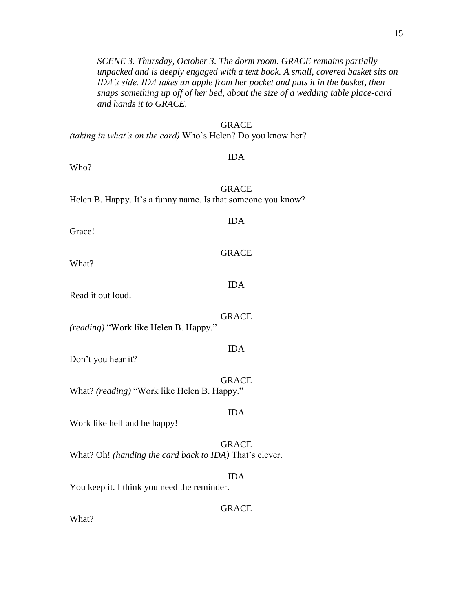*SCENE 3. Thursday, October 3. The dorm room. GRACE remains partially unpacked and is deeply engaged with a text book. A small, covered basket sits on IDA's side. IDA takes an apple from her pocket and puts it in the basket, then snaps something up off of her bed, about the size of a wedding table place-card and hands it to GRACE.* 

#### **GRACE**

IDA

*(taking in what's on the card)* Who's Helen? Do you know her?

Who?

GRACE

Helen B. Happy. It's a funny name. Is that someone you know?

Grace!

What?

Read it out loud.

*(reading)* "Work like Helen B. Happy."

Don't you hear it?

GRACE What? *(reading)* "Work like Helen B. Happy."

Work like hell and be happy!

GRACE What? Oh! *(handing the card back to IDA)* That's clever.

You keep it. I think you need the reminder.

GRACE

IDA

What?

IDA

GRACE

IDA

GRACE

IDA

IDA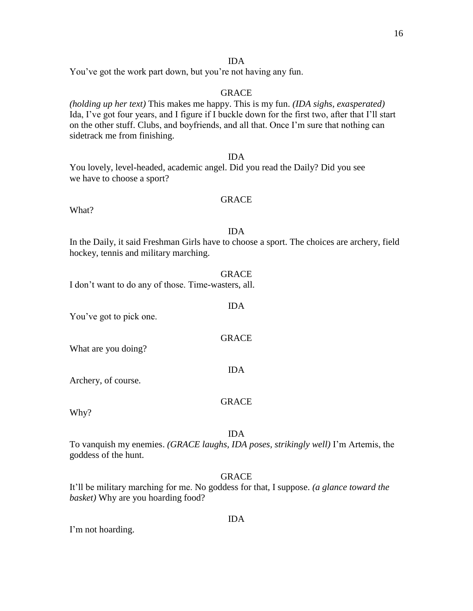## IDA

You've got the work part down, but you're not having any fun.

## GRACE

*(holding up her text)* This makes me happy. This is my fun. *(IDA sighs, exasperated)* Ida, I've got four years, and I figure if I buckle down for the first two, after that I'll start on the other stuff. Clubs, and boyfriends, and all that. Once I'm sure that nothing can sidetrack me from finishing.

IDA You lovely, level-headed, academic angel. Did you read the Daily? Did you see we have to choose a sport?

## GRACE

What?

## IDA

In the Daily, it said Freshman Girls have to choose a sport. The choices are archery, field hockey, tennis and military marching.

#### GRACE

IDA

GRACE

IDA

I don't want to do any of those. Time-wasters, all.

You've got to pick one.

What are you doing?

Archery, of course.

#### GRACE

Why?

## IDA

To vanquish my enemies. *(GRACE laughs, IDA poses, strikingly well)* I'm Artemis, the goddess of the hunt.

## GRACE

It'll be military marching for me. No goddess for that, I suppose. *(a glance toward the basket)* Why are you hoarding food?

I'm not hoarding.

#### IDA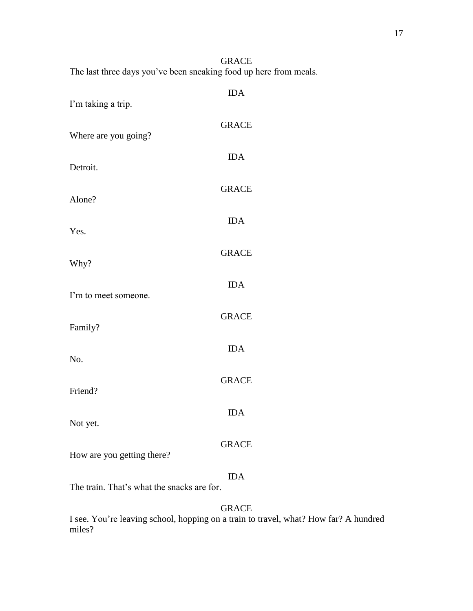GRACE The last three days you've been sneaking food up here from meals.

| I'm taking a trip.         | <b>IDA</b>   |
|----------------------------|--------------|
| Where are you going?       | <b>GRACE</b> |
| Detroit.                   | <b>IDA</b>   |
| Alone?                     | <b>GRACE</b> |
| Yes.                       | <b>IDA</b>   |
| Why?                       | <b>GRACE</b> |
| I'm to meet someone.       | <b>IDA</b>   |
| Family?                    | <b>GRACE</b> |
| No.                        | <b>IDA</b>   |
| Friend?                    | <b>GRACE</b> |
|                            | <b>IDA</b>   |
| Not yet.                   | <b>GRACE</b> |
| How are you getting there? | <b>IDA</b>   |

The train. That's what the snacks are for.

GRACE

I see. You're leaving school, hopping on a train to travel, what? How far? A hundred miles?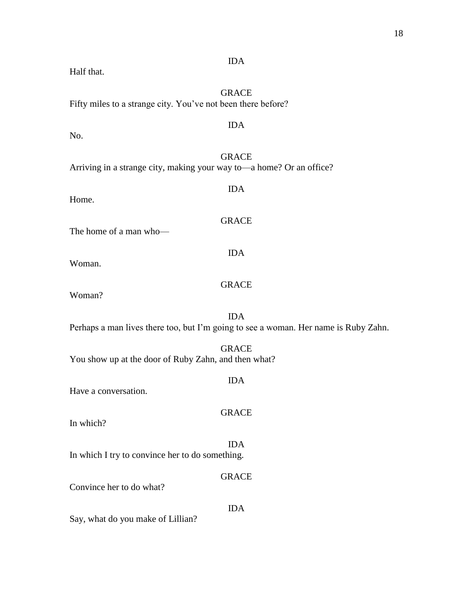|                                                                        | <b>GRACE</b>                                                                        |  |  |
|------------------------------------------------------------------------|-------------------------------------------------------------------------------------|--|--|
| Fifty miles to a strange city. You've not been there before?           |                                                                                     |  |  |
|                                                                        |                                                                                     |  |  |
| No.                                                                    | <b>IDA</b>                                                                          |  |  |
|                                                                        |                                                                                     |  |  |
|                                                                        | <b>GRACE</b>                                                                        |  |  |
| Arriving in a strange city, making your way to — a home? Or an office? |                                                                                     |  |  |
|                                                                        | <b>IDA</b>                                                                          |  |  |
| Home.                                                                  |                                                                                     |  |  |
|                                                                        |                                                                                     |  |  |
|                                                                        | <b>GRACE</b>                                                                        |  |  |
| The home of a man who-                                                 |                                                                                     |  |  |
|                                                                        | <b>IDA</b>                                                                          |  |  |
| Woman.                                                                 |                                                                                     |  |  |
|                                                                        |                                                                                     |  |  |
|                                                                        | <b>GRACE</b>                                                                        |  |  |
| Woman?                                                                 |                                                                                     |  |  |
|                                                                        |                                                                                     |  |  |
|                                                                        | <b>IDA</b>                                                                          |  |  |
|                                                                        | Perhaps a man lives there too, but I'm going to see a woman. Her name is Ruby Zahn. |  |  |
|                                                                        |                                                                                     |  |  |
|                                                                        | <b>GRACE</b>                                                                        |  |  |
| You show up at the door of Ruby Zahn, and then what?                   |                                                                                     |  |  |
|                                                                        | <b>IDA</b>                                                                          |  |  |
| Have a conversation.                                                   |                                                                                     |  |  |
|                                                                        |                                                                                     |  |  |
|                                                                        | <b>GRACE</b>                                                                        |  |  |
| In which?                                                              |                                                                                     |  |  |
|                                                                        | <b>IDA</b>                                                                          |  |  |
| In which I try to convince her to do something.                        |                                                                                     |  |  |
|                                                                        |                                                                                     |  |  |
|                                                                        | <b>GRACE</b>                                                                        |  |  |
| Convince her to do what?                                               |                                                                                     |  |  |
|                                                                        | <b>IDA</b>                                                                          |  |  |

IDA

Half that.

## 18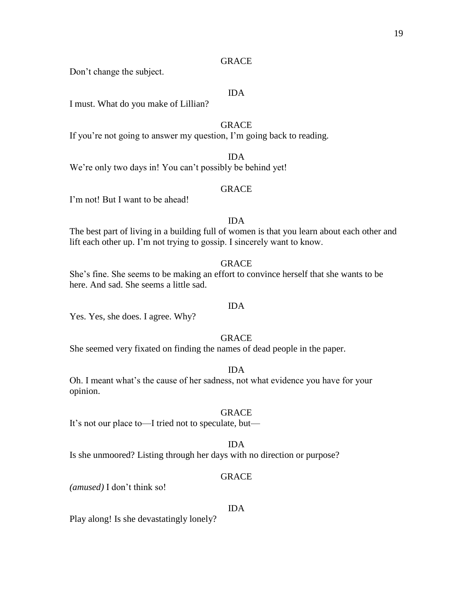Don't change the subject.

## IDA

I must. What do you make of Lillian?

## **GRACE**

If you're not going to answer my question, I'm going back to reading.

IDA

## We're only two days in! You can't possibly be behind yet!

## GRACE

I'm not! But I want to be ahead!

## IDA

The best part of living in a building full of women is that you learn about each other and lift each other up. I'm not trying to gossip. I sincerely want to know.

## GRACE

She's fine. She seems to be making an effort to convince herself that she wants to be here. And sad. She seems a little sad.

## IDA

Yes. Yes, she does. I agree. Why?

## GRACE

She seemed very fixated on finding the names of dead people in the paper.

#### IDA

Oh. I meant what's the cause of her sadness, not what evidence you have for your opinion.

## GRACE

It's not our place to—I tried not to speculate, but—

#### IDA

Is she unmoored? Listing through her days with no direction or purpose?

## GRACE

*(amused)* I don't think so!

## IDA

Play along! Is she devastatingly lonely?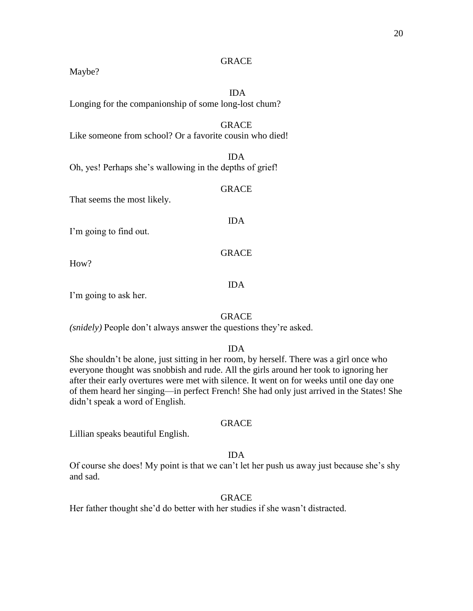Maybe?

## IDA

Longing for the companionship of some long-lost chum?

## **GRACE**

Like someone from school? Or a favorite cousin who died!

IDA Oh, yes! Perhaps she's wallowing in the depths of grief!

#### GRACE

IDA

GRACE

That seems the most likely.

I'm going to find out.

How?

#### IDA

I'm going to ask her.

#### GRACE

*(snidely)* People don't always answer the questions they're asked.

## IDA

She shouldn't be alone, just sitting in her room, by herself. There was a girl once who everyone thought was snobbish and rude. All the girls around her took to ignoring her after their early overtures were met with silence. It went on for weeks until one day one of them heard her singing—in perfect French! She had only just arrived in the States! She didn't speak a word of English.

#### GRACE

Lillian speaks beautiful English.

#### IDA

Of course she does! My point is that we can't let her push us away just because she's shy and sad.

## GRACE

Her father thought she'd do better with her studies if she wasn't distracted.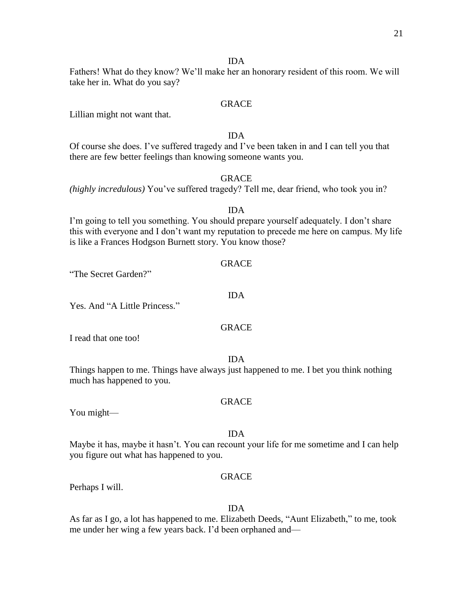#### IDA

Fathers! What do they know? We'll make her an honorary resident of this room. We will take her in. What do you say?

## GRACE

Lillian might not want that.

## IDA

Of course she does. I've suffered tragedy and I've been taken in and I can tell you that there are few better feelings than knowing someone wants you.

## GRACE

*(highly incredulous)* You've suffered tragedy? Tell me, dear friend, who took you in?

#### IDA

I'm going to tell you something. You should prepare yourself adequately. I don't share this with everyone and I don't want my reputation to precede me here on campus. My life is like a Frances Hodgson Burnett story. You know those?

GRACE

"The Secret Garden?"

Yes. And "A Little Princess."

## GRACE

IDA

I read that one too!

#### IDA

Things happen to me. Things have always just happened to me. I bet you think nothing much has happened to you.

#### GRACE

You might—

#### IDA

Maybe it has, maybe it hasn't. You can recount your life for me sometime and I can help you figure out what has happened to you.

## GRACE

Perhaps I will.

#### IDA

As far as I go, a lot has happened to me. Elizabeth Deeds, "Aunt Elizabeth," to me, took me under her wing a few years back. I'd been orphaned and—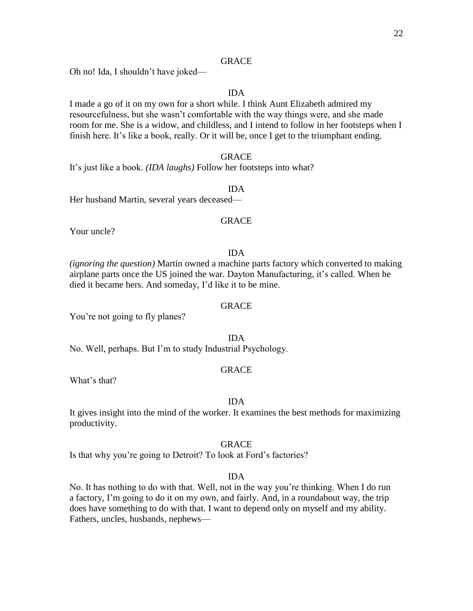Oh no! Ida, I shouldn't have joked—

## IDA

I made a go of it on my own for a short while. I think Aunt Elizabeth admired my resourcefulness, but she wasn't comfortable with the way things were, and she made room for me. She is a widow, and childless, and I intend to follow in her footsteps when I finish here. It's like a book, really. Or it will be, once I get to the triumphant ending.

## GRACE

It's just like a book. *(IDA laughs)* Follow her footsteps into what?

#### IDA

Her husband Martin, several years deceased—

## GRACE

Your uncle?

## IDA

*(ignoring the question)* Martin owned a machine parts factory which converted to making airplane parts once the US joined the war. Dayton Manufacturing, it's called. When he died it became hers. And someday, I'd like it to be mine.

## GRACE

You're not going to fly planes?

IDA

No. Well, perhaps. But I'm to study Industrial Psychology.

#### GRACE

What's that?

#### IDA

It gives insight into the mind of the worker. It examines the best methods for maximizing productivity.

#### GRACE

Is that why you're going to Detroit? To look at Ford's factories?

## IDA

No. It has nothing to do with that. Well, not in the way you're thinking. When I do run a factory, I'm going to do it on my own, and fairly. And, in a roundabout way, the trip does have something to do with that. I want to depend only on myself and my ability. Fathers, uncles, husbands, nephews—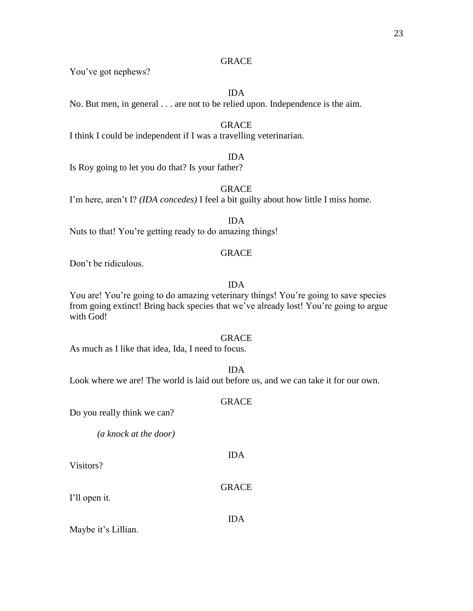You've got nephews?

IDA

No. But men, in general . . . are not to be relied upon. Independence is the aim.

## GRACE

I think I could be independent if I was a travelling veterinarian.

## IDA

Is Roy going to let you do that? Is your father?

## **GRACE**

I'm here, aren't I? *(IDA concedes)* I feel a bit guilty about how little I miss home.

IDA Nuts to that! You're getting ready to do amazing things!

## GRACE

Don't be ridiculous.

## IDA

You are! You're going to do amazing veterinary things! You're going to save species from going extinct! Bring back species that we've already lost! You're going to argue with God!

## GRACE

As much as I like that idea, Ida, I need to focus.

## IDA

Look where we are! The world is laid out before us, and we can take it for our own.

## GRACE

Do you really think we can?

*(a knock at the door)*

Visitors?

## GRACE

IDA

I'll open it.

## IDA

Maybe it's Lillian.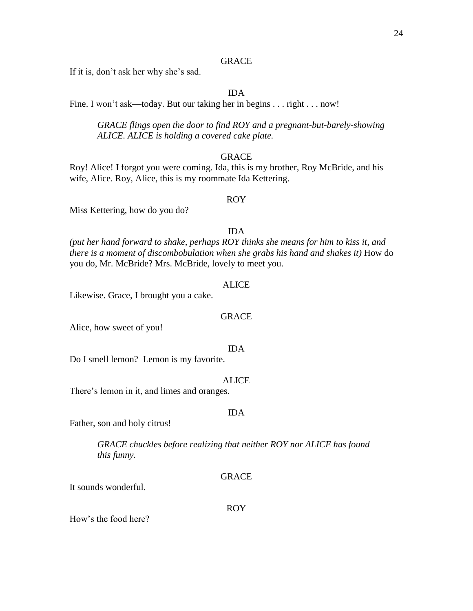If it is, don't ask her why she's sad.

## IDA

Fine. I won't ask—today. But our taking her in begins . . . right . . . now!

*GRACE flings open the door to find ROY and a pregnant-but-barely-showing ALICE. ALICE is holding a covered cake plate.*

## GRACE

Roy! Alice! I forgot you were coming. Ida, this is my brother, Roy McBride, and his wife, Alice. Roy, Alice, this is my roommate Ida Kettering.

#### ROY

Miss Kettering, how do you do?

## IDA

*(put her hand forward to shake, perhaps ROY thinks she means for him to kiss it, and there is a moment of discombobulation when she grabs his hand and shakes it)* How do you do, Mr. McBride? Mrs. McBride, lovely to meet you.

#### ALICE

Likewise. Grace, I brought you a cake.

#### GRACE

Alice, how sweet of you!

#### IDA

Do I smell lemon? Lemon is my favorite.

#### ALICE

There's lemon in it, and limes and oranges.

## IDA

Father, son and holy citrus!

*GRACE chuckles before realizing that neither ROY nor ALICE has found this funny.*

### GRACE

It sounds wonderful.

#### ROY

How's the food here?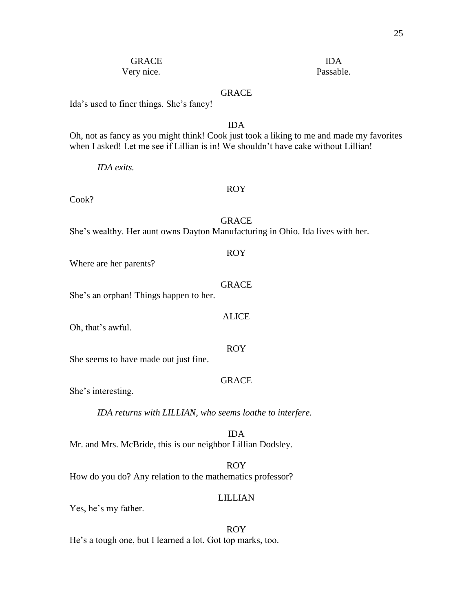## GRACE IDA Very nice. Passable.

## GRACE

Ida's used to finer things. She's fancy!

## IDA

Oh, not as fancy as you might think! Cook just took a liking to me and made my favorites when I asked! Let me see if Lillian is in! We shouldn't have cake without Lillian!

*IDA exits.*

#### ROY

Cook?

GRACE

She's wealthy. Her aunt owns Dayton Manufacturing in Ohio. Ida lives with her.

#### ROY

Where are her parents?

## **GRACE**

ALICE

ROY

She's an orphan! Things happen to her.

Oh, that's awful.

She seems to have made out just fine.

## GRACE

She's interesting.

*IDA returns with LILLIAN, who seems loathe to interfere.*

IDA Mr. and Mrs. McBride, this is our neighbor Lillian Dodsley.

ROY

How do you do? Any relation to the mathematics professor?

## LILLIAN

Yes, he's my father.

## ROY

He's a tough one, but I learned a lot. Got top marks, too.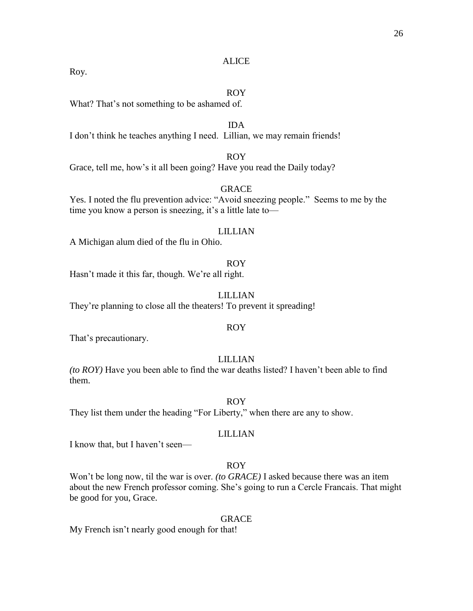#### ALICE

Roy.

## ROY

What? That's not something to be ashamed of.

#### IDA

I don't think he teaches anything I need. Lillian, we may remain friends!

## ROY

Grace, tell me, how's it all been going? Have you read the Daily today?

#### GRACE

Yes. I noted the flu prevention advice: "Avoid sneezing people." Seems to me by the time you know a person is sneezing, it's a little late to—

#### LILLIAN

A Michigan alum died of the flu in Ohio.

#### ROY

Hasn't made it this far, though. We're all right.

### LILLIAN

They're planning to close all the theaters! To prevent it spreading!

## ROY

That's precautionary.

## LILLIAN

*(to ROY)* Have you been able to find the war deaths listed? I haven't been able to find them.

ROY

They list them under the heading "For Liberty," when there are any to show.

## LILLIAN

I know that, but I haven't seen—

## ROY

Won't be long now, til the war is over. *(to GRACE)* I asked because there was an item about the new French professor coming. She's going to run a Cercle Francais. That might be good for you, Grace.

#### GRACE

My French isn't nearly good enough for that!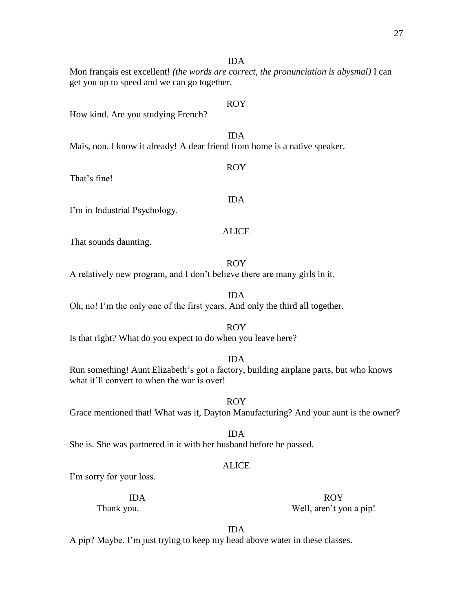IDA

ROY

ROY

IDA

Mon français est excellent! *(the words are correct, the pronunciation is abysmal)* I can get you up to speed and we can go together.

How kind. Are you studying French?

IDA Mais, non. I know it already! A dear friend from home is a native speaker.

That's fine!

I'm in Industrial Psychology.

## ALICE

That sounds daunting.

ROY

A relatively new program, and I don't believe there are many girls in it.

IDA Oh, no! I'm the only one of the first years. And only the third all together.

Is that right? What do you expect to do when you leave here?

IDA

Run something! Aunt Elizabeth's got a factory, building airplane parts, but who knows what it'll convert to when the war is over!

ROY Grace mentioned that! What was it, Dayton Manufacturing? And your aunt is the owner?

IDA She is. She was partnered in it with her husband before he passed.

## ALICE

I'm sorry for your loss.

IDA ROY Thank you. Well, aren't you a pip!

IDA

A pip? Maybe. I'm just trying to keep my head above water in these classes.

## ROY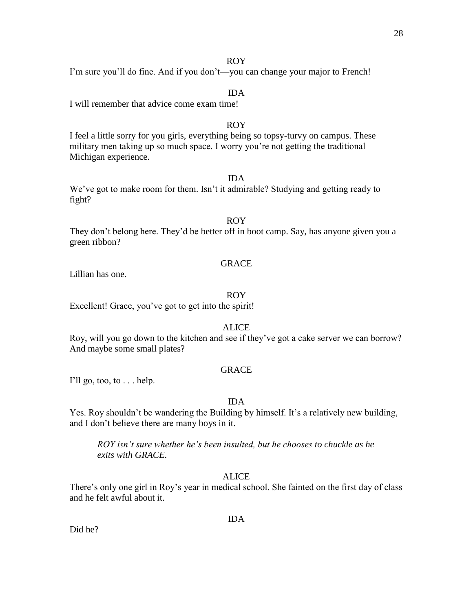## ROY

I'm sure you'll do fine. And if you don't—you can change your major to French!

## IDA

I will remember that advice come exam time!

## ROY

I feel a little sorry for you girls, everything being so topsy-turvy on campus. These military men taking up so much space. I worry you're not getting the traditional Michigan experience.

## IDA

We've got to make room for them. Isn't it admirable? Studying and getting ready to fight?

## ROY

They don't belong here. They'd be better off in boot camp. Say, has anyone given you a green ribbon?

#### GRACE

Lillian has one.

## ROY

Excellent! Grace, you've got to get into the spirit!

## ALICE

Roy, will you go down to the kitchen and see if they've got a cake server we can borrow? And maybe some small plates?

#### GRACE

I'll go, too, to  $\dots$  help.

## IDA

Yes. Roy shouldn't be wandering the Building by himself. It's a relatively new building, and I don't believe there are many boys in it.

*ROY isn't sure whether he's been insulted, but he chooses to chuckle as he exits with GRACE.*

## ALICE

There's only one girl in Roy's year in medical school. She fainted on the first day of class and he felt awful about it.

#### IDA

Did he?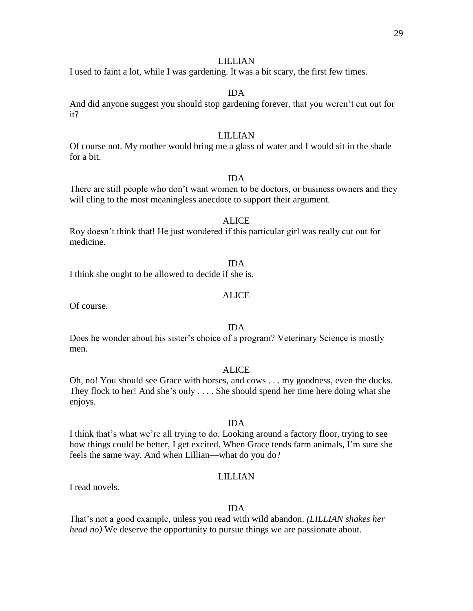I used to faint a lot, while I was gardening. It was a bit scary, the first few times.

## IDA

And did anyone suggest you should stop gardening forever, that you weren't cut out for it?

## LILLIAN

Of course not. My mother would bring me a glass of water and I would sit in the shade for a bit.

## IDA

There are still people who don't want women to be doctors, or business owners and they will cling to the most meaningless anecdote to support their argument.

## ALICE

Roy doesn't think that! He just wondered if this particular girl was really cut out for medicine.

#### IDA

I think she ought to be allowed to decide if she is.

#### ALICE

Of course.

## IDA

Does he wonder about his sister's choice of a program? Veterinary Science is mostly men.

## ALICE

Oh, no! You should see Grace with horses, and cows . . . my goodness, even the ducks. They flock to her! And she's only . . . . She should spend her time here doing what she enjoys.

#### IDA

I think that's what we're all trying to do. Looking around a factory floor, trying to see how things could be better, I get excited. When Grace tends farm animals, I'm sure she feels the same way. And when Lillian—what do you do?

#### LILLIAN

I read novels.

## IDA

That's not a good example, unless you read with wild abandon. *(LILLIAN shakes her head no)* We deserve the opportunity to pursue things we are passionate about.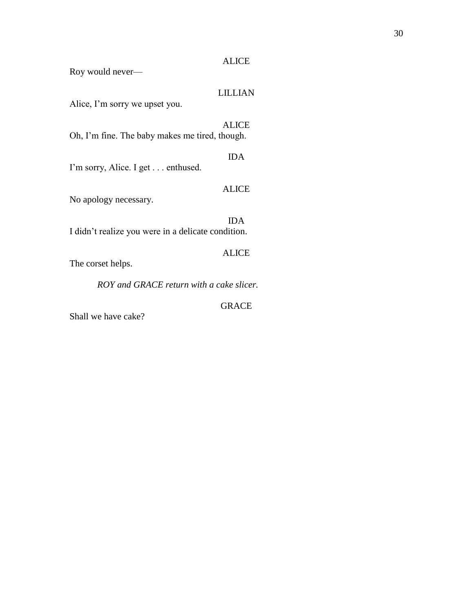## ALICE

Roy would never—

## LILLIAN

Alice, I'm sorry we upset you.

## ALICE Oh, I'm fine. The baby makes me tired, though.

IDA

I'm sorry, Alice. I get . . . enthused.

## ALICE

No apology necessary.

IDA I didn't realize you were in a delicate condition.

The corset helps.

*ROY and GRACE return with a cake slicer.* 

GRACE

ALICE

Shall we have cake?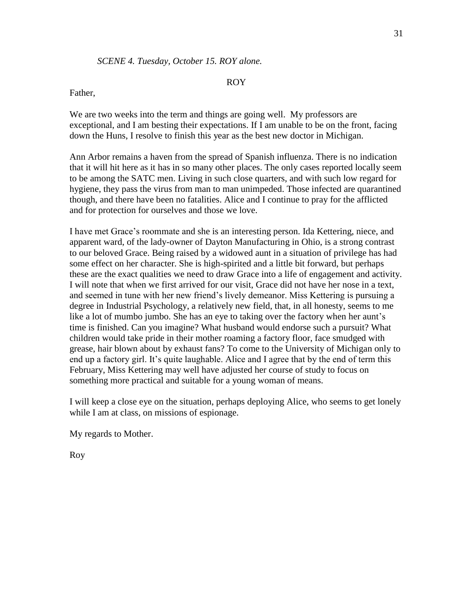### ROY

## Father,

We are two weeks into the term and things are going well. My professors are exceptional, and I am besting their expectations. If I am unable to be on the front, facing down the Huns, I resolve to finish this year as the best new doctor in Michigan.

Ann Arbor remains a haven from the spread of Spanish influenza. There is no indication that it will hit here as it has in so many other places. The only cases reported locally seem to be among the SATC men. Living in such close quarters, and with such low regard for hygiene, they pass the virus from man to man unimpeded. Those infected are quarantined though, and there have been no fatalities. Alice and I continue to pray for the afflicted and for protection for ourselves and those we love.

I have met Grace's roommate and she is an interesting person. Ida Kettering, niece, and apparent ward, of the lady-owner of Dayton Manufacturing in Ohio, is a strong contrast to our beloved Grace. Being raised by a widowed aunt in a situation of privilege has had some effect on her character. She is high-spirited and a little bit forward, but perhaps these are the exact qualities we need to draw Grace into a life of engagement and activity. I will note that when we first arrived for our visit, Grace did not have her nose in a text, and seemed in tune with her new friend's lively demeanor. Miss Kettering is pursuing a degree in Industrial Psychology, a relatively new field, that, in all honesty, seems to me like a lot of mumbo jumbo. She has an eye to taking over the factory when her aunt's time is finished. Can you imagine? What husband would endorse such a pursuit? What children would take pride in their mother roaming a factory floor, face smudged with grease, hair blown about by exhaust fans? To come to the University of Michigan only to end up a factory girl. It's quite laughable. Alice and I agree that by the end of term this February, Miss Kettering may well have adjusted her course of study to focus on something more practical and suitable for a young woman of means.

I will keep a close eye on the situation, perhaps deploying Alice, who seems to get lonely while I am at class, on missions of espionage.

My regards to Mother.

Roy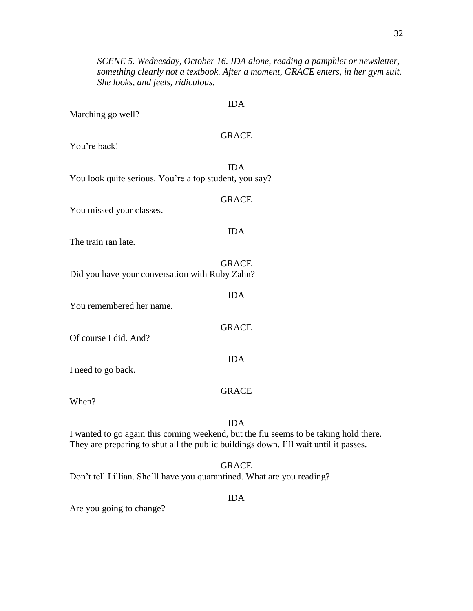*SCENE 5. Wednesday, October 16. IDA alone, reading a pamphlet or newsletter, something clearly not a textbook. After a moment, GRACE enters, in her gym suit. She looks, and feels, ridiculous.*

Marching go well?

## GRACE

IDA

You're back!

IDA You look quite serious. You're a top student, you say?

|                                                | <b>GRACE</b> |
|------------------------------------------------|--------------|
| You missed your classes.                       |              |
| The train ran late.                            | IDA          |
| Did you have your conversation with Ruby Zahn? | <b>GRACE</b> |
| You remembered her name.                       | IDA.         |
| Of course I did. And?                          | <b>GRACE</b> |
|                                                | 11 ) A       |

I need to go back.

## GRACE

When?

## IDA

I wanted to go again this coming weekend, but the flu seems to be taking hold there. They are preparing to shut all the public buildings down. I'll wait until it passes.

## GRACE

Don't tell Lillian. She'll have you quarantined. What are you reading?

## IDA

Are you going to change?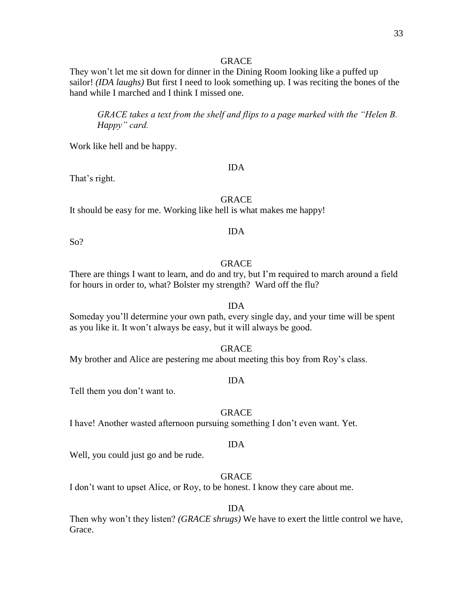They won't let me sit down for dinner in the Dining Room looking like a puffed up sailor! *(IDA laughs)* But first I need to look something up. I was reciting the bones of the hand while I marched and I think I missed one.

*GRACE takes a text from the shelf and flips to a page marked with the "Helen B. Happy" card.*

Work like hell and be happy.

## IDA

That's right.

## **GRACE**

IDA

It should be easy for me. Working like hell is what makes me happy!

So?

## GRACE

There are things I want to learn, and do and try, but I'm required to march around a field for hours in order to, what? Bolster my strength? Ward off the flu?

#### IDA

Someday you'll determine your own path, every single day, and your time will be spent as you like it. It won't always be easy, but it will always be good.

GRACE

My brother and Alice are pestering me about meeting this boy from Roy's class.

### IDA

Tell them you don't want to.

## GRACE

I have! Another wasted afternoon pursuing something I don't even want. Yet.

#### IDA

Well, you could just go and be rude.

## GRACE

I don't want to upset Alice, or Roy, to be honest. I know they care about me.

## IDA

Then why won't they listen? *(GRACE shrugs)* We have to exert the little control we have, Grace.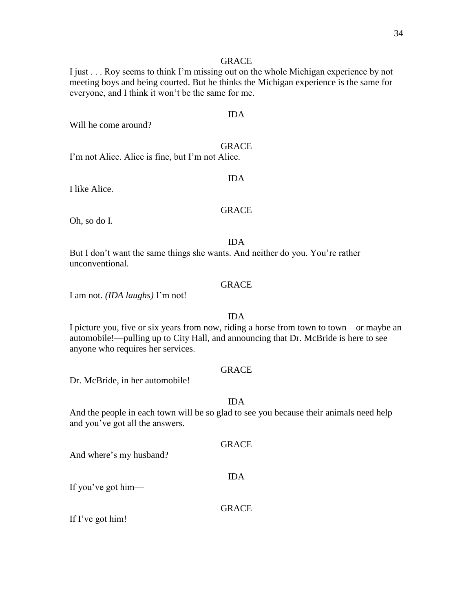I just . . . Roy seems to think I'm missing out on the whole Michigan experience by not meeting boys and being courted. But he thinks the Michigan experience is the same for everyone, and I think it won't be the same for me.

Will he come around?

## GRACE

IDA

I'm not Alice. Alice is fine, but I'm not Alice.

I like Alice.

## GRACE

IDA

Oh, so do I.

#### IDA

But I don't want the same things she wants. And neither do you. You're rather unconventional.

## GRACE

I am not. *(IDA laughs)* I'm not!

## IDA

I picture you, five or six years from now, riding a horse from town to town—or maybe an automobile!—pulling up to City Hall, and announcing that Dr. McBride is here to see anyone who requires her services.

## GRACE

Dr. McBride, in her automobile!

#### IDA

And the people in each town will be so glad to see you because their animals need help and you've got all the answers.

## **GRACE**

And where's my husband?

## IDA

If you've got him—

#### GRACE

If I've got him!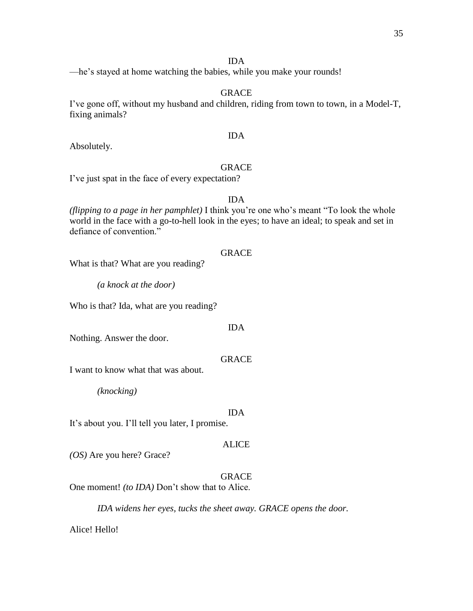## IDA

—he's stayed at home watching the babies, while you make your rounds!

## GRACE

I've gone off, without my husband and children, riding from town to town, in a Model-T, fixing animals?

## IDA

Absolutely.

## GRACE

I've just spat in the face of every expectation?

## IDA

*(flipping to a page in her pamphlet)* I think you're one who's meant "To look the whole world in the face with a go-to-hell look in the eyes; to have an ideal; to speak and set in defiance of convention."

#### **GRACE**

What is that? What are you reading?

*(a knock at the door)* 

Who is that? Ida, what are you reading?

## IDA

Nothing. Answer the door.

#### GRACE

I want to know what that was about.

*(knocking)*

#### IDA

It's about you. I'll tell you later, I promise.

## ALICE

*(OS)* Are you here? Grace?

## GRACE

One moment! *(to IDA)* Don't show that to Alice.

*IDA widens her eyes, tucks the sheet away. GRACE opens the door.*

Alice! Hello!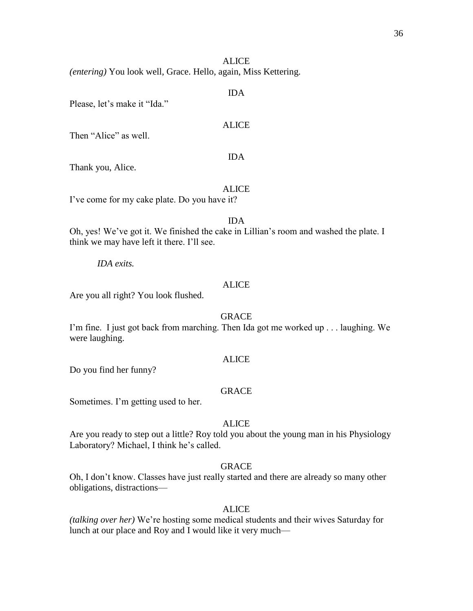## **ALICE**

*(entering)* You look well, Grace. Hello, again, Miss Kettering.

## IDA

Please, let's make it "Ida."

## ALICE

Then "Alice" as well.

## IDA

Thank you, Alice.

#### ALICE

I've come for my cake plate. Do you have it?

IDA

Oh, yes! We've got it. We finished the cake in Lillian's room and washed the plate. I think we may have left it there. I'll see.

*IDA exits.*

## ALICE

Are you all right? You look flushed.

## GRACE

I'm fine. I just got back from marching. Then Ida got me worked up . . . laughing. We were laughing.

#### ALICE

Do you find her funny?

## GRACE

Sometimes. I'm getting used to her.

## ALICE

Are you ready to step out a little? Roy told you about the young man in his Physiology Laboratory? Michael, I think he's called.

## GRACE

Oh, I don't know. Classes have just really started and there are already so many other obligations, distractions—

## ALICE

*(talking over her)* We're hosting some medical students and their wives Saturday for lunch at our place and Roy and I would like it very much—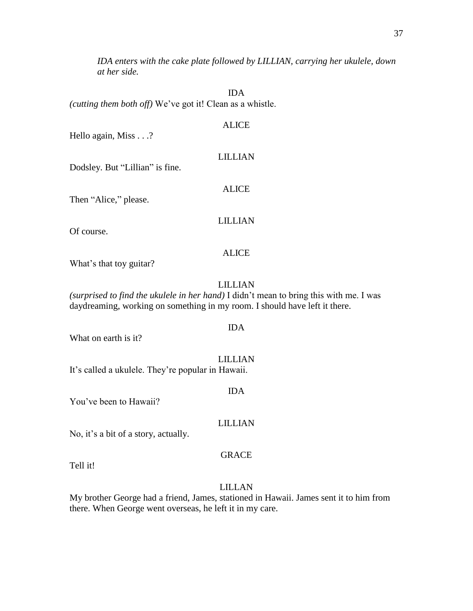*IDA enters with the cake plate followed by LILLIAN, carrying her ukulele, down at her side.*

IDA *(cutting them both off)* We've got it! Clean as a whistle.

ALICE Hello again, Miss . . .? LILLIAN Dodsley. But "Lillian" is fine. ALICE Then "Alice," please.

Of course.

# ALICE

LILLIAN

What's that toy guitar?

# LILLIAN

IDA

*(surprised to find the ukulele in her hand)* I didn't mean to bring this with me. I was daydreaming, working on something in my room. I should have left it there.

What on earth is it?

LILLIAN It's called a ukulele. They're popular in Hawaii.

IDA

You've been to Hawaii?

# LILLIAN

No, it's a bit of a story, actually.

#### GRACE

Tell it!

# LILLAN

My brother George had a friend, James, stationed in Hawaii. James sent it to him from there. When George went overseas, he left it in my care.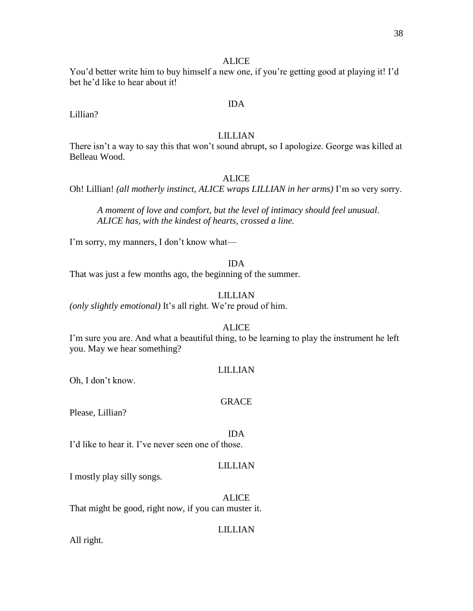# **ALICE**

You'd better write him to buy himself a new one, if you're getting good at playing it! I'd bet he'd like to hear about it!

## IDA

Lillian?

# LILLIAN

There isn't a way to say this that won't sound abrupt, so I apologize. George was killed at Belleau Wood.

# ALICE

Oh! Lillian! *(all motherly instinct, ALICE wraps LILLIAN in her arms)* I'm so very sorry.

*A moment of love and comfort, but the level of intimacy should feel unusual. ALICE has, with the kindest of hearts, crossed a line.*

I'm sorry, my manners, I don't know what—

#### IDA

That was just a few months ago, the beginning of the summer.

#### LILLIAN

*(only slightly emotional)* It's all right. We're proud of him.

# ALICE

I'm sure you are. And what a beautiful thing, to be learning to play the instrument he left you. May we hear something?

#### LILLIAN

Oh, I don't know.

#### GRACE

Please, Lillian?

#### IDA

I'd like to hear it. I've never seen one of those.

### LILLIAN

I mostly play silly songs.

# ALICE

That might be good, right now, if you can muster it.

# LILLIAN

All right.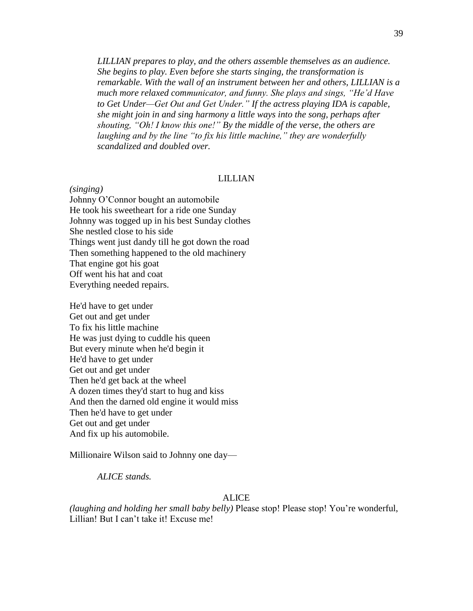*LILLIAN prepares to play, and the others assemble themselves as an audience. She begins to play. Even before she starts singing, the transformation is remarkable. With the wall of an instrument between her and others, LILLIAN is a much more relaxed communicator, and funny. She plays and sings, "He'd Have to Get Under—Get Out and Get Under." If the actress playing IDA is capable, she might join in and sing harmony a little ways into the song, perhaps after shouting, "Oh! I know this one!" By the middle of the verse, the others are laughing and by the line "to fix his little machine," they are wonderfully scandalized and doubled over.* 

# LILLIAN

*(singing)* Johnny O'Connor bought an automobile He took his sweetheart for a ride one Sunday Johnny was togged up in his best Sunday clothes She nestled close to his side Things went just dandy till he got down the road Then something happened to the old machinery That engine got his goat Off went his hat and coat Everything needed repairs.

He'd have to get under Get out and get under To fix his little machine He was just dying to cuddle his queen But every minute when he'd begin it He'd have to get under Get out and get under Then he'd get back at the wheel A dozen times they'd start to hug and kiss And then the darned old engine it would miss Then he'd have to get under Get out and get under And fix up his automobile.

Millionaire Wilson said to Johnny one day—

*ALICE stands.*

#### ALICE

*(laughing and holding her small baby belly)* Please stop! Please stop! You're wonderful, Lillian! But I can't take it! Excuse me!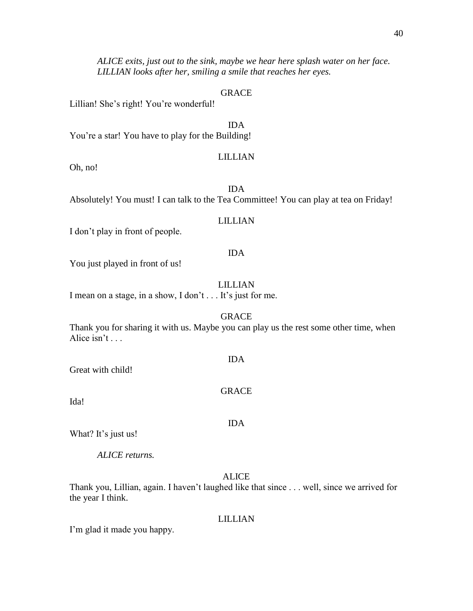*ALICE exits, just out to the sink, maybe we hear here splash water on her face. LILLIAN looks after her, smiling a smile that reaches her eyes.*

# GRACE

Lillian! She's right! You're wonderful!

IDA You're a star! You have to play for the Building!

# LILLIAN

Oh, no!

IDA Absolutely! You must! I can talk to the Tea Committee! You can play at tea on Friday!

# LILLIAN

I don't play in front of people.

#### IDA

You just played in front of us!

#### LILLIAN

I mean on a stage, in a show, I don't . . . It's just for me.

#### GRACE

Thank you for sharing it with us. Maybe you can play us the rest some other time, when Alice isn't . . .

IDA

GRACE

IDA

Great with child!

Ida!

What? It's just us!

*ALICE returns.*

#### ALICE

Thank you, Lillian, again. I haven't laughed like that since . . . well, since we arrived for the year I think.

#### LILLIAN

I'm glad it made you happy.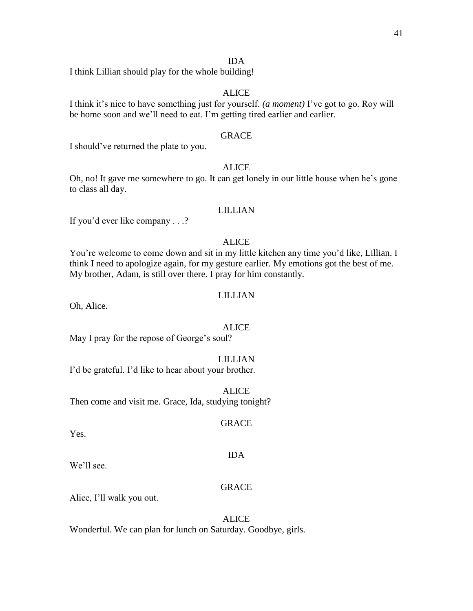#### IDA

I think Lillian should play for the whole building!

# ALICE

I think it's nice to have something just for yourself. *(a moment)* I've got to go. Roy will be home soon and we'll need to eat. I'm getting tired earlier and earlier.

# GRACE

I should've returned the plate to you.

# **ALICE**

Oh, no! It gave me somewhere to go. It can get lonely in our little house when he's gone to class all day.

# LILLIAN

If you'd ever like company . . .?

# ALICE

You're welcome to come down and sit in my little kitchen any time you'd like, Lillian. I think I need to apologize again, for my gesture earlier. My emotions got the best of me. My brother, Adam, is still over there. I pray for him constantly.

# LILLIAN

Oh, Alice.

#### ALICE

May I pray for the repose of George's soul?

#### LILLIAN

I'd be grateful. I'd like to hear about your brother.

ALICE Then come and visit me. Grace, Ida, studying tonight?

#### GRACE

IDA

Yes.

We'll see.

#### **GRACE**

Alice, I'll walk you out.

# ALICE

Wonderful. We can plan for lunch on Saturday. Goodbye, girls.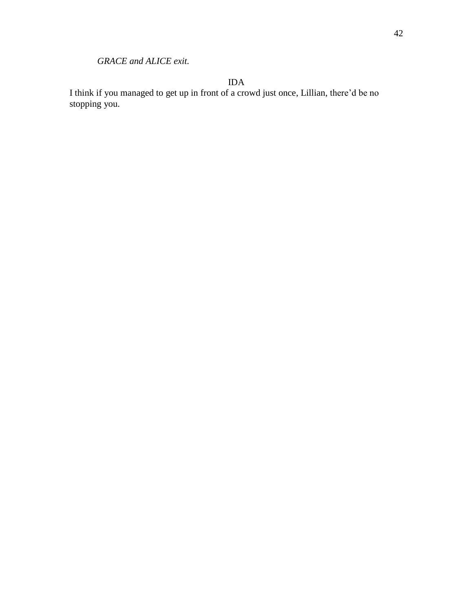*GRACE and ALICE exit.*

IDA

I think if you managed to get up in front of a crowd just once, Lillian, there'd be no stopping you.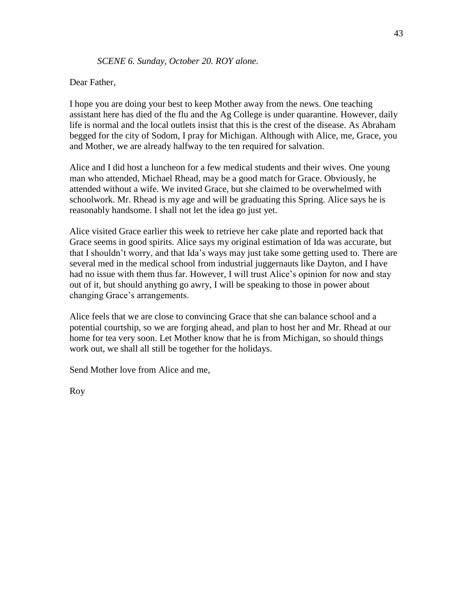# *SCENE 6. Sunday, October 20. ROY alone.*

# Dear Father,

I hope you are doing your best to keep Mother away from the news. One teaching assistant here has died of the flu and the Ag College is under quarantine. However, daily life is normal and the local outlets insist that this is the crest of the disease. As Abraham begged for the city of Sodom, I pray for Michigan. Although with Alice, me, Grace, you and Mother, we are already halfway to the ten required for salvation.

Alice and I did host a luncheon for a few medical students and their wives. One young man who attended, Michael Rhead, may be a good match for Grace. Obviously, he attended without a wife. We invited Grace, but she claimed to be overwhelmed with schoolwork. Mr. Rhead is my age and will be graduating this Spring. Alice says he is reasonably handsome. I shall not let the idea go just yet.

Alice visited Grace earlier this week to retrieve her cake plate and reported back that Grace seems in good spirits. Alice says my original estimation of Ida was accurate, but that I shouldn't worry, and that Ida's ways may just take some getting used to. There are several med in the medical school from industrial juggernauts like Dayton, and I have had no issue with them thus far. However, I will trust Alice's opinion for now and stay out of it, but should anything go awry, I will be speaking to those in power about changing Grace's arrangements.

Alice feels that we are close to convincing Grace that she can balance school and a potential courtship, so we are forging ahead, and plan to host her and Mr. Rhead at our home for tea very soon. Let Mother know that he is from Michigan, so should things work out, we shall all still be together for the holidays.

Send Mother love from Alice and me,

Roy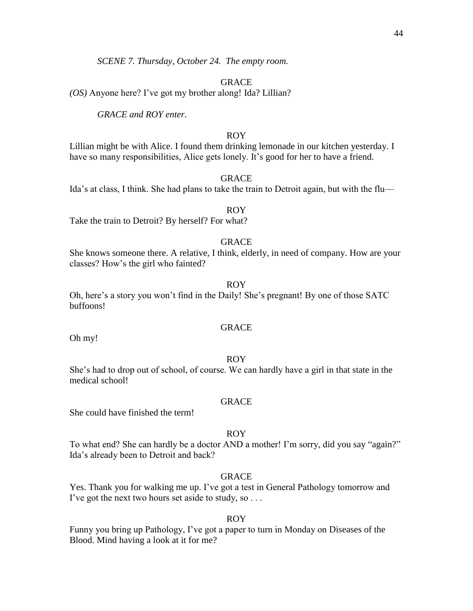*SCENE 7. Thursday, October 24. The empty room.* 

GRACE

*(OS)* Anyone here? I've got my brother along! Ida? Lillian?

*GRACE and ROY enter.*

# ROY

Lillian might be with Alice. I found them drinking lemonade in our kitchen yesterday. I have so many responsibilities, Alice gets lonely. It's good for her to have a friend.

GRACE

Ida's at class, I think. She had plans to take the train to Detroit again, but with the flu—

ROY Take the train to Detroit? By herself? For what?

# GRACE

She knows someone there. A relative, I think, elderly, in need of company. How are your classes? How's the girl who fainted?

ROY

Oh, here's a story you won't find in the Daily! She's pregnant! By one of those SATC buffoons!

# GRACE

Oh my!

# ROY

She's had to drop out of school, of course. We can hardly have a girl in that state in the medical school!

# GRACE

She could have finished the term!

# ROY

To what end? She can hardly be a doctor AND a mother! I'm sorry, did you say "again?" Ida's already been to Detroit and back?

# GRACE

Yes. Thank you for walking me up. I've got a test in General Pathology tomorrow and I've got the next two hours set aside to study, so . . .

# ROY

Funny you bring up Pathology, I've got a paper to turn in Monday on Diseases of the Blood. Mind having a look at it for me?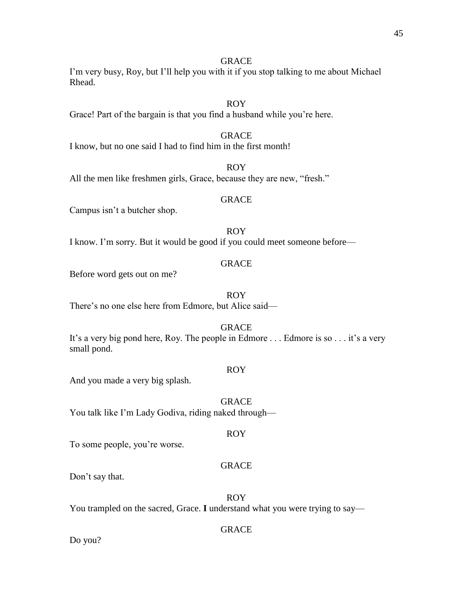I'm very busy, Roy, but I'll help you with it if you stop talking to me about Michael Rhead.

# ROY

Grace! Part of the bargain is that you find a husband while you're here.

# GRACE

I know, but no one said I had to find him in the first month!

ROY All the men like freshmen girls, Grace, because they are new, "fresh."

# GRACE

Campus isn't a butcher shop.

ROY I know. I'm sorry. But it would be good if you could meet someone before—

# GRACE

Before word gets out on me?

ROY

There's no one else here from Edmore, but Alice said—

# GRACE

It's a very big pond here, Roy. The people in Edmore . . . Edmore is so . . . it's a very small pond.

# ROY

And you made a very big splash.

**GRACE** You talk like I'm Lady Godiva, riding naked through—

# To some people, you're worse.

# GRACE

ROY

Don't say that.

ROY

You trampled on the sacred, Grace. **I** understand what you were trying to say—

# GRACE

Do you?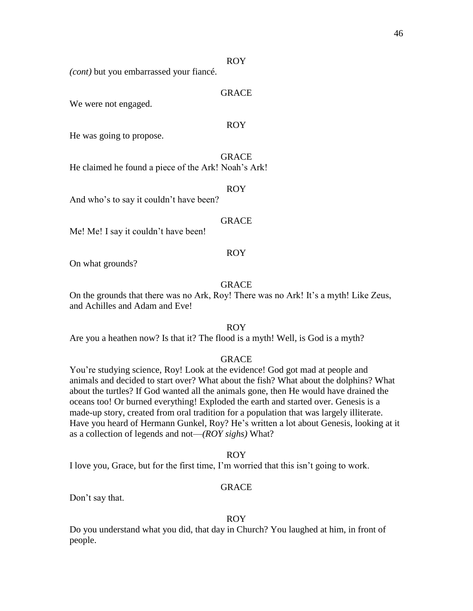#### ROY

*(cont)* but you embarrassed your fiancé.

# GRACE

We were not engaged.

#### ROY

He was going to propose.

GRACE

He claimed he found a piece of the Ark! Noah's Ark!

ROY

And who's to say it couldn't have been?

# GRACE

Me! Me! I say it couldn't have been!

#### ROY

On what grounds?

# GRACE

On the grounds that there was no Ark, Roy! There was no Ark! It's a myth! Like Zeus, and Achilles and Adam and Eve!

# ROY

Are you a heathen now? Is that it? The flood is a myth! Well, is God is a myth?

#### GRACE

You're studying science, Roy! Look at the evidence! God got mad at people and animals and decided to start over? What about the fish? What about the dolphins? What about the turtles? If God wanted all the animals gone, then He would have drained the oceans too! Or burned everything! Exploded the earth and started over. Genesis is a made-up story, created from oral tradition for a population that was largely illiterate. Have you heard of Hermann Gunkel, Roy? He's written a lot about Genesis, looking at it as a collection of legends and not—*(ROY sighs)* What?

#### ROY

I love you, Grace, but for the first time, I'm worried that this isn't going to work.

#### GRACE

Don't say that.

# ROY

Do you understand what you did, that day in Church? You laughed at him, in front of people.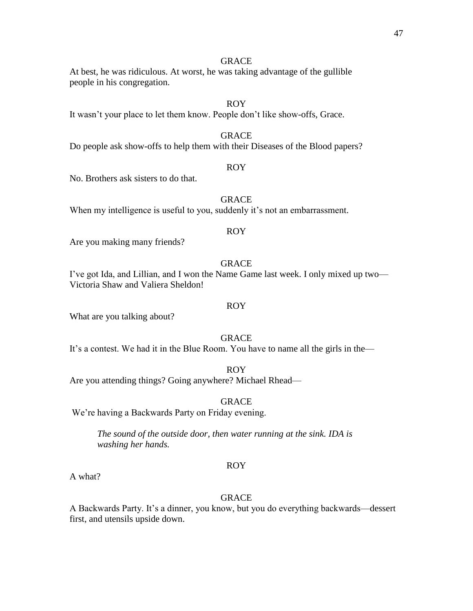At best, he was ridiculous. At worst, he was taking advantage of the gullible people in his congregation.

# ROY

It wasn't your place to let them know. People don't like show-offs, Grace.

# GRACE

Do people ask show-offs to help them with their Diseases of the Blood papers?

# ROY

No. Brothers ask sisters to do that.

# **GRACE**

When my intelligence is useful to you, suddenly it's not an embarrassment.

# ROY

Are you making many friends?

# GRACE

I've got Ida, and Lillian, and I won the Name Game last week. I only mixed up two— Victoria Shaw and Valiera Sheldon!

# ROY

What are you talking about?

# GRACE

It's a contest. We had it in the Blue Room. You have to name all the girls in the—

# ROY

Are you attending things? Going anywhere? Michael Rhead—

#### GRACE

We're having a Backwards Party on Friday evening.

*The sound of the outside door, then water running at the sink. IDA is washing her hands.*

#### ROY

A what?

# **GRACE**

A Backwards Party. It's a dinner, you know, but you do everything backwards—dessert first, and utensils upside down.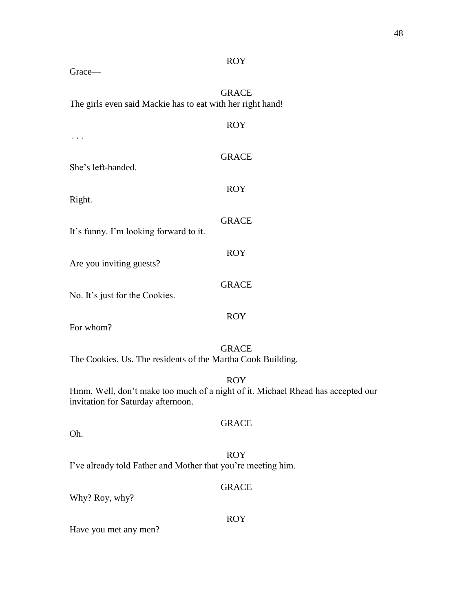| <b>ROY</b>                                                                                                                          |
|-------------------------------------------------------------------------------------------------------------------------------------|
| Grace-                                                                                                                              |
| <b>GRACE</b><br>The girls even said Mackie has to eat with her right hand!                                                          |
| <b>ROY</b>                                                                                                                          |
|                                                                                                                                     |
| <b>GRACE</b><br>She's left-handed.                                                                                                  |
| <b>ROY</b><br>Right.                                                                                                                |
| <b>GRACE</b>                                                                                                                        |
| It's funny. I'm looking forward to it.                                                                                              |
| <b>ROY</b><br>Are you inviting guests?                                                                                              |
| <b>GRACE</b><br>No. It's just for the Cookies.                                                                                      |
| <b>ROY</b><br>For whom?                                                                                                             |
| <b>GRACE</b><br>The Cookies. Us. The residents of the Martha Cook Building.                                                         |
| <b>ROY</b><br>Hmm. Well, don't make too much of a night of it. Michael Rhead has accepted our<br>invitation for Saturday afternoon. |
| <b>GRACE</b>                                                                                                                        |
| Oh.                                                                                                                                 |
| <b>ROY</b><br>I've already told Father and Mother that you're meeting him.                                                          |
| <b>GRACE</b><br>Why? Roy, why?                                                                                                      |
| <b>ROY</b><br>Have you met any men?                                                                                                 |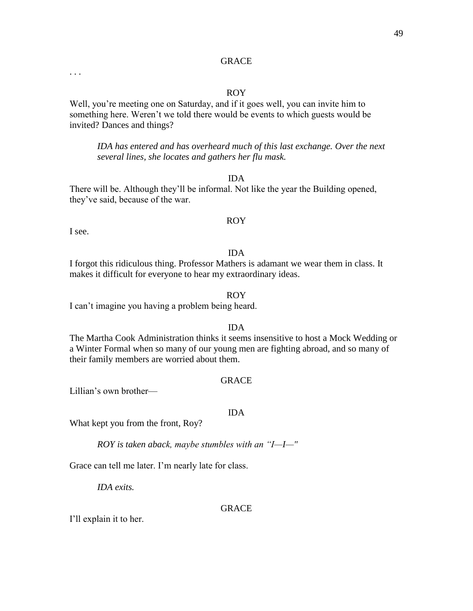# ROY

Well, you're meeting one on Saturday, and if it goes well, you can invite him to something here. Weren't we told there would be events to which guests would be invited? Dances and things?

*IDA has entered and has overheard much of this last exchange. Over the next several lines, she locates and gathers her flu mask.*

# IDA

There will be. Although they'll be informal. Not like the year the Building opened, they've said, because of the war.

# ROY

I see.

. . .

#### IDA

I forgot this ridiculous thing. Professor Mathers is adamant we wear them in class. It makes it difficult for everyone to hear my extraordinary ideas.

#### ROY

I can't imagine you having a problem being heard.

#### IDA

The Martha Cook Administration thinks it seems insensitive to host a Mock Wedding or a Winter Formal when so many of our young men are fighting abroad, and so many of their family members are worried about them.

#### GRACE

Lillian's own brother—

#### IDA

What kept you from the front, Roy?

*ROY is taken aback, maybe stumbles with an "I—I—"*

Grace can tell me later. I'm nearly late for class.

*IDA exits.*

#### GRACE

I'll explain it to her.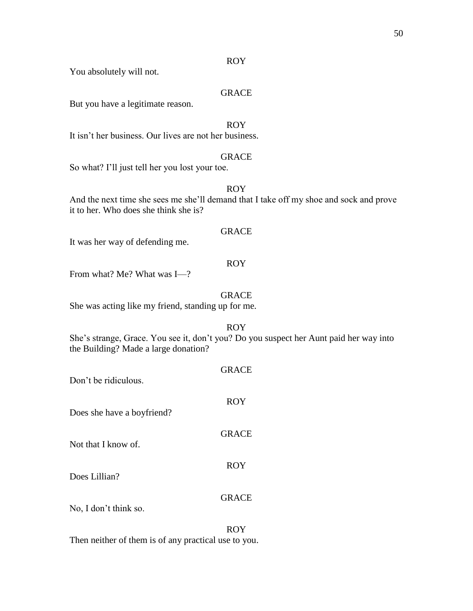#### ROY

You absolutely will not.

# GRACE

But you have a legitimate reason.

# ROY

It isn't her business. Our lives are not her business.

# GRACE

So what? I'll just tell her you lost your toe.

# ROY

And the next time she sees me she'll demand that I take off my shoe and sock and prove it to her. Who does she think she is?

# GRACE

It was her way of defending me.

# ROY

From what? Me? What was I—?

# GRACE

She was acting like my friend, standing up for me.

#### ROY

She's strange, Grace. You see it, don't you? Do you suspect her Aunt paid her way into the Building? Made a large donation?

| Don't be ridiculous.       | <b>GRACE</b> |
|----------------------------|--------------|
| Does she have a boyfriend? | <b>ROY</b>   |
| Not that I know of.        | <b>GRACE</b> |
| Does Lillian?              | <b>ROY</b>   |
| No, I don't think so.      | <b>GRACE</b> |
|                            | ROY          |

Then neither of them is of any practical use to you.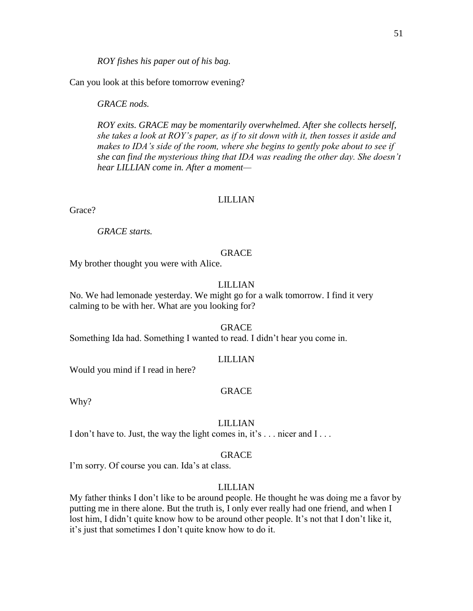*ROY fishes his paper out of his bag.*

Can you look at this before tomorrow evening?

*GRACE nods.*

*ROY exits. GRACE may be momentarily overwhelmed. After she collects herself, she takes a look at ROY's paper, as if to sit down with it, then tosses it aside and makes to IDA's side of the room, where she begins to gently poke about to see if she can find the mysterious thing that IDA was reading the other day. She doesn't hear LILLIAN come in. After a moment—*

# LILLIAN

Grace?

*GRACE starts.*

#### **GRACE**

My brother thought you were with Alice.

# LILLIAN

No. We had lemonade yesterday. We might go for a walk tomorrow. I find it very calming to be with her. What are you looking for?

#### GRACE

Something Ida had. Something I wanted to read. I didn't hear you come in.

#### LILLIAN

Would you mind if I read in here?

# GRACE

Why?

#### LILLIAN

I don't have to. Just, the way the light comes in, it's ... nicer and I...

#### GRACE

I'm sorry. Of course you can. Ida's at class.

#### LILLIAN

My father thinks I don't like to be around people. He thought he was doing me a favor by putting me in there alone. But the truth is, I only ever really had one friend, and when I lost him, I didn't quite know how to be around other people. It's not that I don't like it, it's just that sometimes I don't quite know how to do it.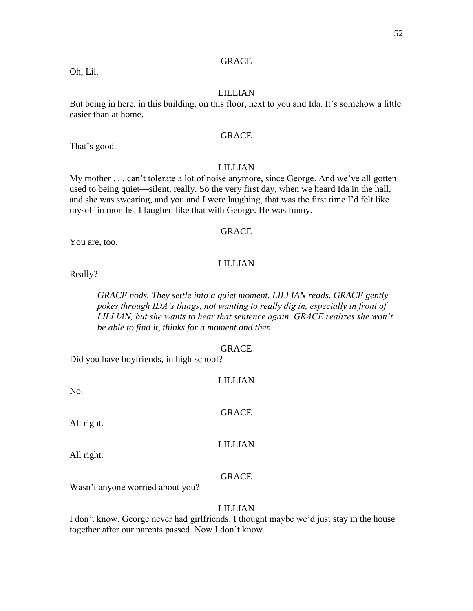Oh, Lil.

# LILLIAN

But being in here, in this building, on this floor, next to you and Ida. It's somehow a little easier than at home.

# GRACE

That's good.

# LILLIAN

My mother . . . can't tolerate a lot of noise anymore, since George. And we've all gotten used to being quiet—silent, really. So the very first day, when we heard Ida in the hall, and she was swearing, and you and I were laughing, that was the first time I'd felt like myself in months. I laughed like that with George. He was funny.

# GRACE

You are, too.

# LILLIAN

Really?

*GRACE nods. They settle into a quiet moment. LILLIAN reads. GRACE gently pokes through IDA's things, not wanting to really dig in, especially in front of LILLIAN, but she wants to hear that sentence again. GRACE realizes she won't be able to find it, thinks for a moment and then—*

# GRACE

LILLIAN

Did you have boyfriends, in high school?

No.

GRACE

All right.

LILLIAN

All right.

# GRACE

Wasn't anyone worried about you?

# LILLIAN

I don't know. George never had girlfriends. I thought maybe we'd just stay in the house together after our parents passed. Now I don't know.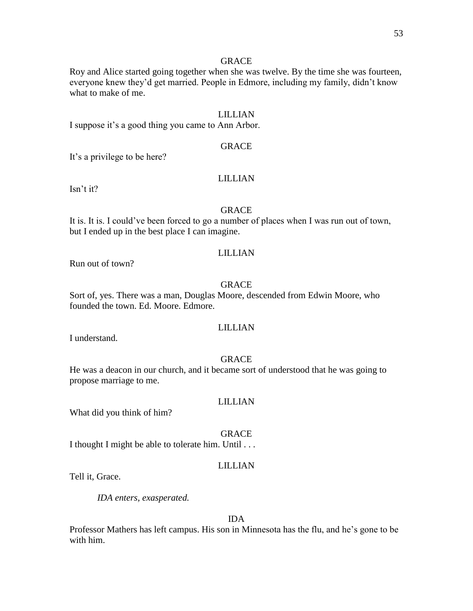Roy and Alice started going together when she was twelve. By the time she was fourteen, everyone knew they'd get married. People in Edmore, including my family, didn't know what to make of me.

# LILLIAN

I suppose it's a good thing you came to Ann Arbor.

# GRACE

It's a privilege to be here?

# LILLIAN

Isn't it?

#### GRACE

It is. It is. I could've been forced to go a number of places when I was run out of town, but I ended up in the best place I can imagine.

#### LILLIAN

Run out of town?

# GRACE

Sort of, yes. There was a man, Douglas Moore, descended from Edwin Moore, who founded the town. Ed. Moore. Edmore.

# LILLIAN

I understand.

# GRACE

He was a deacon in our church, and it became sort of understood that he was going to propose marriage to me.

#### LILLIAN

What did you think of him?

#### GRACE

I thought I might be able to tolerate him. Until . . .

### LILLIAN

Tell it, Grace.

*IDA enters, exasperated.*

#### IDA

Professor Mathers has left campus. His son in Minnesota has the flu, and he's gone to be with him.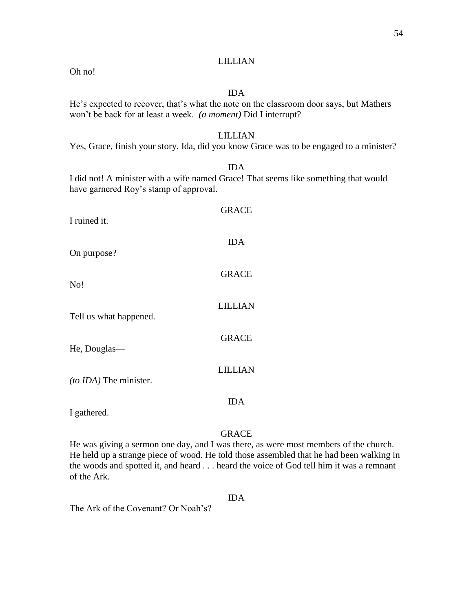# LILLIAN

Oh no!

# IDA

# He's expected to recover, that's what the note on the classroom door says, but Mathers won't be back for at least a week. *(a moment)* Did I interrupt?

# LILLIAN

# Yes, Grace, finish your story. Ida, did you know Grace was to be engaged to a minister?

IDA

I did not! A minister with a wife named Grace! That seems like something that would have garnered Roy's stamp of approval.

| I ruined it.           | <b>GRACE</b>   |
|------------------------|----------------|
| On purpose?            | <b>IDA</b>     |
| No!                    | <b>GRACE</b>   |
| Tell us what happened. | <b>LILLIAN</b> |
|                        | <b>GRACE</b>   |
| He, Douglas-           | <b>LILLIAN</b> |
| (to IDA) The minister. | IDA            |
| I gathered.            |                |

# GRACE

He was giving a sermon one day, and I was there, as were most members of the church. He held up a strange piece of wood. He told those assembled that he had been walking in the woods and spotted it, and heard . . . heard the voice of God tell him it was a remnant of the Ark.

# IDA

The Ark of the Covenant? Or Noah's?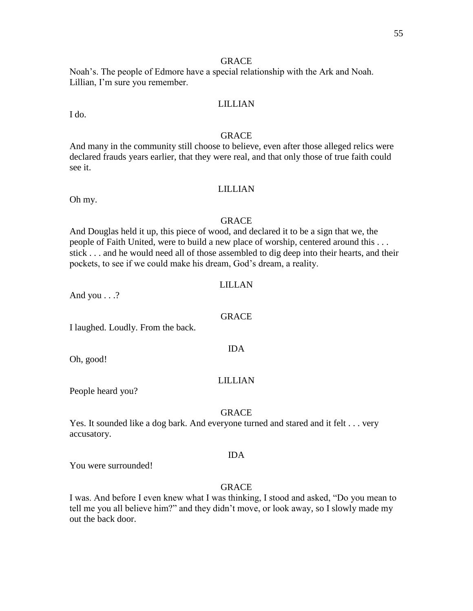Noah's. The people of Edmore have a special relationship with the Ark and Noah. Lillian, I'm sure you remember.

# LILLIAN

I do.

# GRACE

And many in the community still choose to believe, even after those alleged relics were declared frauds years earlier, that they were real, and that only those of true faith could see it.

# LILLIAN

Oh my.

# **GRACE**

And Douglas held it up, this piece of wood, and declared it to be a sign that we, the people of Faith United, were to build a new place of worship, centered around this . . . stick . . . and he would need all of those assembled to dig deep into their hearts, and their pockets, to see if we could make his dream, God's dream, a reality.

# LILLAN

GRACE

IDA

And you . . .?

I laughed. Loudly. From the back.

Oh, good!

#### LILLIAN

People heard you?

# GRACE

Yes. It sounded like a dog bark. And everyone turned and stared and it felt . . . very accusatory.

#### IDA

You were surrounded!

#### **GRACE**

I was. And before I even knew what I was thinking, I stood and asked, "Do you mean to tell me you all believe him?" and they didn't move, or look away, so I slowly made my out the back door.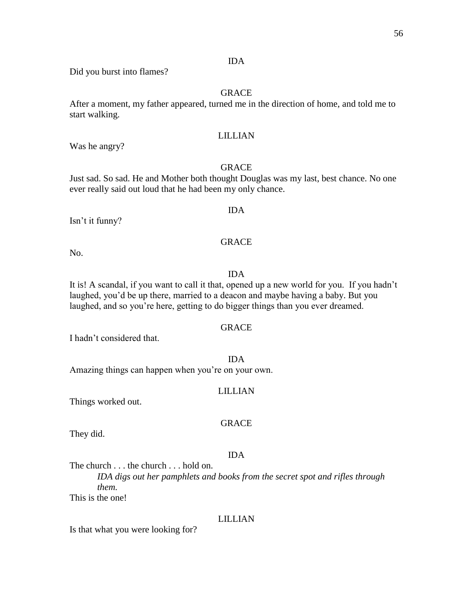# IDA

Did you burst into flames?

# GRACE

After a moment, my father appeared, turned me in the direction of home, and told me to start walking.

# LILLIAN

Was he angry?

# **GRACE**

Just sad. So sad. He and Mother both thought Douglas was my last, best chance. No one ever really said out loud that he had been my only chance.

IDA

GRACE

Isn't it funny?

No.

#### IDA

It is! A scandal, if you want to call it that, opened up a new world for you. If you hadn't laughed, you'd be up there, married to a deacon and maybe having a baby. But you laughed, and so you're here, getting to do bigger things than you ever dreamed.

# GRACE

I hadn't considered that.

#### IDA

Amazing things can happen when you're on your own.

# LILLIAN

Things worked out.

#### GRACE

They did.

#### IDA

The church . . . the church . . . hold on.

*IDA digs out her pamphlets and books from the secret spot and rifles through them.*

This is the one!

#### LILLIAN

Is that what you were looking for?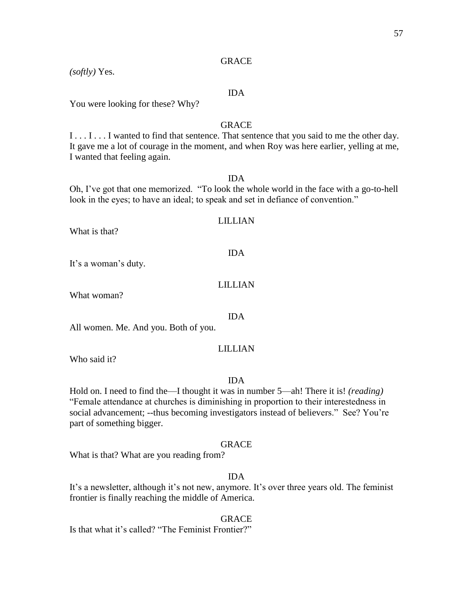# *(softly)* Yes.

# IDA

You were looking for these? Why?

# **GRACE**

I . . . I . . . I wanted to find that sentence. That sentence that you said to me the other day. It gave me a lot of courage in the moment, and when Roy was here earlier, yelling at me, I wanted that feeling again.

# IDA

Oh, I've got that one memorized. "To look the whole world in the face with a go-to-hell look in the eyes; to have an ideal; to speak and set in defiance of convention."

# LILLIAN

IDA

What is that?

It's a woman's duty.

# LILLIAN

IDA

What woman?

All women. Me. And you. Both of you.

# LILLIAN

Who said it?

#### IDA

Hold on. I need to find the—I thought it was in number 5—ah! There it is! *(reading)* "Female attendance at churches is diminishing in proportion to their interestedness in social advancement; --thus becoming investigators instead of believers." See? You're part of something bigger.

#### GRACE

What is that? What are you reading from?

# IDA

It's a newsletter, although it's not new, anymore. It's over three years old. The feminist frontier is finally reaching the middle of America.

GRACE Is that what it's called? "The Feminist Frontier?"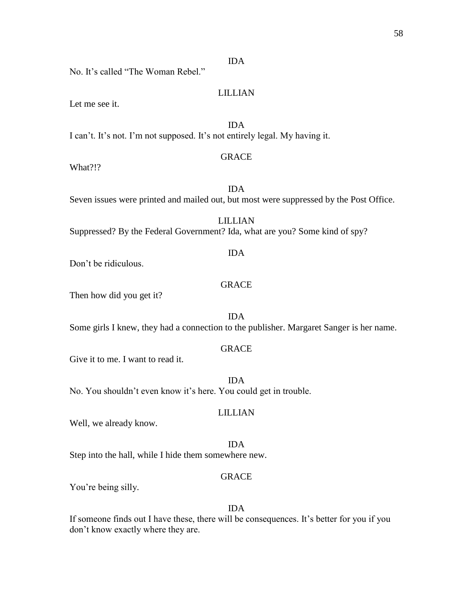No. It's called "The Woman Rebel."

LILLIAN

IDA

Let me see it.

IDA I can't. It's not. I'm not supposed. It's not entirely legal. My having it.

# GRACE

What?!?

IDA Seven issues were printed and mailed out, but most were suppressed by the Post Office.

LILLIAN Suppressed? By the Federal Government? Ida, what are you? Some kind of spy?

Don't be ridiculous.

# GRACE

Then how did you get it?

IDA Some girls I knew, they had a connection to the publisher. Margaret Sanger is her name.

#### GRACE

Give it to me. I want to read it.

IDA No. You shouldn't even know it's here. You could get in trouble.

# LILLIAN

Well, we already know.

IDA

Step into the hall, while I hide them somewhere new.

# GRACE

You're being silly.

#### IDA

If someone finds out I have these, there will be consequences. It's better for you if you don't know exactly where they are.

# IDA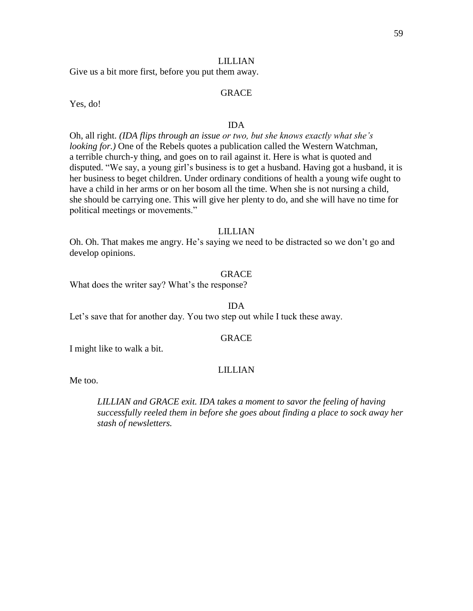# LILLIAN

Give us a bit more first, before you put them away.

# GRACE

Yes, do!

### IDA

Oh, all right. *(IDA flips through an issue or two, but she knows exactly what she's looking for.)* One of the Rebels quotes a publication called the Western Watchman, a terrible church-y thing, and goes on to rail against it. Here is what is quoted and disputed. "We say, a young girl's business is to get a husband. Having got a husband, it is her business to beget children. Under ordinary conditions of health a young wife ought to have a child in her arms or on her bosom all the time. When she is not nursing a child, she should be carrying one. This will give her plenty to do, and she will have no time for political meetings or movements."

# LILLIAN

Oh. Oh. That makes me angry. He's saying we need to be distracted so we don't go and develop opinions.

#### GRACE

What does the writer say? What's the response?

#### IDA

Let's save that for another day. You two step out while I tuck these away.

#### GRACE

I might like to walk a bit.

### LILLIAN

Me too.

*LILLIAN and GRACE exit. IDA takes a moment to savor the feeling of having successfully reeled them in before she goes about finding a place to sock away her stash of newsletters.*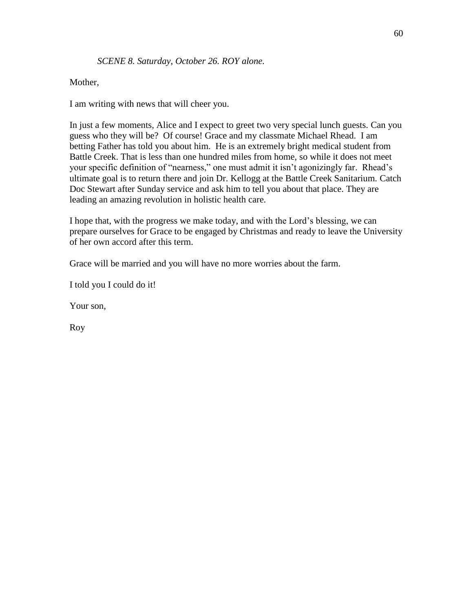# Mother,

I am writing with news that will cheer you.

In just a few moments, Alice and I expect to greet two very special lunch guests. Can you guess who they will be? Of course! Grace and my classmate Michael Rhead. I am betting Father has told you about him. He is an extremely bright medical student from Battle Creek. That is less than one hundred miles from home, so while it does not meet your specific definition of "nearness," one must admit it isn't agonizingly far. Rhead's ultimate goal is to return there and join Dr. Kellogg at the Battle Creek Sanitarium. Catch Doc Stewart after Sunday service and ask him to tell you about that place. They are leading an amazing revolution in holistic health care.

I hope that, with the progress we make today, and with the Lord's blessing, we can prepare ourselves for Grace to be engaged by Christmas and ready to leave the University of her own accord after this term.

Grace will be married and you will have no more worries about the farm.

I told you I could do it!

Your son,

Roy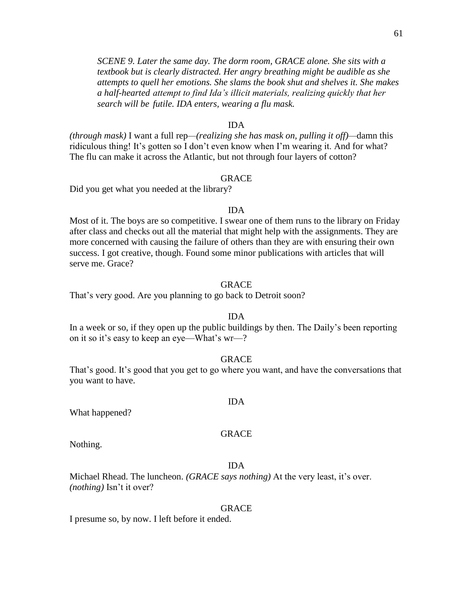*SCENE 9. Later the same day. The dorm room, GRACE alone. She sits with a textbook but is clearly distracted. Her angry breathing might be audible as she attempts to quell her emotions. She slams the book shut and shelves it. She makes a half-hearted attempt to find Ida's illicit materials, realizing quickly that her search will be futile. IDA enters, wearing a flu mask.*

#### IDA

*(through mask)* I want a full rep*—(realizing she has mask on, pulling it off)—*damn this ridiculous thing! It's gotten so I don't even know when I'm wearing it. And for what? The flu can make it across the Atlantic, but not through four layers of cotton?

#### GRACE

Did you get what you needed at the library?

#### IDA

Most of it. The boys are so competitive. I swear one of them runs to the library on Friday after class and checks out all the material that might help with the assignments. They are more concerned with causing the failure of others than they are with ensuring their own success. I got creative, though. Found some minor publications with articles that will serve me. Grace?

# GRACE

That's very good. Are you planning to go back to Detroit soon?

# IDA

In a week or so, if they open up the public buildings by then. The Daily's been reporting on it so it's easy to keep an eye—What's wr—?

#### GRACE

That's good. It's good that you get to go where you want, and have the conversations that you want to have.

#### IDA

What happened?

#### GRACE

Nothing.

#### IDA

Michael Rhead. The luncheon. *(GRACE says nothing)* At the very least, it's over. *(nothing)* Isn't it over?

#### GRACE

I presume so, by now. I left before it ended.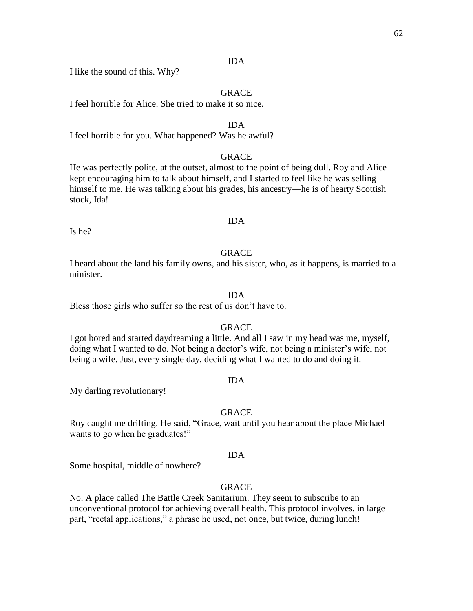# IDA

I like the sound of this. Why?

# **GRACE**

I feel horrible for Alice. She tried to make it so nice.

#### IDA

I feel horrible for you. What happened? Was he awful?

# GRACE

He was perfectly polite, at the outset, almost to the point of being dull. Roy and Alice kept encouraging him to talk about himself, and I started to feel like he was selling himself to me. He was talking about his grades, his ancestry—he is of hearty Scottish stock, Ida!

#### IDA

Is he?

# **GRACE**

I heard about the land his family owns, and his sister, who, as it happens, is married to a minister.

#### IDA

Bless those girls who suffer so the rest of us don't have to.

#### GRACE

I got bored and started daydreaming a little. And all I saw in my head was me, myself, doing what I wanted to do. Not being a doctor's wife, not being a minister's wife, not being a wife. Just, every single day, deciding what I wanted to do and doing it.

#### IDA

My darling revolutionary!

#### GRACE

Roy caught me drifting. He said, "Grace, wait until you hear about the place Michael wants to go when he graduates!"

#### IDA

Some hospital, middle of nowhere?

# **GRACE**

No. A place called The Battle Creek Sanitarium. They seem to subscribe to an unconventional protocol for achieving overall health. This protocol involves, in large part, "rectal applications," a phrase he used, not once, but twice, during lunch!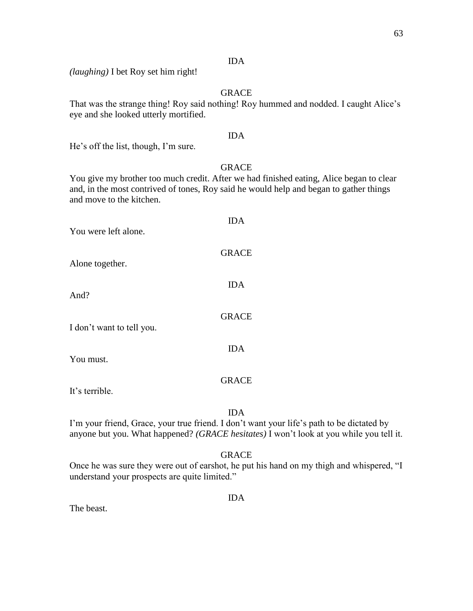# IDA

*(laughing)* I bet Roy set him right!

# GRACE

That was the strange thing! Roy said nothing! Roy hummed and nodded. I caught Alice's eye and she looked utterly mortified.

# IDA

He's off the list, though, I'm sure.

# GRACE

You give my brother too much credit. After we had finished eating, Alice began to clear and, in the most contrived of tones, Roy said he would help and began to gather things and move to the kitchen.

| You were left alone.      | <b>IDA</b>   |
|---------------------------|--------------|
| Alone together.           | <b>GRACE</b> |
| And?                      | <b>IDA</b>   |
| I don't want to tell you. | <b>GRACE</b> |
| You must.                 | <b>IDA</b>   |
| It's terrible.            | <b>GRACE</b> |

IDA

I'm your friend, Grace, your true friend. I don't want your life's path to be dictated by anyone but you. What happened? *(GRACE hesitates)* I won't look at you while you tell it.

# GRACE

Once he was sure they were out of earshot, he put his hand on my thigh and whispered, "I understand your prospects are quite limited."

IDA

The beast.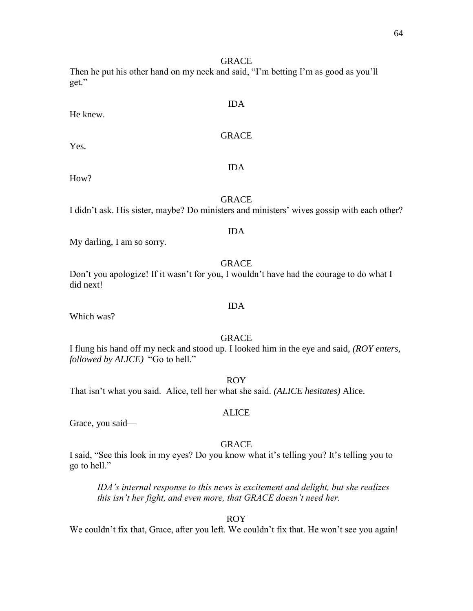Then he put his other hand on my neck and said, "I'm betting I'm as good as you'll get."

He knew.

GRACE

How?

Yes.

# **GRACE**

IDA

I didn't ask. His sister, maybe? Do ministers and ministers' wives gossip with each other?

# IDA

My darling, I am so sorry.

# GRACE

Don't you apologize! If it wasn't for you, I wouldn't have had the courage to do what I did next!

Which was?

# GRACE

IDA

I flung his hand off my neck and stood up. I looked him in the eye and said, *(ROY enters, followed by ALICE)* "Go to hell."

ROY

That isn't what you said. Alice, tell her what she said. *(ALICE hesitates)* Alice.

# ALICE

Grace, you said—

# GRACE

I said, "See this look in my eyes? Do you know what it's telling you? It's telling you to go to hell."

*IDA's internal response to this news is excitement and delight, but she realizes this isn't her fight, and even more, that GRACE doesn't need her.* 

# ROY

We couldn't fix that, Grace, after you left. We couldn't fix that. He won't see you again!

# IDA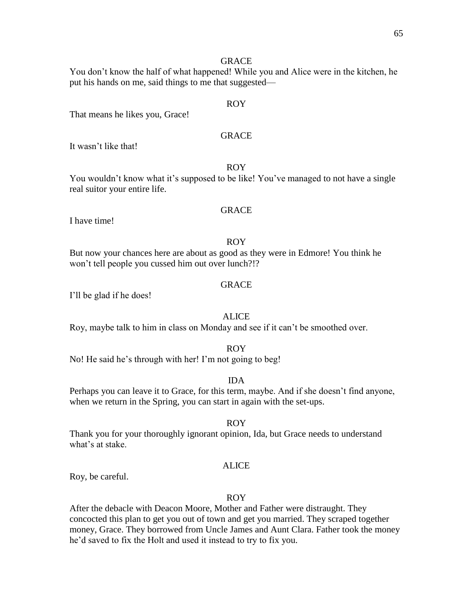You don't know the half of what happened! While you and Alice were in the kitchen, he put his hands on me, said things to me that suggested—

# ROY

That means he likes you, Grace!

# GRACE

It wasn't like that!

# ROY

You wouldn't know what it's supposed to be like! You've managed to not have a single real suitor your entire life.

I have time!

# GRACE

#### ROY

But now your chances here are about as good as they were in Edmore! You think he won't tell people you cussed him out over lunch?!?

# GRACE

I'll be glad if he does!

#### ALICE

Roy, maybe talk to him in class on Monday and see if it can't be smoothed over.

#### ROY

No! He said he's through with her! I'm not going to beg!

#### IDA

Perhaps you can leave it to Grace, for this term, maybe. And if she doesn't find anyone, when we return in the Spring, you can start in again with the set-ups.

#### ROY

Thank you for your thoroughly ignorant opinion, Ida, but Grace needs to understand what's at stake.

#### ALICE

Roy, be careful.

#### ROY

After the debacle with Deacon Moore, Mother and Father were distraught. They concocted this plan to get you out of town and get you married. They scraped together money, Grace. They borrowed from Uncle James and Aunt Clara. Father took the money he'd saved to fix the Holt and used it instead to try to fix you.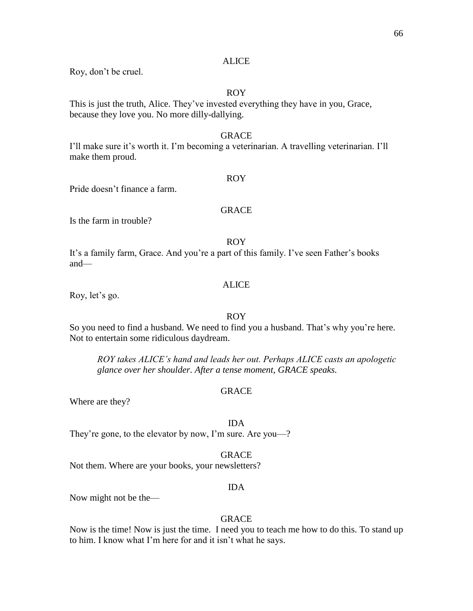# **ALICE**

Roy, don't be cruel.

# ROY

This is just the truth, Alice. They've invested everything they have in you, Grace, because they love you. No more dilly-dallying.

# GRACE

I'll make sure it's worth it. I'm becoming a veterinarian. A travelling veterinarian. I'll make them proud.

# ROY

Pride doesn't finance a farm.

# GRACE

Is the farm in trouble?

#### ROY

It's a family farm, Grace. And you're a part of this family. I've seen Father's books and—

# ALICE

Roy, let's go.

# ROY

So you need to find a husband. We need to find you a husband. That's why you're here. Not to entertain some ridiculous daydream.

*ROY takes ALICE's hand and leads her out. Perhaps ALICE casts an apologetic glance over her shoulder. After a tense moment, GRACE speaks.*

# GRACE

Where are they?

#### IDA

They're gone, to the elevator by now, I'm sure. Are you—?

#### GRACE

Not them. Where are your books, your newsletters?

#### IDA

Now might not be the—

# GRACE

Now is the time! Now is just the time. I need you to teach me how to do this. To stand up to him. I know what I'm here for and it isn't what he says.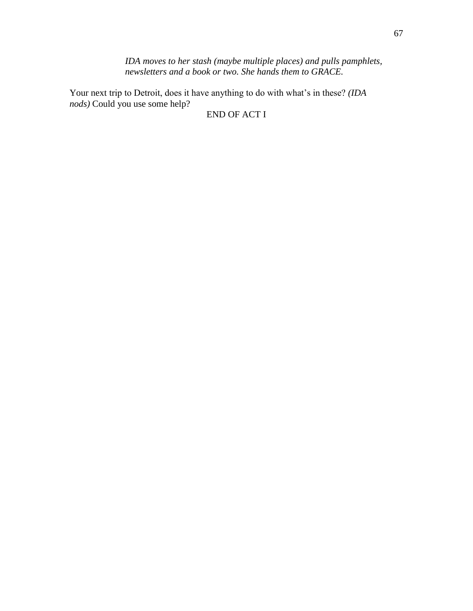*IDA moves to her stash (maybe multiple places) and pulls pamphlets, newsletters and a book or two. She hands them to GRACE.*

Your next trip to Detroit, does it have anything to do with what's in these? *(IDA nods)* Could you use some help?

END OF ACT I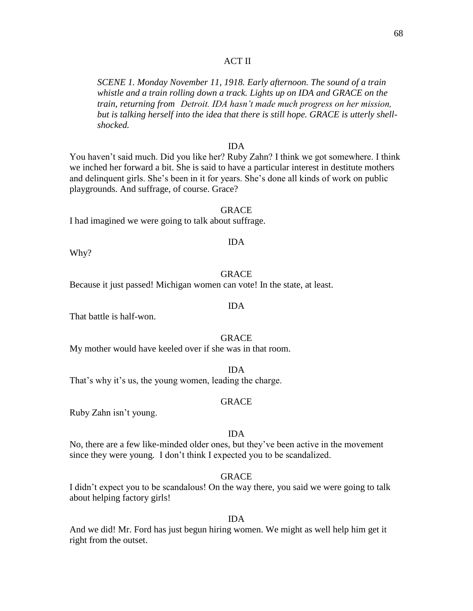# ACT II

*SCENE 1. Monday November 11, 1918. Early afternoon. The sound of a train whistle and a train rolling down a track. Lights up on IDA and GRACE on the train, returning from Detroit. IDA hasn't made much progress on her mission, but is talking herself into the idea that there is still hope. GRACE is utterly shellshocked.*

## IDA

You haven't said much. Did you like her? Ruby Zahn? I think we got somewhere. I think we inched her forward a bit. She is said to have a particular interest in destitute mothers and delinquent girls. She's been in it for years. She's done all kinds of work on public playgrounds. And suffrage, of course. Grace?

#### GRACE

I had imagined we were going to talk about suffrage.

Why?

#### GRACE

Because it just passed! Michigan women can vote! In the state, at least.

#### IDA

That battle is half-won.

#### GRACE

My mother would have keeled over if she was in that room.

IDA That's why it's us, the young women, leading the charge.

#### GRACE

Ruby Zahn isn't young.

#### IDA

No, there are a few like-minded older ones, but they've been active in the movement since they were young*.* I don't think I expected you to be scandalized.

# GRACE

I didn't expect you to be scandalous! On the way there, you said we were going to talk about helping factory girls!

#### IDA

And we did! Mr. Ford has just begun hiring women. We might as well help him get it right from the outset.

## IDA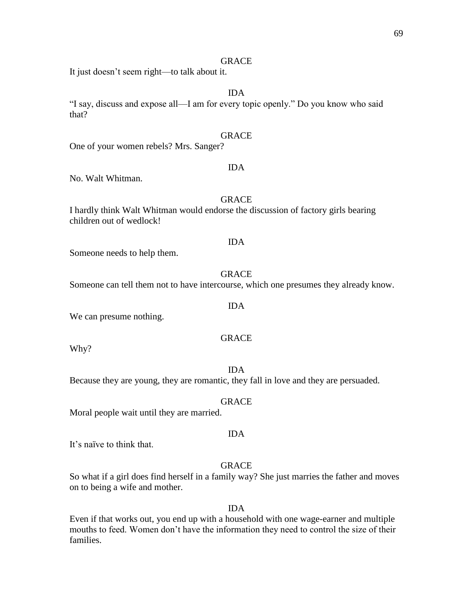It just doesn't seem right—to talk about it.

# IDA

"I say, discuss and expose all—I am for every topic openly." Do you know who said that?

# GRACE

One of your women rebels? Mrs. Sanger?

# IDA

No. Walt Whitman.

# **GRACE**

I hardly think Walt Whitman would endorse the discussion of factory girls bearing children out of wedlock!

#### IDA

Someone needs to help them.

#### GRACE

Someone can tell them not to have intercourse, which one presumes they already know.

We can presume nothing.

# GRACE

Why?

Because they are young, they are romantic, they fall in love and they are persuaded.

#### GRACE

Moral people wait until they are married.

It's naïve to think that.

#### GRACE

IDA

So what if a girl does find herself in a family way? She just marries the father and moves on to being a wife and mother.

#### IDA

Even if that works out, you end up with a household with one wage-earner and multiple mouths to feed. Women don't have the information they need to control the size of their families.

# IDA

#### IDA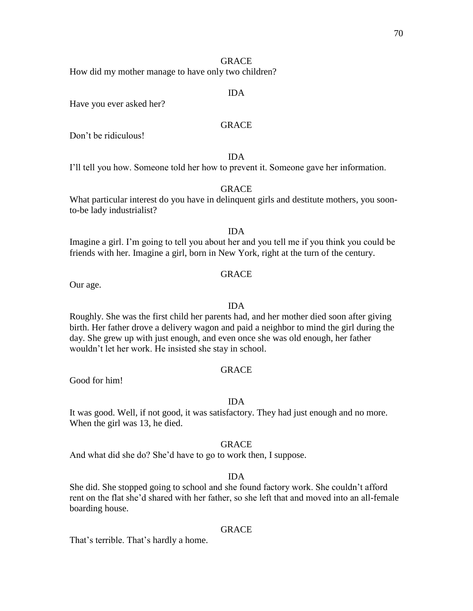How did my mother manage to have only two children?

# IDA

Have you ever asked her?

# **GRACE**

Don't be ridiculous!

# IDA

I'll tell you how. Someone told her how to prevent it. Someone gave her information.

#### GRACE

What particular interest do you have in delinquent girls and destitute mothers, you soonto-be lady industrialist?

# IDA

Imagine a girl. I'm going to tell you about her and you tell me if you think you could be friends with her. Imagine a girl, born in New York, right at the turn of the century.

#### GRACE

Our age.

# IDA

Roughly. She was the first child her parents had, and her mother died soon after giving birth. Her father drove a delivery wagon and paid a neighbor to mind the girl during the day. She grew up with just enough, and even once she was old enough, her father wouldn't let her work. He insisted she stay in school.

### GRACE

Good for him!

#### IDA

It was good. Well, if not good, it was satisfactory. They had just enough and no more. When the girl was 13, he died.

#### **GRACE**

And what did she do? She'd have to go to work then, I suppose.

# IDA

She did. She stopped going to school and she found factory work. She couldn't afford rent on the flat she'd shared with her father, so she left that and moved into an all-female boarding house.

#### GRACE

That's terrible. That's hardly a home.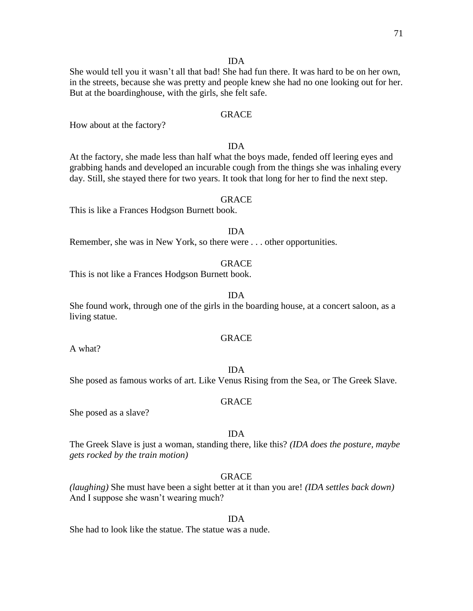#### IDA

She would tell you it wasn't all that bad! She had fun there. It was hard to be on her own, in the streets, because she was pretty and people knew she had no one looking out for her. But at the boardinghouse, with the girls, she felt safe.

# GRACE

How about at the factory?

# IDA

At the factory, she made less than half what the boys made, fended off leering eyes and grabbing hands and developed an incurable cough from the things she was inhaling every day. Still, she stayed there for two years. It took that long for her to find the next step.

#### GRACE

This is like a Frances Hodgson Burnett book.

# IDA

Remember, she was in New York, so there were . . . other opportunities.

#### GRACE

This is not like a Frances Hodgson Burnett book.

#### IDA

She found work, through one of the girls in the boarding house, at a concert saloon, as a living statue.

#### GRACE

A what?

#### IDA

She posed as famous works of art. Like Venus Rising from the Sea, or The Greek Slave.

#### GRACE

She posed as a slave?

#### IDA

The Greek Slave is just a woman, standing there, like this? *(IDA does the posture, maybe gets rocked by the train motion)*

# GRACE

*(laughing)* She must have been a sight better at it than you are! *(IDA settles back down)* And I suppose she wasn't wearing much?

#### IDA

She had to look like the statue. The statue was a nude.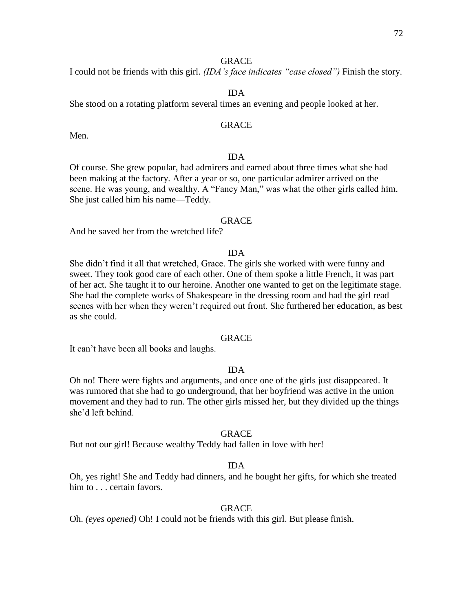I could not be friends with this girl. *(IDA's face indicates "case closed")* Finish the story.

### IDA

She stood on a rotating platform several times an evening and people looked at her.

# **GRACE**

Men.

# IDA

Of course. She grew popular, had admirers and earned about three times what she had been making at the factory. After a year or so, one particular admirer arrived on the scene. He was young, and wealthy. A "Fancy Man," was what the other girls called him. She just called him his name—Teddy.

# GRACE

And he saved her from the wretched life?

#### IDA

She didn't find it all that wretched, Grace. The girls she worked with were funny and sweet. They took good care of each other. One of them spoke a little French, it was part of her act. She taught it to our heroine. Another one wanted to get on the legitimate stage. She had the complete works of Shakespeare in the dressing room and had the girl read scenes with her when they weren't required out front. She furthered her education, as best as she could.

#### GRACE

It can't have been all books and laughs.

# IDA

Oh no! There were fights and arguments, and once one of the girls just disappeared. It was rumored that she had to go underground, that her boyfriend was active in the union movement and they had to run. The other girls missed her, but they divided up the things she'd left behind.

#### GRACE

But not our girl! Because wealthy Teddy had fallen in love with her!

#### IDA

Oh, yes right! She and Teddy had dinners, and he bought her gifts, for which she treated him to . . . certain favors.

#### GRACE

Oh. *(eyes opened)* Oh! I could not be friends with this girl. But please finish.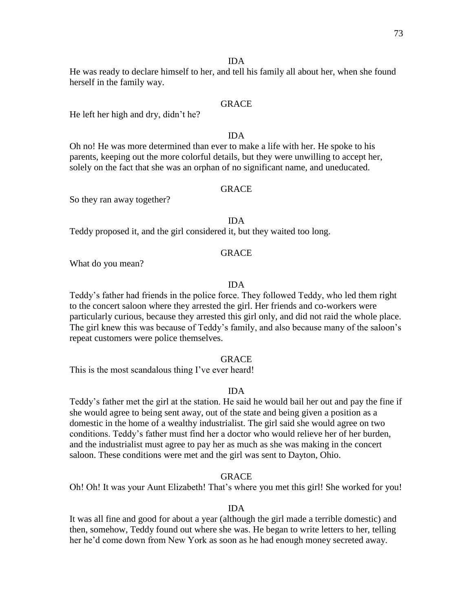#### IDA

He was ready to declare himself to her, and tell his family all about her, when she found herself in the family way.

#### GRACE

He left her high and dry, didn't he?

## IDA

Oh no! He was more determined than ever to make a life with her. He spoke to his parents, keeping out the more colorful details, but they were unwilling to accept her, solely on the fact that she was an orphan of no significant name, and uneducated.

#### GRACE

So they ran away together?

## IDA

Teddy proposed it, and the girl considered it, but they waited too long.

#### **GRACE**

What do you mean?

#### IDA

Teddy's father had friends in the police force. They followed Teddy, who led them right to the concert saloon where they arrested the girl. Her friends and co-workers were particularly curious, because they arrested this girl only, and did not raid the whole place. The girl knew this was because of Teddy's family, and also because many of the saloon's repeat customers were police themselves.

#### **GRACE**

This is the most scandalous thing I've ever heard!

#### IDA

Teddy's father met the girl at the station. He said he would bail her out and pay the fine if she would agree to being sent away, out of the state and being given a position as a domestic in the home of a wealthy industrialist. The girl said she would agree on two conditions. Teddy's father must find her a doctor who would relieve her of her burden, and the industrialist must agree to pay her as much as she was making in the concert saloon. These conditions were met and the girl was sent to Dayton, Ohio.

## GRACE

Oh! Oh! It was your Aunt Elizabeth! That's where you met this girl! She worked for you!

#### IDA

It was all fine and good for about a year (although the girl made a terrible domestic) and then, somehow, Teddy found out where she was. He began to write letters to her, telling her he'd come down from New York as soon as he had enough money secreted away.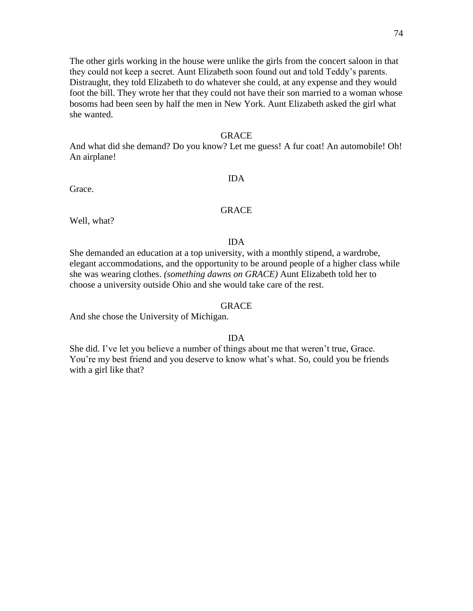The other girls working in the house were unlike the girls from the concert saloon in that they could not keep a secret. Aunt Elizabeth soon found out and told Teddy's parents. Distraught, they told Elizabeth to do whatever she could, at any expense and they would foot the bill. They wrote her that they could not have their son married to a woman whose bosoms had been seen by half the men in New York. Aunt Elizabeth asked the girl what she wanted.

## GRACE

And what did she demand? Do you know? Let me guess! A fur coat! An automobile! Oh! An airplane!

## IDA

Grace.

## GRACE

Well, what?

## IDA

She demanded an education at a top university, with a monthly stipend, a wardrobe, elegant accommodations, and the opportunity to be around people of a higher class while she was wearing clothes. *(something dawns on GRACE)* Aunt Elizabeth told her to choose a university outside Ohio and she would take care of the rest.

#### GRACE

And she chose the University of Michigan.

#### IDA

She did. I've let you believe a number of things about me that weren't true, Grace. You're my best friend and you deserve to know what's what. So, could you be friends with a girl like that?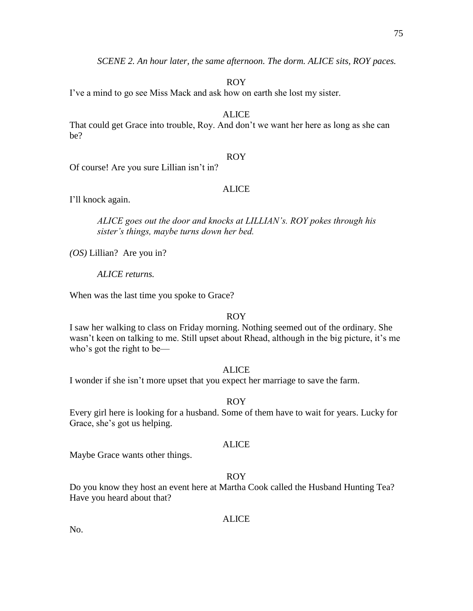*SCENE 2. An hour later, the same afternoon. The dorm. ALICE sits, ROY paces.*

ROY

I've a mind to go see Miss Mack and ask how on earth she lost my sister.

ALICE

That could get Grace into trouble, Roy. And don't we want her here as long as she can be?

## ROY

Of course! Are you sure Lillian isn't in?

## ALICE

I'll knock again.

*ALICE goes out the door and knocks at LILLIAN's. ROY pokes through his sister's things, maybe turns down her bed.*

*(OS)* Lillian? Are you in?

*ALICE returns.*

When was the last time you spoke to Grace?

## ROY

I saw her walking to class on Friday morning. Nothing seemed out of the ordinary. She wasn't keen on talking to me. Still upset about Rhead, although in the big picture, it's me who's got the right to be—

## ALICE

I wonder if she isn't more upset that you expect her marriage to save the farm.

## ROY

Every girl here is looking for a husband. Some of them have to wait for years. Lucky for Grace, she's got us helping.

#### ALICE

Maybe Grace wants other things.

## ROY

Do you know they host an event here at Martha Cook called the Husband Hunting Tea? Have you heard about that?

## ALICE

No.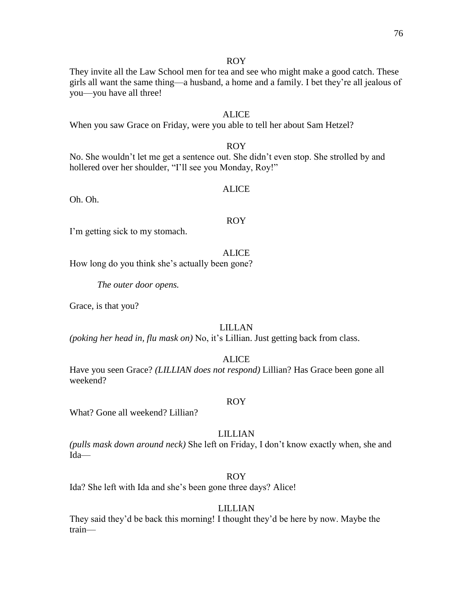They invite all the Law School men for tea and see who might make a good catch. These girls all want the same thing—a husband, a home and a family. I bet they're all jealous of you—you have all three!

## ALICE

When you saw Grace on Friday, were you able to tell her about Sam Hetzel?

## ROY

No. She wouldn't let me get a sentence out. She didn't even stop. She strolled by and hollered over her shoulder, "I'll see you Monday, Roy!"

## ALICE

Oh. Oh.

#### ROY

I'm getting sick to my stomach.

## **ALICE**

How long do you think she's actually been gone?

*The outer door opens.*

Grace, is that you?

## LILLAN

*(poking her head in, flu mask on)* No, it's Lillian. Just getting back from class.

## ALICE

Have you seen Grace? *(LILLIAN does not respond)* Lillian? Has Grace been gone all weekend?

#### ROY

What? Gone all weekend? Lillian?

## LILLIAN

*(pulls mask down around neck)* She left on Friday, I don't know exactly when, she and Ida—

## ROY

Ida? She left with Ida and she's been gone three days? Alice!

## LILLIAN

They said they'd be back this morning! I thought they'd be here by now. Maybe the train—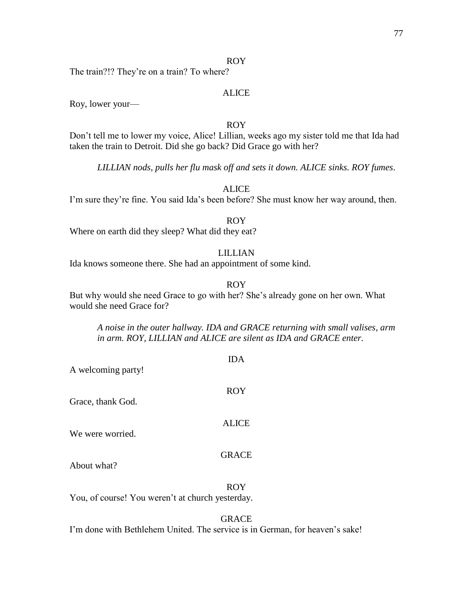The train?!? They're on a train? To where?

## ALICE

Roy, lower your—

#### ROY

Don't tell me to lower my voice, Alice! Lillian, weeks ago my sister told me that Ida had taken the train to Detroit. Did she go back? Did Grace go with her?

*LILLIAN nods, pulls her flu mask off and sets it down. ALICE sinks. ROY fumes*.

ALICE

I'm sure they're fine. You said Ida's been before? She must know her way around, then.

## ROY

Where on earth did they sleep? What did they eat?

## LILLIAN

Ida knows someone there. She had an appointment of some kind.

## ROY

IDA

But why would she need Grace to go with her? She's already gone on her own. What would she need Grace for?

*A noise in the outer hallway. IDA and GRACE returning with small valises, arm in arm. ROY, LILLIAN and ALICE are silent as IDA and GRACE enter.*

| A welcoming party! | 11/1 L       |
|--------------------|--------------|
| Grace, thank God.  | <b>ROY</b>   |
| We were worried.   | <b>ALICE</b> |
| About what?        | <b>GRACE</b> |

ROY

You, of course! You weren't at church yesterday.

## GRACE

I'm done with Bethlehem United. The service is in German, for heaven's sake!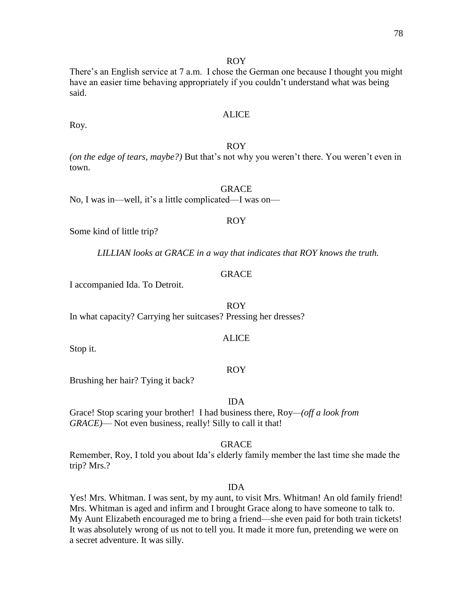There's an English service at 7 a.m. I chose the German one because I thought you might have an easier time behaving appropriately if you couldn't understand what was being said.

## ALICE

Roy.

## ROY

*(on the edge of tears, maybe?)* But that's not why you weren't there. You weren't even in town.

## GRACE

No, I was in—well, it's a little complicated—I was on—

## ROY

Some kind of little trip?

*LILLIAN looks at GRACE in a way that indicates that ROY knows the truth.*

## GRACE

I accompanied Ida. To Detroit.

## ROY

In what capacity? Carrying her suitcases? Pressing her dresses?

## ALICE

Stop it.

## ROY

Brushing her hair? Tying it back?

IDA

Grace! Stop scaring your brother! I had business there, Roy*—(off a look from GRACE)*— Not even business, really! Silly to call it that!

## **GRACE**

Remember, Roy, I told you about Ida's elderly family member the last time she made the trip? Mrs.?

## IDA

Yes! Mrs. Whitman. I was sent, by my aunt, to visit Mrs. Whitman! An old family friend! Mrs. Whitman is aged and infirm and I brought Grace along to have someone to talk to. My Aunt Elizabeth encouraged me to bring a friend—she even paid for both train tickets! It was absolutely wrong of us not to tell you. It made it more fun, pretending we were on a secret adventure. It was silly.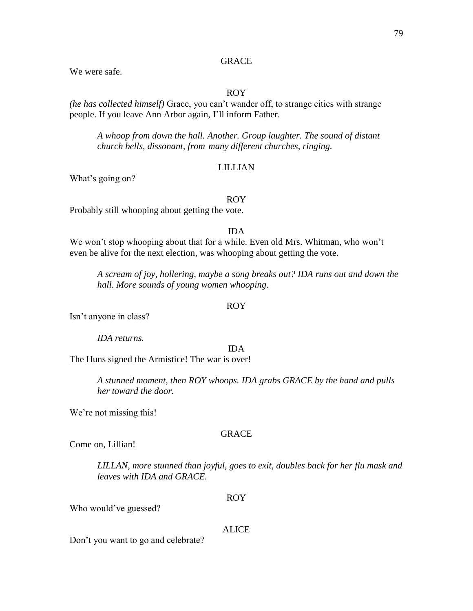## **GRACE**

We were safe.

## ROY

*(he has collected himself)* Grace, you can't wander off, to strange cities with strange people. If you leave Ann Arbor again, I'll inform Father.

*A whoop from down the hall. Another. Group laughter. The sound of distant church bells, dissonant, from many different churches, ringing.*

#### LILLIAN

What's going on?

#### ROY

Probably still whooping about getting the vote.

## IDA

We won't stop whooping about that for a while. Even old Mrs. Whitman, who won't even be alive for the next election, was whooping about getting the vote.

*A scream of joy, hollering, maybe a song breaks out? IDA runs out and down the hall. More sounds of young women whooping.*

#### ROY

Isn't anyone in class?

*IDA returns.*

#### IDA

The Huns signed the Armistice! The war is over!

*A stunned moment, then ROY whoops. IDA grabs GRACE by the hand and pulls her toward the door.*

We're not missing this!

## GRACE

Come on, Lillian!

*LILLAN, more stunned than joyful, goes to exit, doubles back for her flu mask and leaves with IDA and GRACE.* 

#### ROY

Who would've guessed?

#### ALICE

Don't you want to go and celebrate?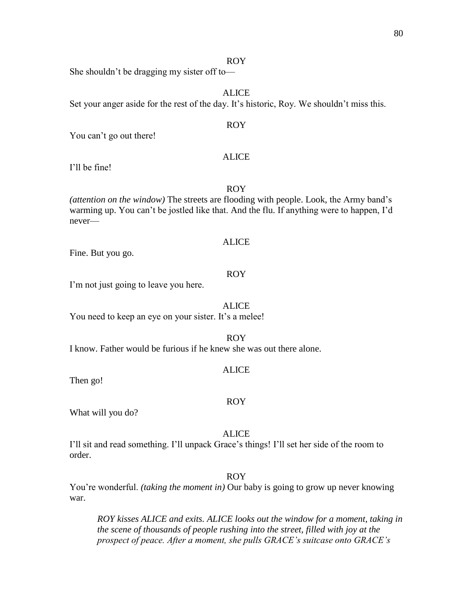She shouldn't be dragging my sister off to—

ALICE

Set your anger aside for the rest of the day. It's historic, Roy. We shouldn't miss this.

## ROY

You can't go out there!

## ALICE

I'll be fine!

ROY

*(attention on the window)* The streets are flooding with people. Look, the Army band's warming up. You can't be jostled like that. And the flu. If anything were to happen, I'd never—

#### ALICE

Fine. But you go.

#### ROY

I'm not just going to leave you here.

#### ALICE

You need to keep an eye on your sister. It's a melee!

#### ROY

I know. Father would be furious if he knew she was out there alone.

#### ALICE

Then go!

#### ROY

What will you do?

## ALICE

I'll sit and read something. I'll unpack Grace's things! I'll set her side of the room to order.

#### ROY

You're wonderful. *(taking the moment in)* Our baby is going to grow up never knowing war.

*ROY kisses ALICE and exits. ALICE looks out the window for a moment, taking in the scene of thousands of people rushing into the street, filled with joy at the prospect of peace. After a moment, she pulls GRACE's suitcase onto GRACE's*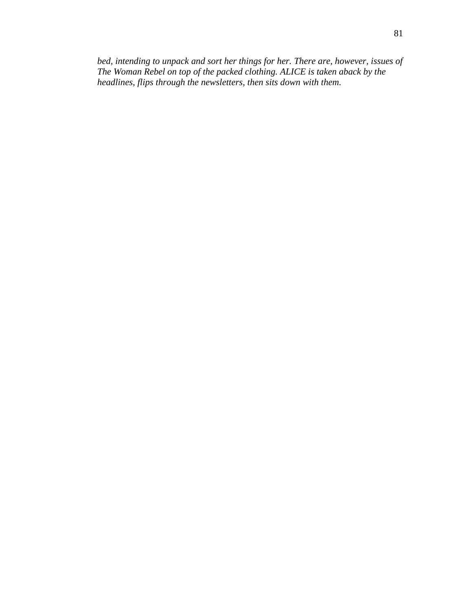*bed, intending to unpack and sort her things for her. There are, however, issues of The Woman Rebel on top of the packed clothing. ALICE is taken aback by the headlines, flips through the newsletters, then sits down with them.*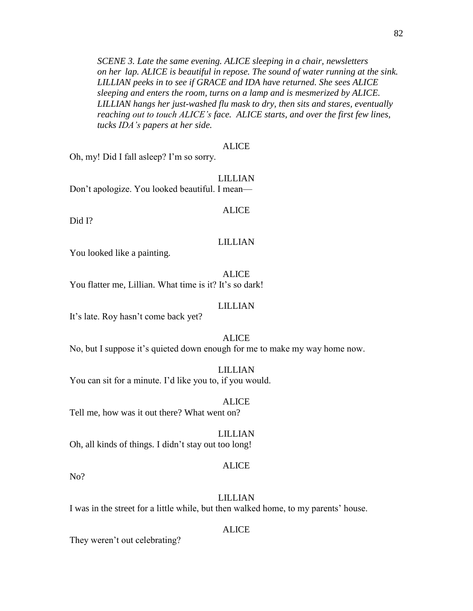*SCENE 3. Late the same evening. ALICE sleeping in a chair, newsletters on her lap. ALICE is beautiful in repose. The sound of water running at the sink. LILLIAN peeks in to see if GRACE and IDA have returned. She sees ALICE sleeping and enters the room, turns on a lamp and is mesmerized by ALICE. LILLIAN hangs her just-washed flu mask to dry, then sits and stares, eventually reaching out to touch ALICE's face. ALICE starts, and over the first few lines, tucks IDA's papers at her side.*

#### ALICE

Oh, my! Did I fall asleep? I'm so sorry.

LILLIAN Don't apologize. You looked beautiful. I mean—

#### ALICE

Did I?

#### LILLIAN

You looked like a painting.

#### ALICE

You flatter me, Lillian. What time is it? It's so dark!

#### LILLIAN

It's late. Roy hasn't come back yet?

#### ALICE

No, but I suppose it's quieted down enough for me to make my way home now.

#### LILLIAN

You can sit for a minute. I'd like you to, if you would.

#### ALICE

Tell me, how was it out there? What went on?

#### LILLIAN

Oh, all kinds of things. I didn't stay out too long!

#### ALICE

No?

#### LILLIAN

I was in the street for a little while, but then walked home, to my parents' house.

## ALICE

They weren't out celebrating?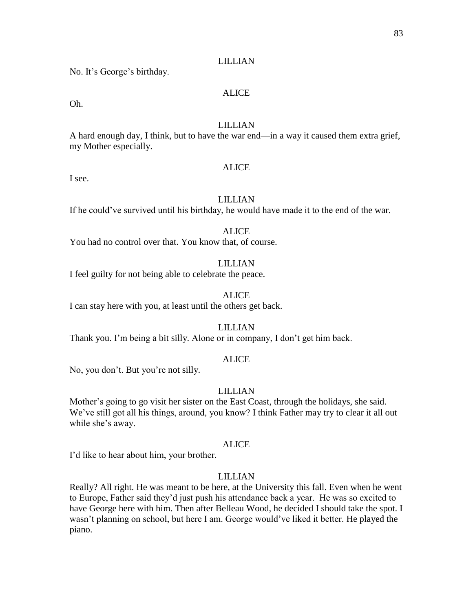### LILLIAN

No. It's George's birthday.

## ALICE

Oh.

## LILLIAN

A hard enough day, I think, but to have the war end—in a way it caused them extra grief, my Mother especially.

## ALICE

I see.

## LILLIAN

If he could've survived until his birthday, he would have made it to the end of the war.

## ALICE

You had no control over that. You know that, of course.

## LILLIAN

I feel guilty for not being able to celebrate the peace.

#### ALICE

I can stay here with you, at least until the others get back.

## LILLIAN

Thank you. I'm being a bit silly. Alone or in company, I don't get him back.

#### ALICE

No, you don't. But you're not silly.

## LILLIAN

Mother's going to go visit her sister on the East Coast, through the holidays, she said. We've still got all his things, around, you know? I think Father may try to clear it all out while she's away.

#### ALICE

I'd like to hear about him, your brother.

#### LILLIAN

Really? All right. He was meant to be here, at the University this fall. Even when he went to Europe, Father said they'd just push his attendance back a year. He was so excited to have George here with him. Then after Belleau Wood, he decided I should take the spot. I wasn't planning on school, but here I am. George would've liked it better. He played the piano.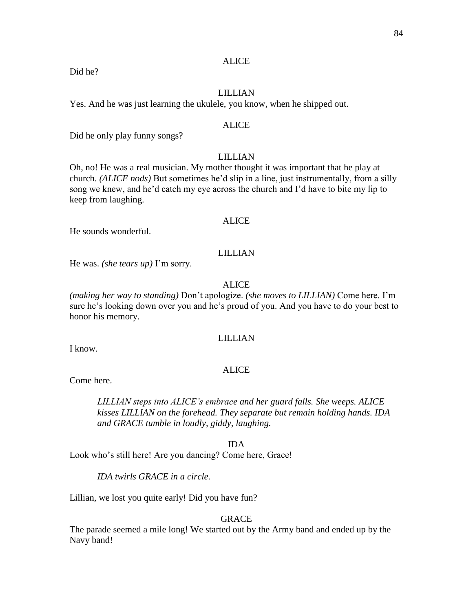## **ALICE**

## LILLIAN

Yes. And he was just learning the ukulele, you know, when he shipped out.

## ALICE

Did he only play funny songs?

## LILLIAN

Oh, no! He was a real musician. My mother thought it was important that he play at church. *(ALICE nods)* But sometimes he'd slip in a line, just instrumentally, from a silly song we knew, and he'd catch my eye across the church and I'd have to bite my lip to keep from laughing.

#### ALICE

He sounds wonderful.

#### LILLIAN

He was. *(she tears up)* I'm sorry.

## ALICE

*(making her way to standing)* Don't apologize. *(she moves to LILLIAN)* Come here. I'm sure he's looking down over you and he's proud of you. And you have to do your best to honor his memory.

#### LILLIAN

I know.

#### ALICE

Come here.

*LILLIAN steps into ALICE's embrace and her guard falls. She weeps. ALICE kisses LILLIAN on the forehead. They separate but remain holding hands. IDA and GRACE tumble in loudly, giddy, laughing.*

#### IDA

Look who's still here! Are you dancing? Come here, Grace!

## *IDA twirls GRACE in a circle.*

Lillian, we lost you quite early! Did you have fun?

## GRACE

The parade seemed a mile long! We started out by the Army band and ended up by the Navy band!

#### Did he?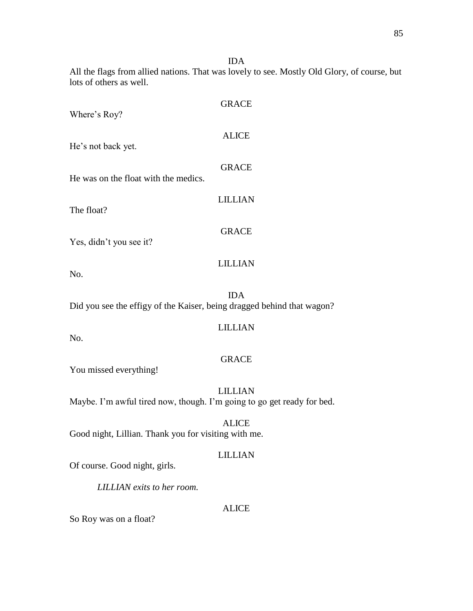IDA

All the flags from allied nations. That was lovely to see. Mostly Old Glory, of course, but lots of others as well.

| Where's Roy?                         | <b>GRACE</b>   |
|--------------------------------------|----------------|
| He's not back yet.                   | <b>ALICE</b>   |
| He was on the float with the medics. | <b>GRACE</b>   |
| The float?                           | <b>LILLIAN</b> |
| Yes, didn't you see it?              | <b>GRACE</b>   |
| No.                                  | <b>LILLIAN</b> |

IDA Did you see the effigy of the Kaiser, being dragged behind that wagon?

## LILLIAN

No.

## GRACE

You missed everything!

# LILLIAN Maybe. I'm awful tired now, though. I'm going to go get ready for bed.

ALICE Good night, Lillian. Thank you for visiting with me.

## LILLIAN

Of course. Good night, girls.

*LILLIAN exits to her room.*

## ALICE

So Roy was on a float?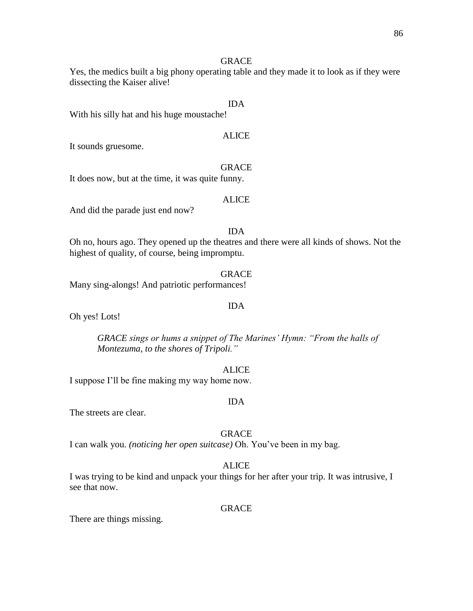## **GRACE**

Yes, the medics built a big phony operating table and they made it to look as if they were dissecting the Kaiser alive!

## IDA

With his silly hat and his huge moustache!

# ALICE

It sounds gruesome.

**GRACE** It does now, but at the time, it was quite funny.

#### ALICE

And did the parade just end now?

## IDA

Oh no, hours ago. They opened up the theatres and there were all kinds of shows. Not the highest of quality, of course, being impromptu.

#### GRACE

Many sing-alongs! And patriotic performances!

#### IDA

Oh yes! Lots!

*GRACE sings or hums a snippet of The Marines' Hymn: "From the halls of Montezuma, to the shores of Tripoli."*

#### ALICE

I suppose I'll be fine making my way home now.

#### IDA

The streets are clear.

#### GRACE

I can walk you. *(noticing her open suitcase)* Oh. You've been in my bag.

## ALICE

I was trying to be kind and unpack your things for her after your trip. It was intrusive, I see that now.

#### GRACE

There are things missing.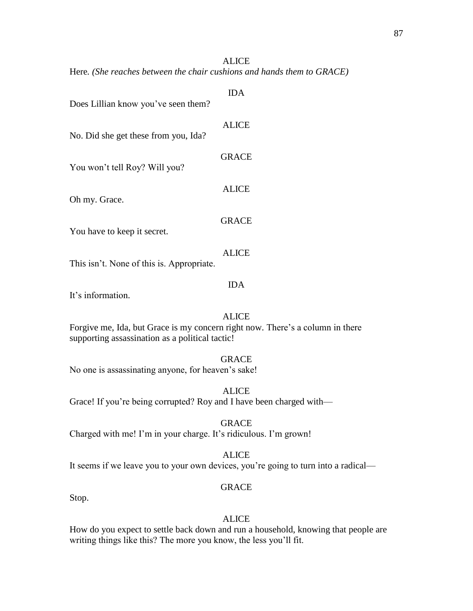## **ALICE**

Here*. (She reaches between the chair cushions and hands them to GRACE)*

| Does Lillian know you've seen them?       | <b>IDA</b>   |
|-------------------------------------------|--------------|
| No. Did she get these from you, Ida?      | <b>ALICE</b> |
| You won't tell Roy? Will you?             | <b>GRACE</b> |
| Oh my. Grace.                             | <b>ALICE</b> |
| You have to keep it secret.               | <b>GRACE</b> |
| This isn't. None of this is. Appropriate. | <b>ALICE</b> |
|                                           | 11) A        |

It's information.

## ALICE

Forgive me, Ida, but Grace is my concern right now. There's a column in there supporting assassination as a political tactic!

## GRACE

No one is assassinating anyone, for heaven's sake!

ALICE

Grace! If you're being corrupted? Roy and I have been charged with—

GRACE

Charged with me! I'm in your charge. It's ridiculous. I'm grown!

#### ALICE

It seems if we leave you to your own devices, you're going to turn into a radical—

## GRACE

Stop.

## ALICE

How do you expect to settle back down and run a household, knowing that people are writing things like this? The more you know, the less you'll fit.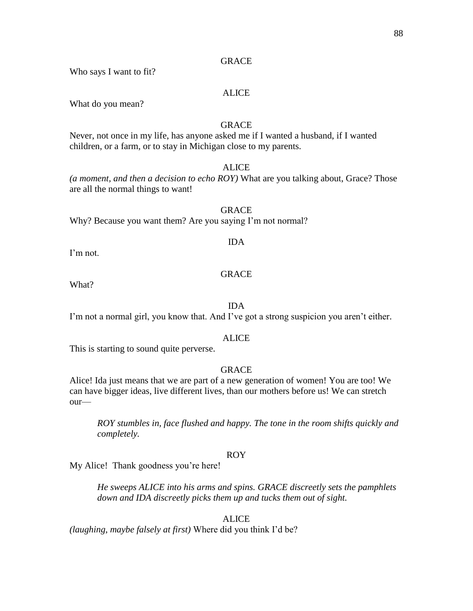## **GRACE**

Who says I want to fit?

## ALICE

What do you mean?

## **GRACE**

Never, not once in my life, has anyone asked me if I wanted a husband, if I wanted children, or a farm, or to stay in Michigan close to my parents.

## **ALICE**

*(a moment, and then a decision to echo ROY)* What are you talking about, Grace? Those are all the normal things to want!

GRACE Why? Because you want them? Are you saying I'm not normal?

#### IDA

I'm not.

## GRACE

What?

## IDA

I'm not a normal girl, you know that. And I've got a strong suspicion you aren't either.

#### ALICE

This is starting to sound quite perverse.

## GRACE

Alice! Ida just means that we are part of a new generation of women! You are too! We can have bigger ideas, live different lives, than our mothers before us! We can stretch our—

*ROY stumbles in, face flushed and happy. The tone in the room shifts quickly and completely.*

#### ROY

My Alice! Thank goodness you're here!

*He sweeps ALICE into his arms and spins. GRACE discreetly sets the pamphlets down and IDA discreetly picks them up and tucks them out of sight.*

## ALICE

*(laughing, maybe falsely at first)* Where did you think I'd be?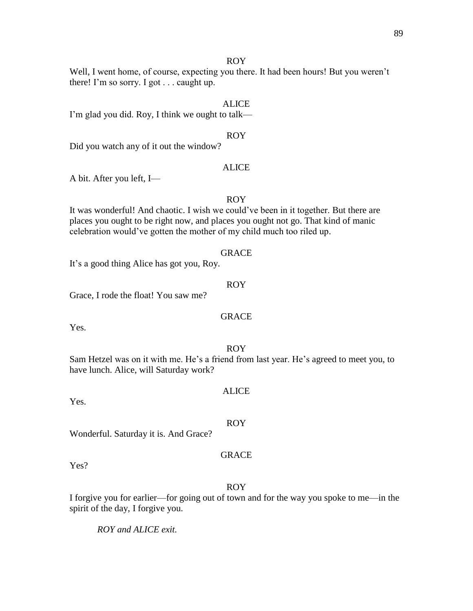Well, I went home, of course, expecting you there. It had been hours! But you weren't there! I'm so sorry. I got . . . caught up.

#### ALICE

I'm glad you did. Roy, I think we ought to talk—

## ROY

Did you watch any of it out the window?

#### ALICE

A bit. After you left, I—

## ROY

It was wonderful! And chaotic. I wish we could've been in it together. But there are places you ought to be right now, and places you ought not go. That kind of manic celebration would've gotten the mother of my child much too riled up.

#### GRACE

It's a good thing Alice has got you, Roy.

## ROY

Grace, I rode the float! You saw me?

## GRACE

Yes.

#### ROY

Sam Hetzel was on it with me. He's a friend from last year. He's agreed to meet you, to have lunch. Alice, will Saturday work?

Yes.

# ALICE

#### ROY

Wonderful. Saturday it is. And Grace?

#### GRACE

Yes?

#### ROY

I forgive you for earlier—for going out of town and for the way you spoke to me—in the spirit of the day, I forgive you.

*ROY and ALICE exit.*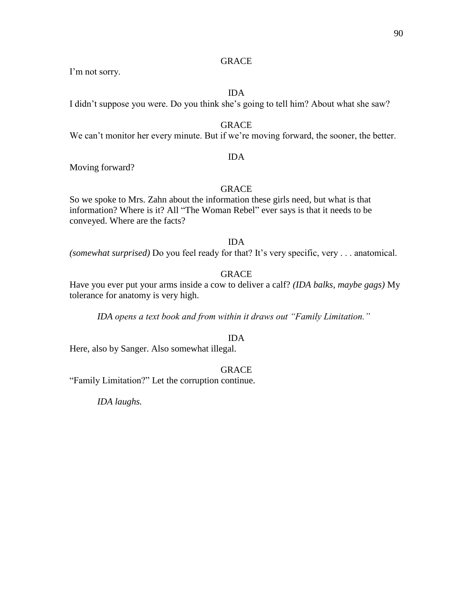## GRACE

I'm not sorry.

#### IDA

I didn't suppose you were. Do you think she's going to tell him? About what she saw?

## GRACE

We can't monitor her every minute. But if we're moving forward, the sooner, the better.

### IDA

Moving forward?

## GRACE

So we spoke to Mrs. Zahn about the information these girls need, but what is that information? Where is it? All "The Woman Rebel" ever says is that it needs to be conveyed. Where are the facts?

## IDA

*(somewhat surprised)* Do you feel ready for that? It's very specific, very . . . anatomical.

## GRACE

Have you ever put your arms inside a cow to deliver a calf? *(IDA balks, maybe gags)* My tolerance for anatomy is very high.

*IDA opens a text book and from within it draws out "Family Limitation."*

## IDA

Here, also by Sanger. Also somewhat illegal.

## GRACE

"Family Limitation?" Let the corruption continue.

*IDA laughs.*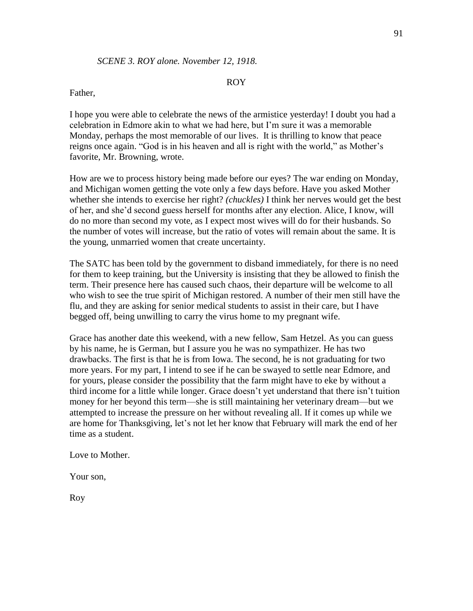## Father,

I hope you were able to celebrate the news of the armistice yesterday! I doubt you had a celebration in Edmore akin to what we had here, but I'm sure it was a memorable Monday, perhaps the most memorable of our lives. It is thrilling to know that peace reigns once again. "God is in his heaven and all is right with the world," as Mother's favorite, Mr. Browning, wrote.

How are we to process history being made before our eyes? The war ending on Monday, and Michigan women getting the vote only a few days before. Have you asked Mother whether she intends to exercise her right? *(chuckles)* I think her nerves would get the best of her, and she'd second guess herself for months after any election. Alice, I know, will do no more than second my vote, as I expect most wives will do for their husbands. So the number of votes will increase, but the ratio of votes will remain about the same. It is the young, unmarried women that create uncertainty.

The SATC has been told by the government to disband immediately, for there is no need for them to keep training, but the University is insisting that they be allowed to finish the term. Their presence here has caused such chaos, their departure will be welcome to all who wish to see the true spirit of Michigan restored. A number of their men still have the flu, and they are asking for senior medical students to assist in their care, but I have begged off, being unwilling to carry the virus home to my pregnant wife.

Grace has another date this weekend, with a new fellow, Sam Hetzel. As you can guess by his name, he is German, but I assure you he was no sympathizer. He has two drawbacks. The first is that he is from Iowa. The second, he is not graduating for two more years. For my part, I intend to see if he can be swayed to settle near Edmore, and for yours, please consider the possibility that the farm might have to eke by without a third income for a little while longer. Grace doesn't yet understand that there isn't tuition money for her beyond this term—she is still maintaining her veterinary dream—but we attempted to increase the pressure on her without revealing all. If it comes up while we are home for Thanksgiving, let's not let her know that February will mark the end of her time as a student.

Love to Mother.

Your son,

Roy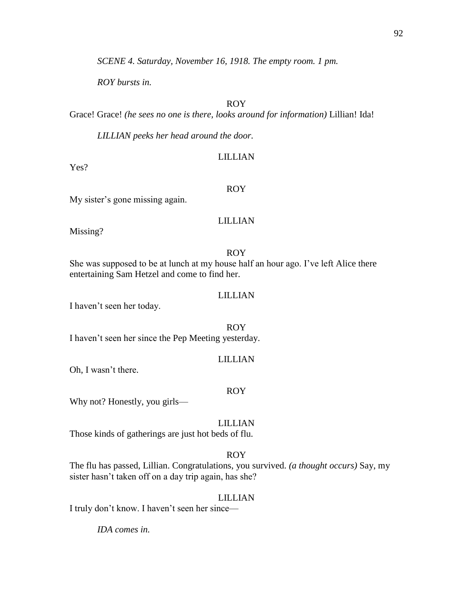*SCENE 4. Saturday, November 16, 1918. The empty room. 1 pm.*

*ROY bursts in.* 

# ROY

Grace! Grace! *(he sees no one is there, looks around for information)* Lillian! Ida!

*LILLIAN peeks her head around the door.*

## LILLIAN

Yes?

#### ROY

My sister's gone missing again.

## LILLIAN

Missing?

#### ROY

She was supposed to be at lunch at my house half an hour ago. I've left Alice there entertaining Sam Hetzel and come to find her.

#### LILLIAN

I haven't seen her today.

ROY I haven't seen her since the Pep Meeting yesterday.

## LILLIAN

Oh, I wasn't there.

#### ROY

Why not? Honestly, you girls—

## LILLIAN

Those kinds of gatherings are just hot beds of flu.

## ROY

The flu has passed, Lillian. Congratulations, you survived. *(a thought occurs)* Say, my sister hasn't taken off on a day trip again, has she?

#### LILLIAN

I truly don't know. I haven't seen her since—

*IDA comes in.*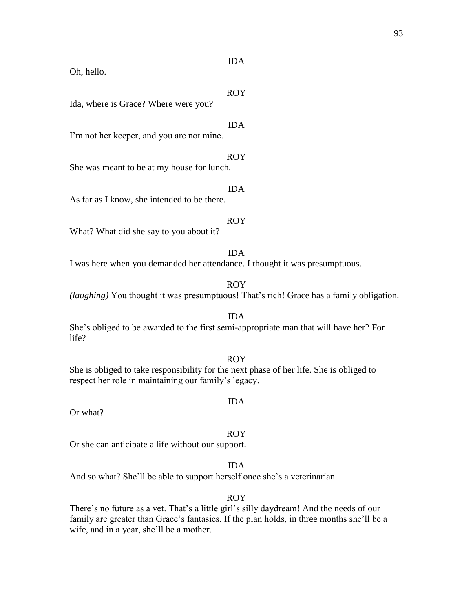#### IDA

Oh, hello.

#### ROY

Ida, where is Grace? Where were you?

#### IDA

I'm not her keeper, and you are not mine.

## ROY

She was meant to be at my house for lunch.

#### IDA

As far as I know, she intended to be there.

## ROY

What? What did she say to you about it?

#### IDA

I was here when you demanded her attendance. I thought it was presumptuous.

## ROY

*(laughing)* You thought it was presumptuous! That's rich! Grace has a family obligation.

#### IDA She's obliged to be awarded to the first semi-appropriate man that will have her? For life?

ROY She is obliged to take responsibility for the next phase of her life. She is obliged to respect her role in maintaining our family's legacy.

#### IDA

Or what?

#### ROY

Or she can anticipate a life without our support.

#### IDA

And so what? She'll be able to support herself once she's a veterinarian.

#### ROY

There's no future as a vet. That's a little girl's silly daydream! And the needs of our family are greater than Grace's fantasies. If the plan holds, in three months she'll be a wife, and in a year, she'll be a mother.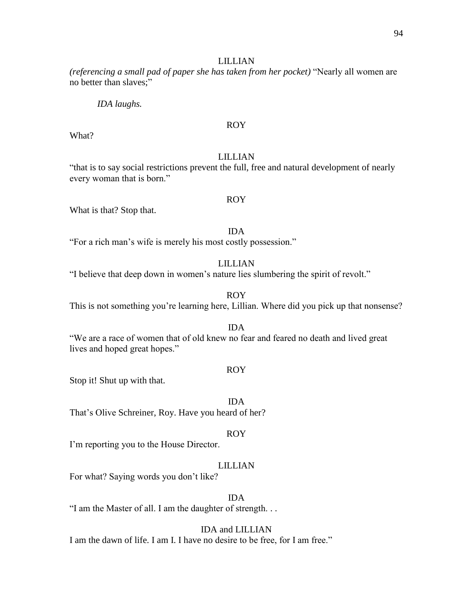#### LILLIAN

*(referencing a small pad of paper she has taken from her pocket)* "Nearly all women are no better than slaves;"

*IDA laughs.*

## ROY

What?

## LILLIAN

"that is to say social restrictions prevent the full, free and natural development of nearly every woman that is born."

#### ROY

What is that? Stop that.

IDA

"For a rich man's wife is merely his most costly possession."

LILLIAN

"I believe that deep down in women's nature lies slumbering the spirit of revolt."

ROY

This is not something you're learning here, Lillian. Where did you pick up that nonsense?

#### IDA

"We are a race of women that of old knew no fear and feared no death and lived great lives and hoped great hopes."

#### ROY

Stop it! Shut up with that.

IDA

That's Olive Schreiner, Roy. Have you heard of her?

#### ROY

I'm reporting you to the House Director.

## LILLIAN

For what? Saying words you don't like?

## IDA

"I am the Master of all. I am the daughter of strength. . .

#### IDA and LILLIAN

I am the dawn of life. I am I. I have no desire to be free, for I am free."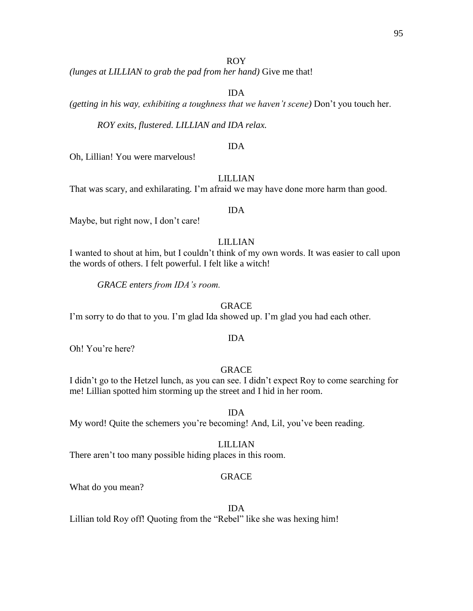*(lunges at LILLIAN to grab the pad from her hand)* Give me that!

IDA

*(getting in his way, exhibiting a toughness that we haven't scene)* Don't you touch her.

*ROY exits, flustered. LILLIAN and IDA relax.* 

#### IDA

Oh, Lillian! You were marvelous!

## LILLIAN

That was scary, and exhilarating. I'm afraid we may have done more harm than good.

#### IDA

Maybe, but right now, I don't care!

## LILLIAN

I wanted to shout at him, but I couldn't think of my own words. It was easier to call upon the words of others. I felt powerful. I felt like a witch!

*GRACE enters from IDA's room.*

#### GRACE

I'm sorry to do that to you. I'm glad Ida showed up. I'm glad you had each other.

#### IDA

Oh! You're here?

## GRACE

I didn't go to the Hetzel lunch, as you can see. I didn't expect Roy to come searching for me! Lillian spotted him storming up the street and I hid in her room.

IDA

My word! Quite the schemers you're becoming! And, Lil, you've been reading.

LILLIAN

There aren't too many possible hiding places in this room.

## GRACE

What do you mean?

#### IDA

Lillian told Roy off! Quoting from the "Rebel" like she was hexing him!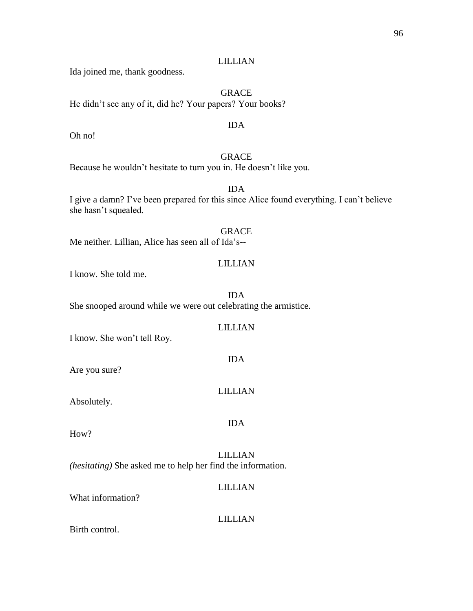## LILLIAN

Ida joined me, thank goodness.

GRACE He didn't see any of it, did he? Your papers? Your books?

## IDA

Oh no!

# GRACE

Because he wouldn't hesitate to turn you in. He doesn't like you.

## IDA I give a damn? I've been prepared for this since Alice found everything. I can't believe she hasn't squealed.

GRACE Me neither. Lillian, Alice has seen all of Ida's--

## LILLIAN

I know. She told me.

IDA She snooped around while we were out celebrating the armistice.

## LILLIAN

I know. She won't tell Roy.

Are you sure?

# LILLIAN

IDA

Absolutely.

## IDA

How?

LILLIAN *(hesitating)* She asked me to help her find the information.

## LILLIAN

What information?

# LILLIAN

Birth control.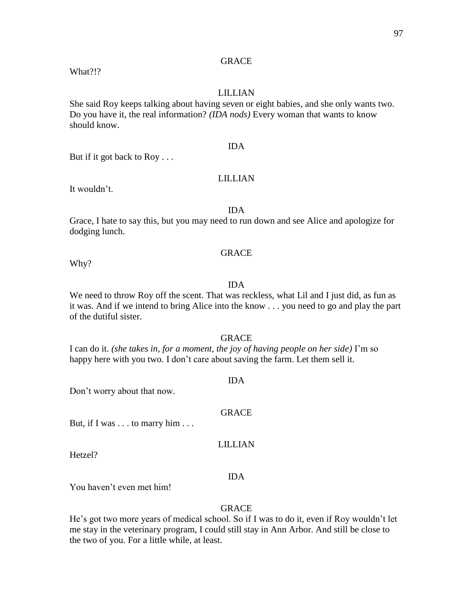## **GRACE**

What?!?

## LILLIAN

She said Roy keeps talking about having seven or eight babies, and she only wants two. Do you have it, the real information? *(IDA nods)* Every woman that wants to know should know.

## IDA

LILLIAN

# But if it got back to Roy . . .

#### It wouldn't.

#### IDA

Grace, I hate to say this, but you may need to run down and see Alice and apologize for dodging lunch.

#### **GRACE**

Why?

## IDA

We need to throw Roy off the scent. That was reckless, what Lil and I just did, as fun as it was. And if we intend to bring Alice into the know . . . you need to go and play the part of the dutiful sister.

#### GRACE

I can do it. *(she takes in, for a moment, the joy of having people on her side)* I'm so happy here with you two. I don't care about saving the farm. Let them sell it.

## IDA

Don't worry about that now.

# GRACE

But, if I was . . . to marry him . . .

#### LILLIAN

Hetzel?

#### IDA

You haven't even met him!

## GRACE

He's got two more years of medical school. So if I was to do it, even if Roy wouldn't let me stay in the veterinary program, I could still stay in Ann Arbor. And still be close to the two of you. For a little while, at least.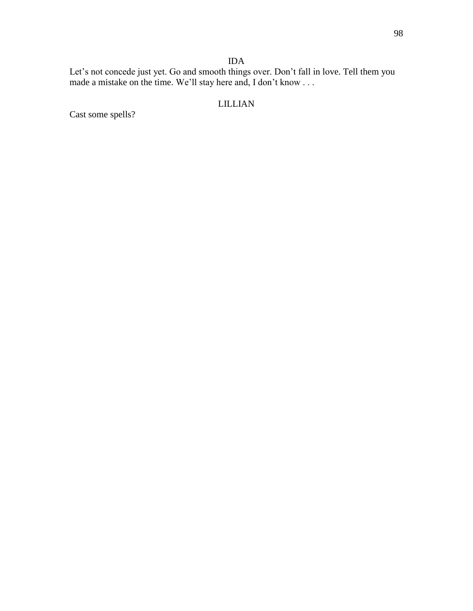# IDA

Let's not concede just yet. Go and smooth things over. Don't fall in love. Tell them you made a mistake on the time. We'll stay here and, I don't know . . .

# LILLIAN

Cast some spells?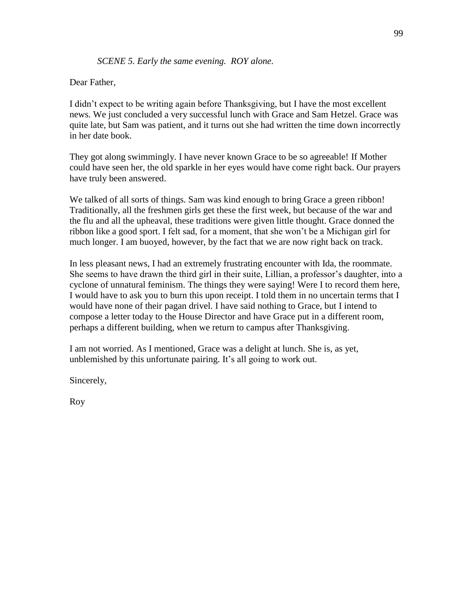## *SCENE 5. Early the same evening. ROY alone.*

## Dear Father,

I didn't expect to be writing again before Thanksgiving, but I have the most excellent news. We just concluded a very successful lunch with Grace and Sam Hetzel. Grace was quite late, but Sam was patient, and it turns out she had written the time down incorrectly in her date book.

They got along swimmingly. I have never known Grace to be so agreeable! If Mother could have seen her, the old sparkle in her eyes would have come right back. Our prayers have truly been answered.

We talked of all sorts of things. Sam was kind enough to bring Grace a green ribbon! Traditionally, all the freshmen girls get these the first week, but because of the war and the flu and all the upheaval, these traditions were given little thought. Grace donned the ribbon like a good sport. I felt sad, for a moment, that she won't be a Michigan girl for much longer. I am buoyed, however, by the fact that we are now right back on track.

In less pleasant news, I had an extremely frustrating encounter with Ida, the roommate. She seems to have drawn the third girl in their suite, Lillian, a professor's daughter, into a cyclone of unnatural feminism. The things they were saying! Were I to record them here, I would have to ask you to burn this upon receipt. I told them in no uncertain terms that I would have none of their pagan drivel. I have said nothing to Grace, but I intend to compose a letter today to the House Director and have Grace put in a different room, perhaps a different building, when we return to campus after Thanksgiving.

I am not worried. As I mentioned, Grace was a delight at lunch. She is, as yet, unblemished by this unfortunate pairing. It's all going to work out.

Sincerely,

Roy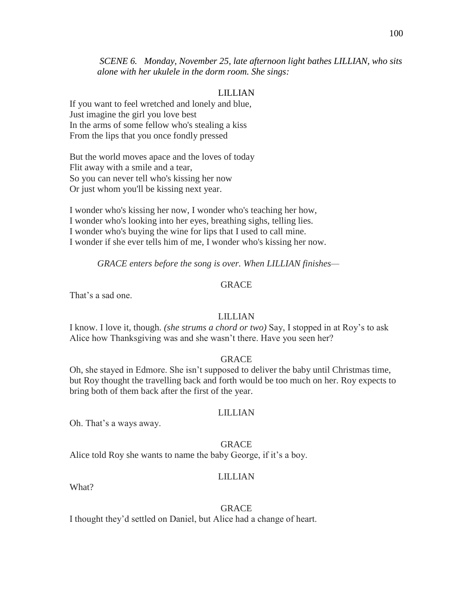*SCENE 6. Monday, November 25, late afternoon light bathes LILLIAN, who sits alone with her ukulele in the dorm room. She sings:*

#### LILLIAN

If you want to feel wretched and lonely and blue, Just imagine the girl you love best In the arms of some fellow who's stealing a kiss From the lips that you once fondly pressed

But the world moves apace and the loves of today Flit away with a smile and a tear, So you can never tell who's kissing her now Or just whom you'll be kissing next year.

I wonder who's kissing her now, I wonder who's teaching her how, I wonder who's looking into her eyes, breathing sighs, telling lies. I wonder who's buying the wine for lips that I used to call mine. I wonder if she ever tells him of me, I wonder who's kissing her now.

*GRACE enters before the song is over. When LILLIAN finishes—*

## GRACE

That's a sad one.

### LILLIAN

I know. I love it, though. *(she strums a chord or two)* Say, I stopped in at Roy's to ask Alice how Thanksgiving was and she wasn't there. Have you seen her?

#### **GRACE**

Oh, she stayed in Edmore. She isn't supposed to deliver the baby until Christmas time, but Roy thought the travelling back and forth would be too much on her. Roy expects to bring both of them back after the first of the year.

#### LILLIAN

Oh. That's a ways away.

**GRACE** 

Alice told Roy she wants to name the baby George, if it's a boy.

#### LILLIAN

What?

#### GRACE

I thought they'd settled on Daniel, but Alice had a change of heart.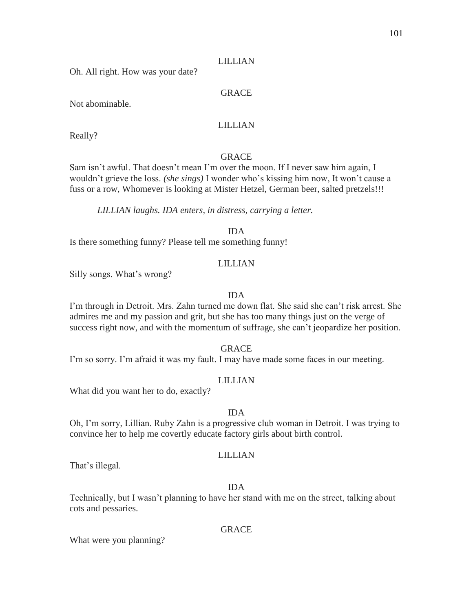## LILLIAN

Oh. All right. How was your date?

## GRACE

Not abominable.

## LILLIAN

Really?

## GRACE

Sam isn't awful. That doesn't mean I'm over the moon. If I never saw him again, I wouldn't grieve the loss. *(she sings)* I wonder who's kissing him now, It won't cause a fuss or a row, Whomever is looking at Mister Hetzel, German beer, salted pretzels!!!

*LILLIAN laughs. IDA enters, in distress, carrying a letter.*

IDA

Is there something funny? Please tell me something funny!

## LILLIAN

Silly songs. What's wrong?

## IDA

I'm through in Detroit. Mrs. Zahn turned me down flat. She said she can't risk arrest. She admires me and my passion and grit, but she has too many things just on the verge of success right now, and with the momentum of suffrage, she can't jeopardize her position.

**GRACE** 

I'm so sorry. I'm afraid it was my fault. I may have made some faces in our meeting.

## LILLIAN

What did you want her to do, exactly?

## IDA

Oh, I'm sorry, Lillian. Ruby Zahn is a progressive club woman in Detroit. I was trying to convince her to help me covertly educate factory girls about birth control.

## LILLIAN

That's illegal.

## IDA

Technically, but I wasn't planning to have her stand with me on the street, talking about cots and pessaries.

## GRACE

What were you planning?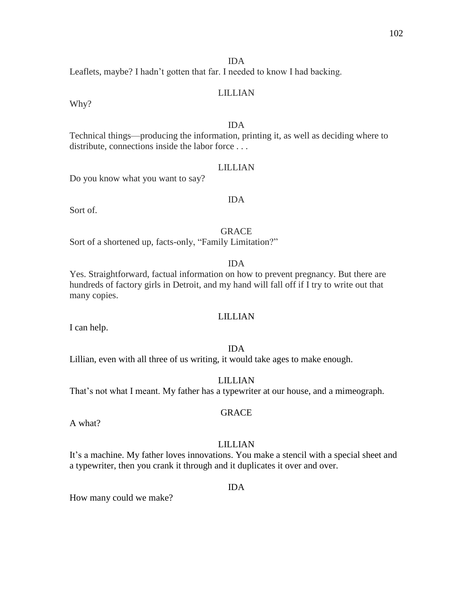## IDA

Leaflets, maybe? I hadn't gotten that far. I needed to know I had backing.

## LILLIAN

Why?

## IDA

Technical things—producing the information, printing it, as well as deciding where to distribute, connections inside the labor force . . .

## LILLIAN

Do you know what you want to say?

## IDA

Sort of.

**GRACE** 

Sort of a shortened up, facts-only, "Family Limitation?"

## IDA

Yes. Straightforward, factual information on how to prevent pregnancy. But there are hundreds of factory girls in Detroit, and my hand will fall off if I try to write out that many copies.

## LILLIAN

I can help.

## IDA

Lillian, even with all three of us writing, it would take ages to make enough.

## LILLIAN

GRACE

That's not what I meant. My father has a typewriter at our house, and a mimeograph.

A what?

## LILLIAN

It's a machine. My father loves innovations. You make a stencil with a special sheet and a typewriter, then you crank it through and it duplicates it over and over.

#### IDA

How many could we make?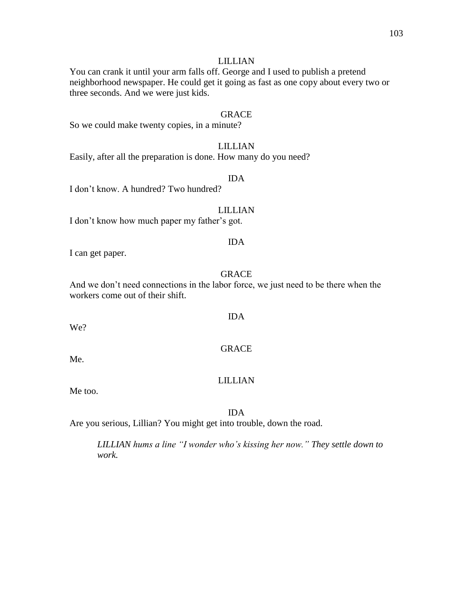#### LILLIAN

You can crank it until your arm falls off. George and I used to publish a pretend neighborhood newspaper. He could get it going as fast as one copy about every two or three seconds. And we were just kids.

# GRACE

So we could make twenty copies, in a minute?

## LILLIAN

Easily, after all the preparation is done. How many do you need?

## IDA

I don't know. A hundred? Two hundred?

#### LILLIAN

I don't know how much paper my father's got.

#### IDA

I can get paper.

#### GRACE

IDA

GRACE

And we don't need connections in the labor force, we just need to be there when the workers come out of their shift.

We?

Me.

#### LILLIAN

#### IDA

Are you serious, Lillian? You might get into trouble, down the road.

*LILLIAN hums a line "I wonder who's kissing her now." They settle down to work.*

#### Me too.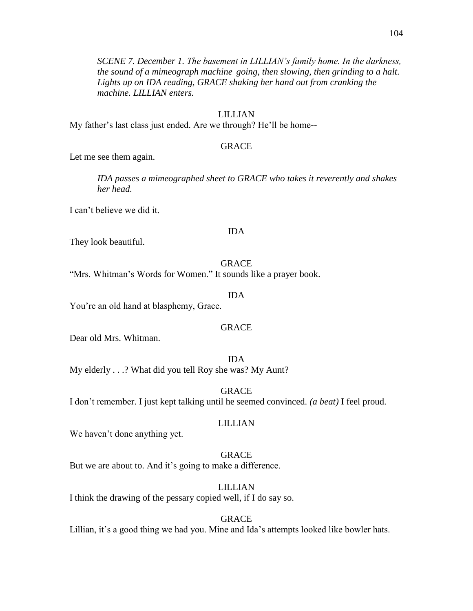*SCENE 7. December 1. The basement in LILLIAN's family home. In the darkness, the sound of a mimeograph machine going, then slowing, then grinding to a halt. Lights up on IDA reading, GRACE shaking her hand out from cranking the machine. LILLIAN enters.*

## LILLIAN

My father's last class just ended. Are we through? He'll be home--

## GRACE

Let me see them again.

*IDA passes a mimeographed sheet to GRACE who takes it reverently and shakes her head.*

I can't believe we did it.

#### IDA

They look beautiful.

#### GRACE

"Mrs. Whitman's Words for Women." It sounds like a prayer book.

#### IDA

You're an old hand at blasphemy, Grace.

### GRACE

Dear old Mrs. Whitman.

IDA My elderly . . .? What did you tell Roy she was? My Aunt?

GRACE I don't remember. I just kept talking until he seemed convinced. *(a beat)* I feel proud.

#### LILLIAN

We haven't done anything yet.

## GRACE

But we are about to. And it's going to make a difference.

#### LILLIAN

I think the drawing of the pessary copied well, if I do say so.

## GRACE

Lillian, it's a good thing we had you. Mine and Ida's attempts looked like bowler hats.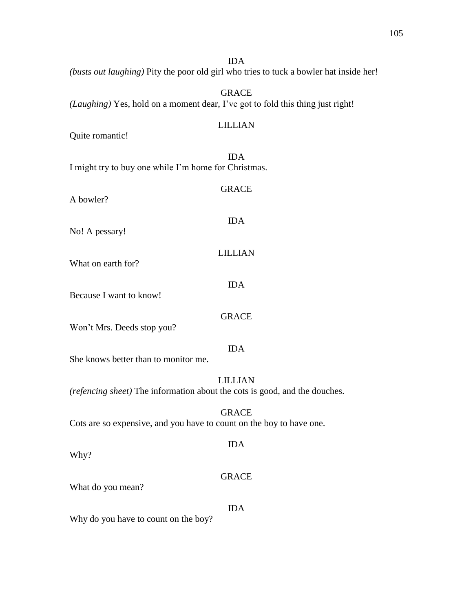IDA *(busts out laughing)* Pity the poor old girl who tries to tuck a bowler hat inside her!

GRACE *(Laughing)* Yes, hold on a moment dear, I've got to fold this thing just right!

#### LILLIAN

GRACE

IDA

LILLIAN

IDA

GRACE

Quite romantic!

IDA I might try to buy one while I'm home for Christmas.

A bowler?

No! A pessary!

What on earth for?

Because I want to know!

Won't Mrs. Deeds stop you?

## IDA

She knows better than to monitor me.

## LILLIAN

*(refencing sheet)* The information about the cots is good, and the douches.

## GRACE

Cots are so expensive, and you have to count on the boy to have one.

Why?

#### GRACE

IDA

What do you mean?

IDA

Why do you have to count on the boy?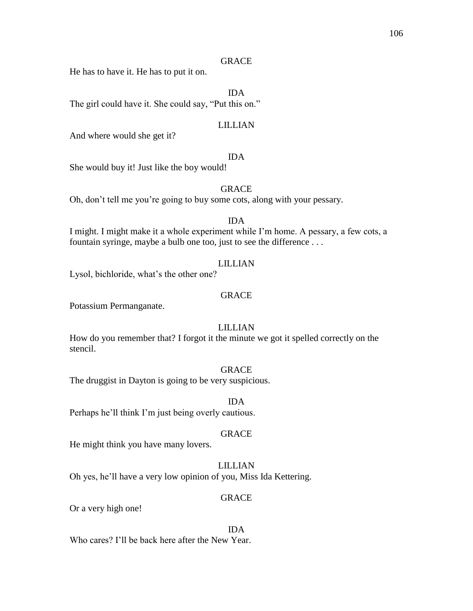#### **GRACE**

He has to have it. He has to put it on.

IDA

The girl could have it. She could say, "Put this on."

## LILLIAN

And where would she get it?

## IDA

She would buy it! Just like the boy would!

#### GRACE

Oh, don't tell me you're going to buy some cots, along with your pessary.

## IDA

I might. I might make it a whole experiment while I'm home. A pessary, a few cots, a fountain syringe, maybe a bulb one too, just to see the difference . . .

#### LILLIAN

Lysol, bichloride, what's the other one?

#### GRACE

Potassium Permanganate.

## LILLIAN

How do you remember that? I forgot it the minute we got it spelled correctly on the stencil.

## GRACE

The druggist in Dayton is going to be very suspicious.

IDA

# Perhaps he'll think I'm just being overly cautious.

## GRACE

He might think you have many lovers.

## LILLIAN

Oh yes, he'll have a very low opinion of you, Miss Ida Kettering.

## GRACE

Or a very high one!

## IDA

Who cares? I'll be back here after the New Year.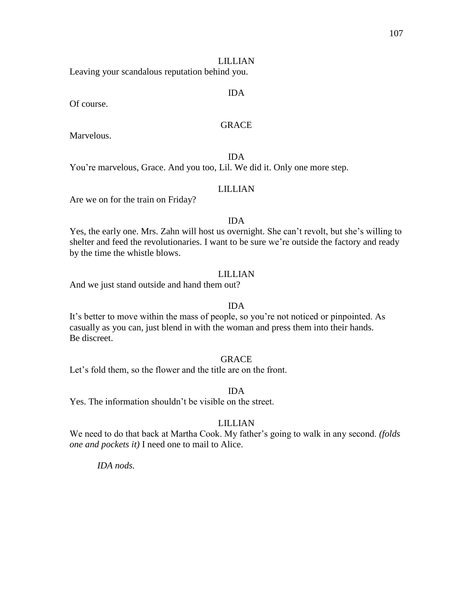#### LILLIAN

Leaving your scandalous reputation behind you.

#### IDA

Of course.

## **GRACE**

Marvelous.

IDA You're marvelous, Grace. And you too, Lil. We did it. Only one more step.

#### LILLIAN

Are we on for the train on Friday?

## IDA

Yes, the early one. Mrs. Zahn will host us overnight. She can't revolt, but she's willing to shelter and feed the revolutionaries. I want to be sure we're outside the factory and ready by the time the whistle blows.

#### LILLIAN

And we just stand outside and hand them out?

#### IDA

It's better to move within the mass of people, so you're not noticed or pinpointed. As casually as you can, just blend in with the woman and press them into their hands. Be discreet.

## **GRACE**

Let's fold them, so the flower and the title are on the front.

IDA

Yes. The information shouldn't be visible on the street.

## LILLIAN

We need to do that back at Martha Cook. My father's going to walk in any second. *(folds one and pockets it)* I need one to mail to Alice.

*IDA nods.*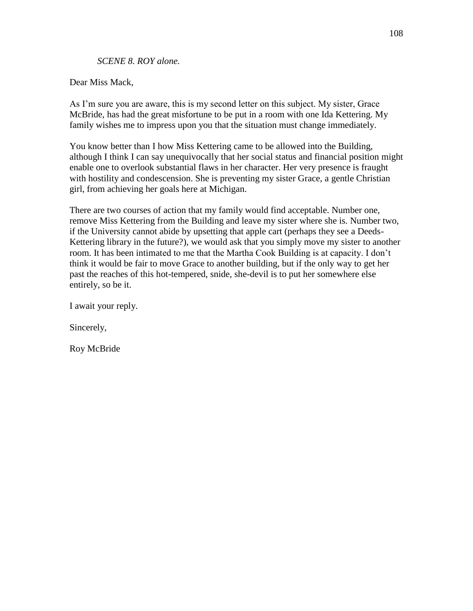*SCENE 8. ROY alone.*

Dear Miss Mack,

As I'm sure you are aware, this is my second letter on this subject. My sister, Grace McBride, has had the great misfortune to be put in a room with one Ida Kettering. My family wishes me to impress upon you that the situation must change immediately.

You know better than I how Miss Kettering came to be allowed into the Building, although I think I can say unequivocally that her social status and financial position might enable one to overlook substantial flaws in her character. Her very presence is fraught with hostility and condescension. She is preventing my sister Grace, a gentle Christian girl, from achieving her goals here at Michigan.

There are two courses of action that my family would find acceptable. Number one, remove Miss Kettering from the Building and leave my sister where she is. Number two, if the University cannot abide by upsetting that apple cart (perhaps they see a Deeds-Kettering library in the future?), we would ask that you simply move my sister to another room. It has been intimated to me that the Martha Cook Building is at capacity. I don't think it would be fair to move Grace to another building, but if the only way to get her past the reaches of this hot-tempered, snide, she-devil is to put her somewhere else entirely, so be it.

I await your reply.

Sincerely,

Roy McBride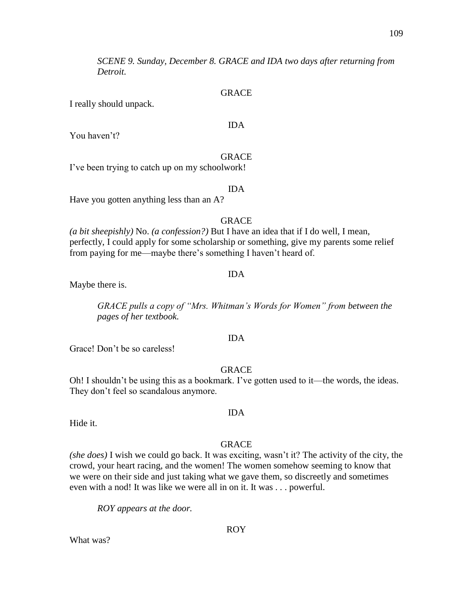*SCENE 9. Sunday, December 8. GRACE and IDA two days after returning from Detroit.*

#### GRACE

IDA

I really should unpack.

You haven't?

GRACE

I've been trying to catch up on my schoolwork!

#### IDA

Have you gotten anything less than an A?

#### GRACE

*(a bit sheepishly)* No. *(a confession?)* But I have an idea that if I do well, I mean, perfectly, I could apply for some scholarship or something, give my parents some relief from paying for me—maybe there's something I haven't heard of.

#### IDA

Maybe there is.

*GRACE pulls a copy of "Mrs. Whitman's Words for Women" from between the pages of her textbook.*

#### IDA

Grace! Don't be so careless!

#### GRACE

Oh! I shouldn't be using this as a bookmark. I've gotten used to it—the words, the ideas. They don't feel so scandalous anymore.

Hide it.

#### GRACE

IDA

*(she does)* I wish we could go back. It was exciting, wasn't it? The activity of the city, the crowd, your heart racing, and the women! The women somehow seeming to know that we were on their side and just taking what we gave them, so discreetly and sometimes even with a nod! It was like we were all in on it. It was . . . powerful.

*ROY appears at the door.*

ROY

What was?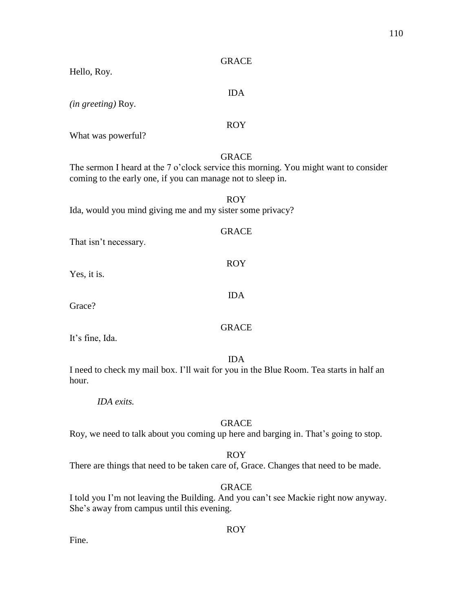| <b>GRACE</b>                                                                                                                                                        |
|---------------------------------------------------------------------------------------------------------------------------------------------------------------------|
| Hello, Roy.                                                                                                                                                         |
| <b>IDA</b><br>(in greeting) Roy.                                                                                                                                    |
| <b>ROY</b><br>What was powerful?                                                                                                                                    |
| <b>GRACE</b><br>The sermon I heard at the 7 o'clock service this morning. You might want to consider<br>coming to the early one, if you can manage not to sleep in. |
| <b>ROY</b><br>Ida, would you mind giving me and my sister some privacy?                                                                                             |
| <b>GRACE</b><br>That isn't necessary.                                                                                                                               |
| <b>ROY</b><br>Yes, it is.                                                                                                                                           |
| <b>IDA</b><br>Grace?                                                                                                                                                |
| <b>GRACE</b><br>It's fine, Ida.                                                                                                                                     |
| <b>IDA</b><br>I need to check my mail box. I'll wait for you in the Blue Room. Tea starts in half an<br>hour.                                                       |
| IDA exits.                                                                                                                                                          |
| <b>GRACE</b>                                                                                                                                                        |

Roy, we need to talk about you coming up here and barging in. That's going to stop.

ROY

There are things that need to be taken care of, Grace. Changes that need to be made.

GRACE

I told you I'm not leaving the Building. And you can't see Mackie right now anyway. She's away from campus until this evening.

ROY

Fine.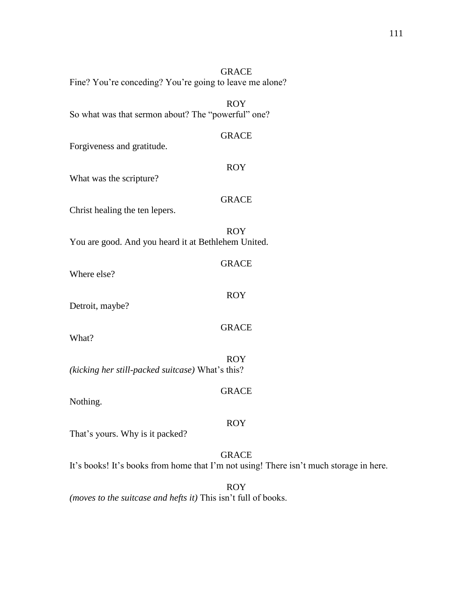| <b>GRACE</b><br>Fine? You're conceding? You're going to leave me alone?                                |
|--------------------------------------------------------------------------------------------------------|
| <b>ROY</b><br>So what was that sermon about? The "powerful" one?                                       |
| <b>GRACE</b><br>Forgiveness and gratitude.                                                             |
| <b>ROY</b><br>What was the scripture?                                                                  |
| <b>GRACE</b><br>Christ healing the ten lepers.                                                         |
| <b>ROY</b><br>You are good. And you heard it at Bethlehem United.                                      |
| <b>GRACE</b><br>Where else?                                                                            |
| <b>ROY</b><br>Detroit, maybe?                                                                          |
| <b>GRACE</b><br>What?                                                                                  |
| <b>ROY</b><br>(kicking her still-packed suitcase) What's this?                                         |
| <b>GRACE</b><br>Nothing.                                                                               |
| <b>ROY</b><br>That's yours. Why is it packed?                                                          |
| <b>GRACE</b><br>It's books! It's books from home that I'm not using! There isn't much storage in here. |
| <b>ROY</b>                                                                                             |

*(moves to the suitcase and hefts it)* This isn't full of books.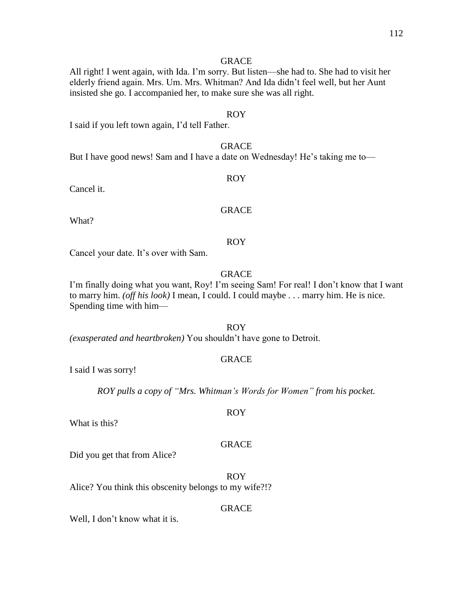#### **GRACE**

All right! I went again, with Ida. I'm sorry. But listen—she had to. She had to visit her elderly friend again. Mrs. Um. Mrs. Whitman? And Ida didn't feel well, but her Aunt insisted she go. I accompanied her, to make sure she was all right.

#### ROY

I said if you left town again, I'd tell Father.

#### **GRACE**

But I have good news! Sam and I have a date on Wednesday! He's taking me to—

### ROY

Cancel it.

#### GRACE

What?

#### ROY

Cancel your date. It's over with Sam.

#### GRACE

I'm finally doing what you want, Roy! I'm seeing Sam! For real! I don't know that I want to marry him. *(off his look)* I mean, I could. I could maybe . . . marry him. He is nice. Spending time with him—

#### ROY

*(exasperated and heartbroken)* You shouldn't have gone to Detroit.

#### GRACE

I said I was sorry!

*ROY pulls a copy of "Mrs. Whitman's Words for Women" from his pocket.*

ROY

What is this?

#### GRACE

Did you get that from Alice?

ROY Alice? You think this obscenity belongs to my wife?!?

#### GRACE

Well, I don't know what it is.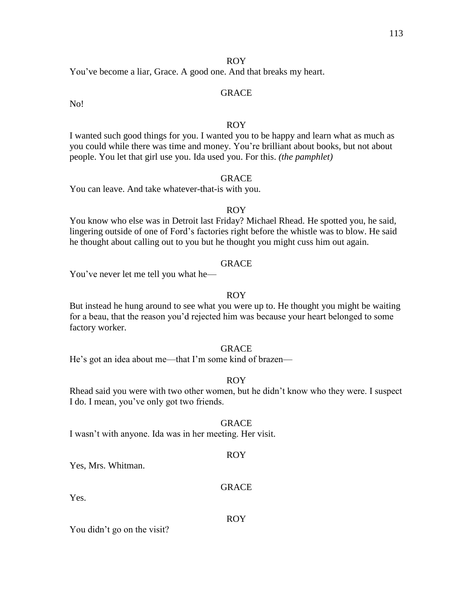#### ROY

You've become a liar, Grace. A good one. And that breaks my heart.

#### GRACE

No!

#### ROY

I wanted such good things for you. I wanted you to be happy and learn what as much as you could while there was time and money. You're brilliant about books, but not about people. You let that girl use you. Ida used you. For this. *(the pamphlet)*

#### GRACE

You can leave. And take whatever-that-is with you.

#### ROY

You know who else was in Detroit last Friday? Michael Rhead. He spotted you, he said, lingering outside of one of Ford's factories right before the whistle was to blow. He said he thought about calling out to you but he thought you might cuss him out again.

#### GRACE

You've never let me tell you what he—

#### ROY

But instead he hung around to see what you were up to. He thought you might be waiting for a beau, that the reason you'd rejected him was because your heart belonged to some factory worker.

#### **GRACE**

He's got an idea about me—that I'm some kind of brazen—

#### ROY

Rhead said you were with two other women, but he didn't know who they were. I suspect I do. I mean, you've only got two friends.

#### GRACE

I wasn't with anyone. Ida was in her meeting. Her visit.

#### ROY

Yes, Mrs. Whitman.

#### **GRACE**

Yes.

#### ROY

You didn't go on the visit?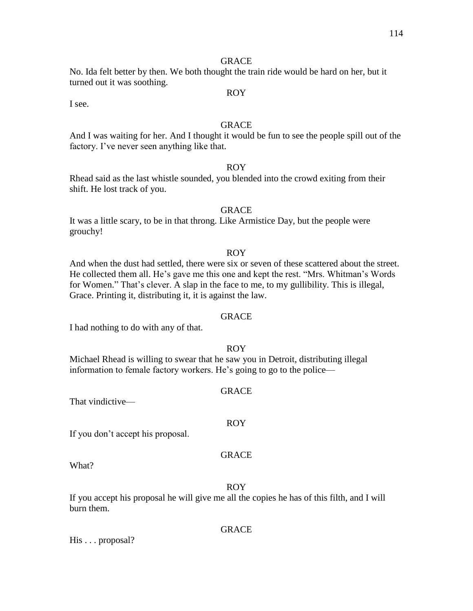#### **GRACE**

No. Ida felt better by then. We both thought the train ride would be hard on her, but it turned out it was soothing.

I see.

#### **GRACE**

ROY

And I was waiting for her. And I thought it would be fun to see the people spill out of the factory. I've never seen anything like that.

#### ROY

Rhead said as the last whistle sounded, you blended into the crowd exiting from their shift. He lost track of you.

#### **GRACE**

It was a little scary, to be in that throng. Like Armistice Day, but the people were grouchy!

#### ROY

And when the dust had settled, there were six or seven of these scattered about the street. He collected them all. He's gave me this one and kept the rest. "Mrs. Whitman's Words for Women." That's clever. A slap in the face to me, to my gullibility. This is illegal, Grace. Printing it, distributing it, it is against the law.

#### GRACE

I had nothing to do with any of that.

#### ROY

Michael Rhead is willing to swear that he saw you in Detroit, distributing illegal information to female factory workers. He's going to go to the police—

#### GRACE

That vindictive—

#### If you don't accept his proposal.

#### GRACE

ROY

What?

#### ROY

If you accept his proposal he will give me all the copies he has of this filth, and I will burn them.

#### GRACE

His . . . proposal?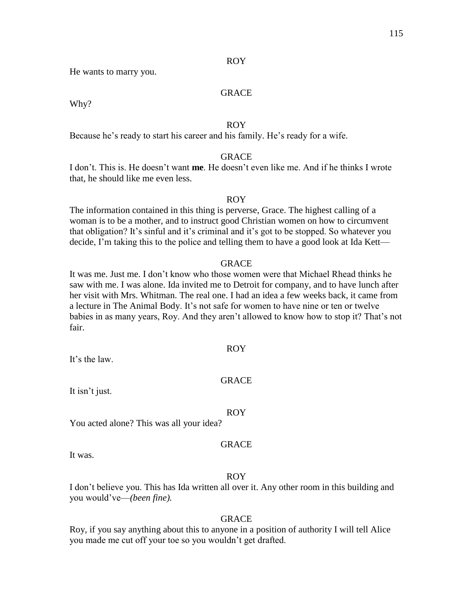#### ROY

He wants to marry you.

#### GRACE

Why?

#### ROY

Because he's ready to start his career and his family. He's ready for a wife.

#### GRACE

I don't. This is. He doesn't want **me**. He doesn't even like me. And if he thinks I wrote that, he should like me even less.

#### ROY

The information contained in this thing is perverse, Grace. The highest calling of a woman is to be a mother, and to instruct good Christian women on how to circumvent that obligation? It's sinful and it's criminal and it's got to be stopped. So whatever you decide, I'm taking this to the police and telling them to have a good look at Ida Kett—

#### GRACE

It was me. Just me. I don't know who those women were that Michael Rhead thinks he saw with me. I was alone. Ida invited me to Detroit for company, and to have lunch after her visit with Mrs. Whitman. The real one. I had an idea a few weeks back, it came from a lecture in The Animal Body. It's not safe for women to have nine or ten or twelve babies in as many years, Roy. And they aren't allowed to know how to stop it? That's not fair.

It's the law.

#### GRACE

ROY

It isn't just.

#### ROY

You acted alone? This was all your idea?

#### **GRACE**

It was.

#### ROY

I don't believe you. This has Ida written all over it. Any other room in this building and you would've—*(been fine).*

#### GRACE

Roy, if you say anything about this to anyone in a position of authority I will tell Alice you made me cut off your toe so you wouldn't get drafted.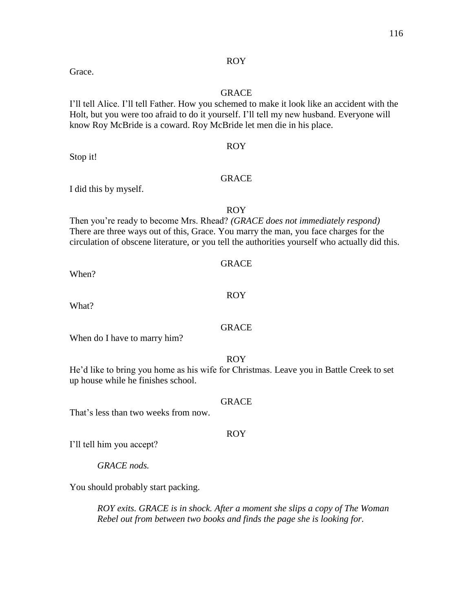#### ROY

#### GRACE

I'll tell Alice. I'll tell Father. How you schemed to make it look like an accident with the Holt, but you were too afraid to do it yourself. I'll tell my new husband. Everyone will know Roy McBride is a coward. Roy McBride let men die in his place.

Stop it!

Grace.

#### GRACE

ROY

I did this by myself.

#### ROY

Then you're ready to become Mrs. Rhead? *(GRACE does not immediately respond)* There are three ways out of this, Grace. You marry the man, you face charges for the circulation of obscene literature, or you tell the authorities yourself who actually did this.

When?

What?

#### GRACE

When do I have to marry him?

#### ROY

He'd like to bring you home as his wife for Christmas. Leave you in Battle Creek to set up house while he finishes school.

#### GRACE

That's less than two weeks from now.

I'll tell him you accept?

*GRACE nods.* 

You should probably start packing.

*ROY exits. GRACE is in shock. After a moment she slips a copy of The Woman Rebel out from between two books and finds the page she is looking for.*

# ROY

# GRACE

#### ROY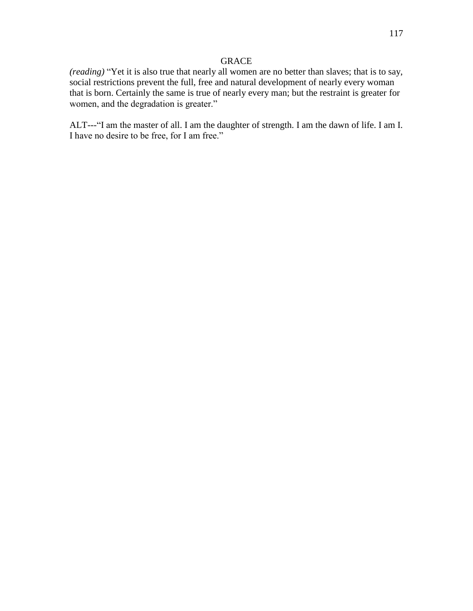#### GRACE

*(reading)* "Yet it is also true that nearly all women are no better than slaves; that is to say, social restrictions prevent the full, free and natural development of nearly every woman that is born. Certainly the same is true of nearly every man; but the restraint is greater for women, and the degradation is greater."

ALT---"I am the master of all. I am the daughter of strength. I am the dawn of life. I am I. I have no desire to be free, for I am free."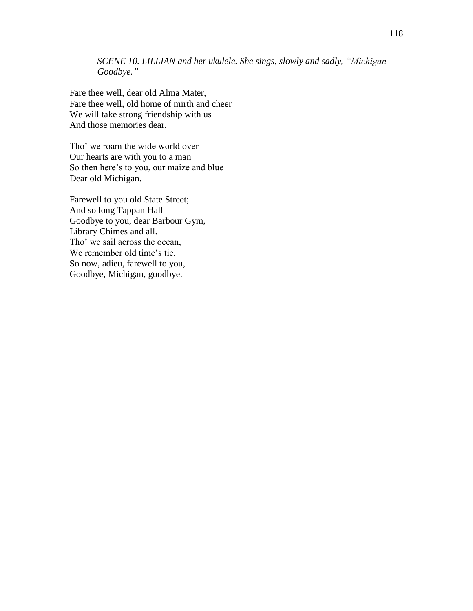*SCENE 10. LILLIAN and her ukulele. She sings, slowly and sadly, "Michigan Goodbye."*

Fare thee well, dear old Alma Mater, Fare thee well, old home of mirth and cheer We will take strong friendship with us And those memories dear.

Tho' we roam the wide world over Our hearts are with you to a man So then here's to you, our maize and blue Dear old Michigan.

Farewell to you old State Street; And so long Tappan Hall Goodbye to you, dear Barbour Gym, Library Chimes and all. Tho' we sail across the ocean, We remember old time's tie. So now, adieu, farewell to you, Goodbye, Michigan, goodbye.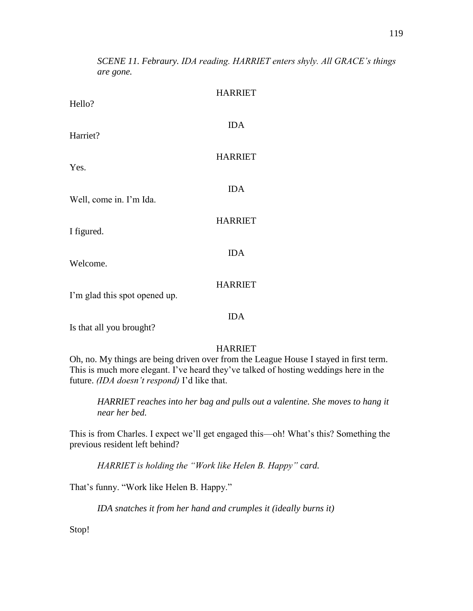HARRIET Hello? IDA Harriet? HARRIET Yes. IDA Well, come in. I'm Io HARRIET I figured. IDA Welcome. HARRIET I'm glad this spot opened up. IDA Is that all you brought? HARRIET Oh, no. My things are being driven over from the League House I stayed in first term. This is much more elegant. I've heard they've talked of hosting weddings here in the future. *(IDA doesn't respond)* I'd like that.

*HARRIET reaches into her bag and pulls out a valentine. She moves to hang it near her bed.*

This is from Charles. I expect we'll get engaged this—oh! What's this? Something the previous resident left behind?

*HARRIET is holding the "Work like Helen B. Happy" card.*

That's funny. "Work like Helen B. Happy."

*IDA snatches it from her hand and crumples it (ideally burns it)*

Stop!

*SCENE 11. Febraury. IDA reading. HARRIET enters shyly. All GRACE's things are gone.*

|     | <b>HARRIET</b> |
|-----|----------------|
|     | <b>IDA</b>     |
|     | <b>HARRIET</b> |
| da. | <b>IDA</b>     |
|     | <b>HARRIET</b> |
|     |                |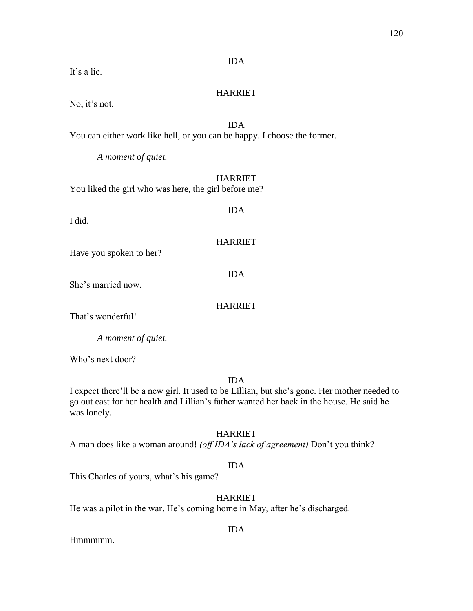#### IDA

It's a lie.

#### HARRIET

No, it's not.

#### IDA You can either work like hell, or you can be happy. I choose the former.

*A moment of quiet.*

#### HARRIET

You liked the girl who was here, the girl before me?

I did.

IDA

#### HARRIET

Have you spoken to her?

IDA

She's married now.

#### HARRIET

That's wonderful!

*A moment of quiet.*

Who's next door?

#### IDA

I expect there'll be a new girl. It used to be Lillian, but she's gone. Her mother needed to go out east for her health and Lillian's father wanted her back in the house. He said he was lonely.

#### HARRIET

A man does like a woman around! *(off IDA's lack of agreement)* Don't you think?

#### IDA

This Charles of yours, what's his game?

### HARRIET

He was a pilot in the war. He's coming home in May, after he's discharged.

#### IDA

Hmmmm.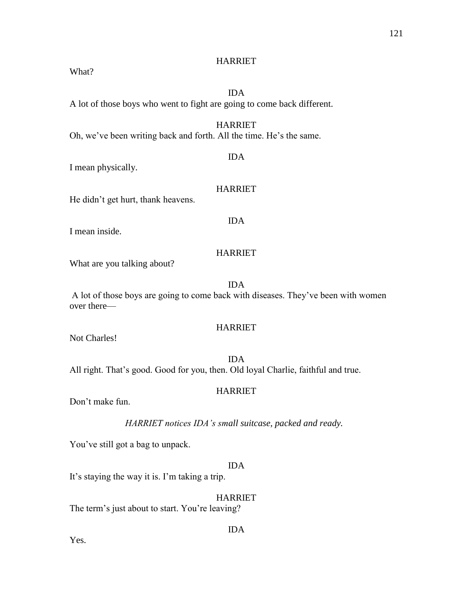#### HARRIET

What?

## IDA

A lot of those boys who went to fight are going to come back different.

#### HARRIET

Oh, we've been writing back and forth. All the time. He's the same.

#### IDA

I mean physically.

#### HARRIET

IDA

He didn't get hurt, thank heavens.

I mean inside.

#### HARRIET

What are you talking about?

IDA

A lot of those boys are going to come back with diseases. They've been with women over there—

#### HARRIET

Not Charles!

IDA All right. That's good. Good for you, then. Old loyal Charlie, faithful and true.

#### HARRIET

Don't make fun.

*HARRIET notices IDA's small suitcase, packed and ready.*

You've still got a bag to unpack.

#### IDA

It's staying the way it is. I'm taking a trip.

### HARRIET

The term's just about to start. You're leaving?

Yes.

#### IDA